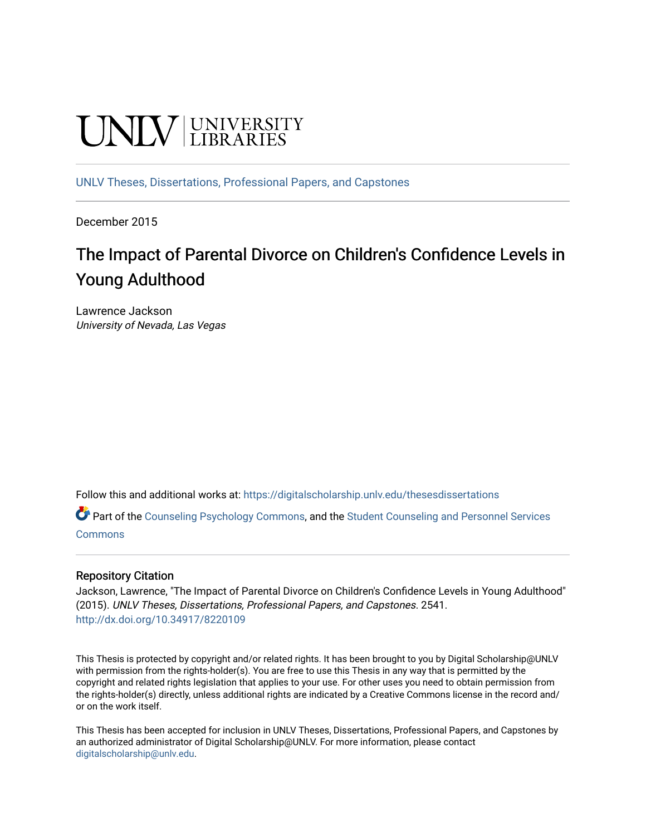# **UNIVERSITY**

[UNLV Theses, Dissertations, Professional Papers, and Capstones](https://digitalscholarship.unlv.edu/thesesdissertations)

December 2015

# The Impact of Parental Divorce on Children's Confidence Levels in Young Adulthood

Lawrence Jackson University of Nevada, Las Vegas

Follow this and additional works at: [https://digitalscholarship.unlv.edu/thesesdissertations](https://digitalscholarship.unlv.edu/thesesdissertations?utm_source=digitalscholarship.unlv.edu%2Fthesesdissertations%2F2541&utm_medium=PDF&utm_campaign=PDFCoverPages)

Part of the [Counseling Psychology Commons](http://network.bepress.com/hgg/discipline/1044?utm_source=digitalscholarship.unlv.edu%2Fthesesdissertations%2F2541&utm_medium=PDF&utm_campaign=PDFCoverPages), and the [Student Counseling and Personnel Services](http://network.bepress.com/hgg/discipline/802?utm_source=digitalscholarship.unlv.edu%2Fthesesdissertations%2F2541&utm_medium=PDF&utm_campaign=PDFCoverPages)  [Commons](http://network.bepress.com/hgg/discipline/802?utm_source=digitalscholarship.unlv.edu%2Fthesesdissertations%2F2541&utm_medium=PDF&utm_campaign=PDFCoverPages)

#### Repository Citation

Jackson, Lawrence, "The Impact of Parental Divorce on Children's Confidence Levels in Young Adulthood" (2015). UNLV Theses, Dissertations, Professional Papers, and Capstones. 2541. <http://dx.doi.org/10.34917/8220109>

This Thesis is protected by copyright and/or related rights. It has been brought to you by Digital Scholarship@UNLV with permission from the rights-holder(s). You are free to use this Thesis in any way that is permitted by the copyright and related rights legislation that applies to your use. For other uses you need to obtain permission from the rights-holder(s) directly, unless additional rights are indicated by a Creative Commons license in the record and/ or on the work itself.

This Thesis has been accepted for inclusion in UNLV Theses, Dissertations, Professional Papers, and Capstones by an authorized administrator of Digital Scholarship@UNLV. For more information, please contact [digitalscholarship@unlv.edu](mailto:digitalscholarship@unlv.edu).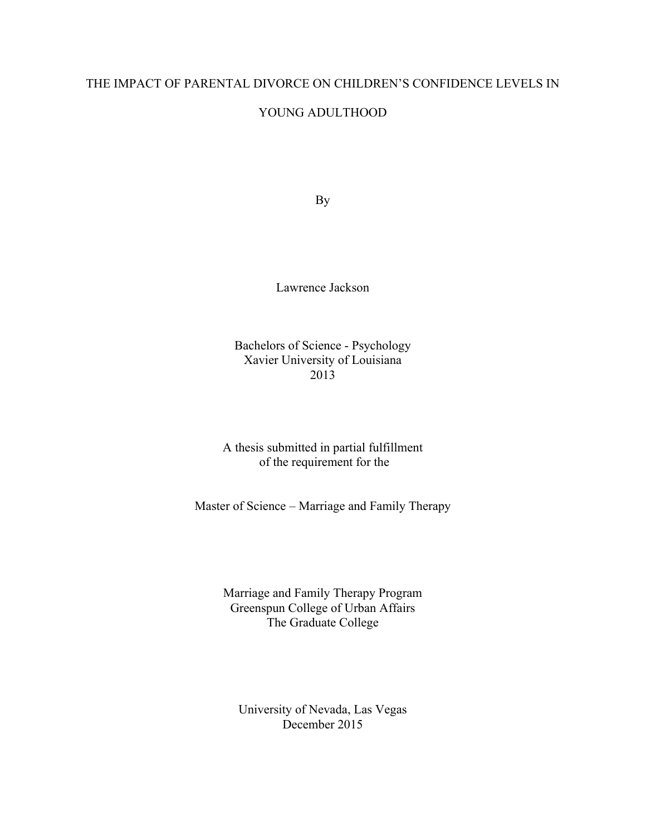## THE IMPACT OF PARENTAL DIVORCE ON CHILDREN'S CONFIDENCE LEVELS IN

### YOUNG ADULTHOOD

By

Lawrence Jackson

Bachelors of Science - Psychology Xavier University of Louisiana 2013

A thesis submitted in partial fulfillment of the requirement for the

Master of Science – Marriage and Family Therapy

Marriage and Family Therapy Program Greenspun College of Urban Affairs The Graduate College

University of Nevada, Las Vegas December 2015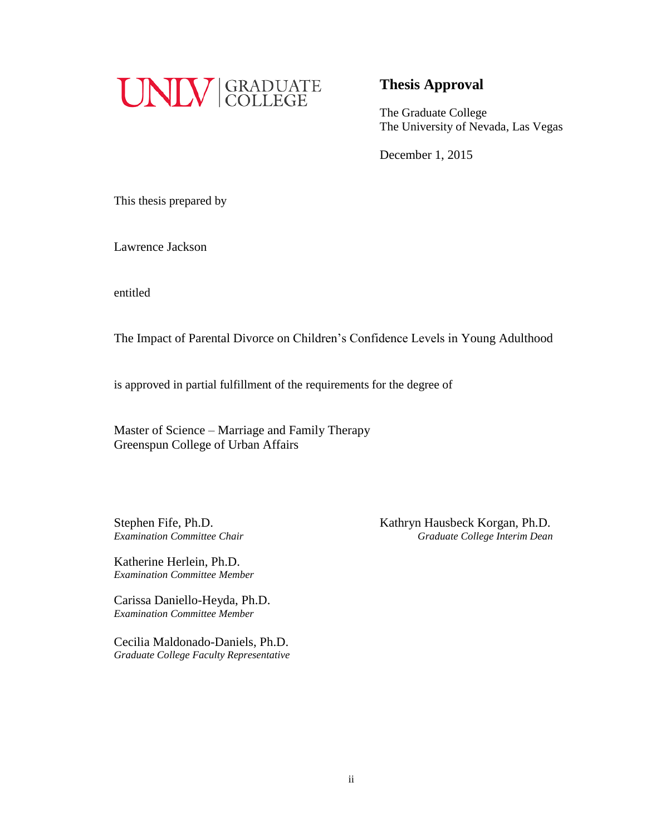

## **Thesis Approval**

The Graduate College The University of Nevada, Las Vegas

December 1, 2015

This thesis prepared by

Lawrence Jackson

entitled

The Impact of Parental Divorce on Children's Confidence Levels in Young Adulthood

is approved in partial fulfillment of the requirements for the degree of

Master of Science – Marriage and Family Therapy Greenspun College of Urban Affairs

Stephen Fife, Ph.D. Kathryn Hausbeck Korgan, Ph.D. *Examination Committee Chair Graduate College Interim Dean*

Katherine Herlein, Ph.D. *Examination Committee Member*

Carissa Daniello-Heyda, Ph.D. *Examination Committee Member*

Cecilia Maldonado-Daniels, Ph.D. *Graduate College Faculty Representative*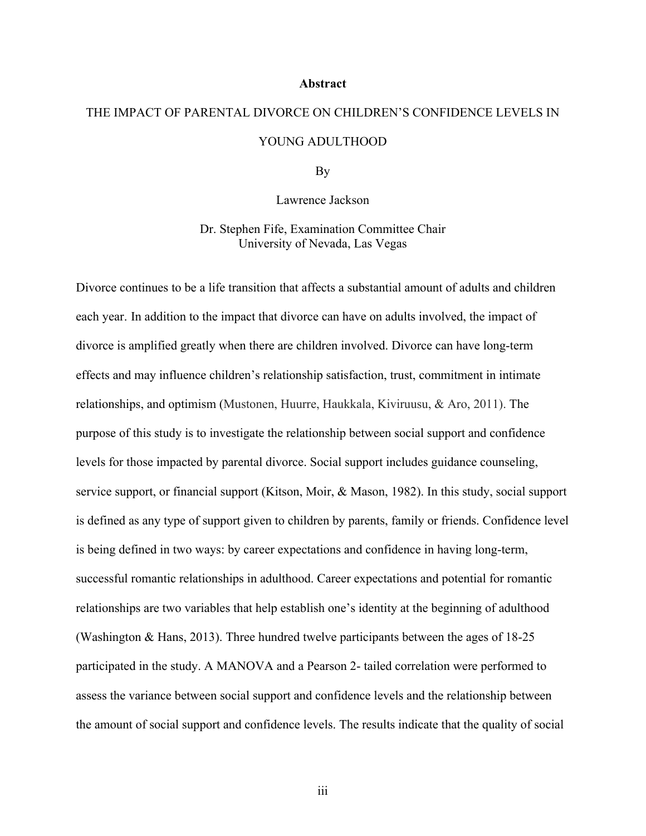#### **Abstract**

# THE IMPACT OF PARENTAL DIVORCE ON CHILDREN'S CONFIDENCE LEVELS IN YOUNG ADULTHOOD

By

Lawrence Jackson

Dr. Stephen Fife, Examination Committee Chair University of Nevada, Las Vegas

Divorce continues to be a life transition that affects a substantial amount of adults and children each year. In addition to the impact that divorce can have on adults involved, the impact of divorce is amplified greatly when there are children involved. Divorce can have long-term effects and may influence children's relationship satisfaction, trust, commitment in intimate relationships, and optimism (Mustonen, Huurre, Haukkala, Kiviruusu, & Aro, 2011). The purpose of this study is to investigate the relationship between social support and confidence levels for those impacted by parental divorce. Social support includes guidance counseling, service support, or financial support (Kitson, Moir, & Mason, 1982). In this study, social support is defined as any type of support given to children by parents, family or friends. Confidence level is being defined in two ways: by career expectations and confidence in having long-term, successful romantic relationships in adulthood. Career expectations and potential for romantic relationships are two variables that help establish one's identity at the beginning of adulthood (Washington & Hans, 2013). Three hundred twelve participants between the ages of 18-25 participated in the study. A MANOVA and a Pearson 2- tailed correlation were performed to assess the variance between social support and confidence levels and the relationship between the amount of social support and confidence levels. The results indicate that the quality of social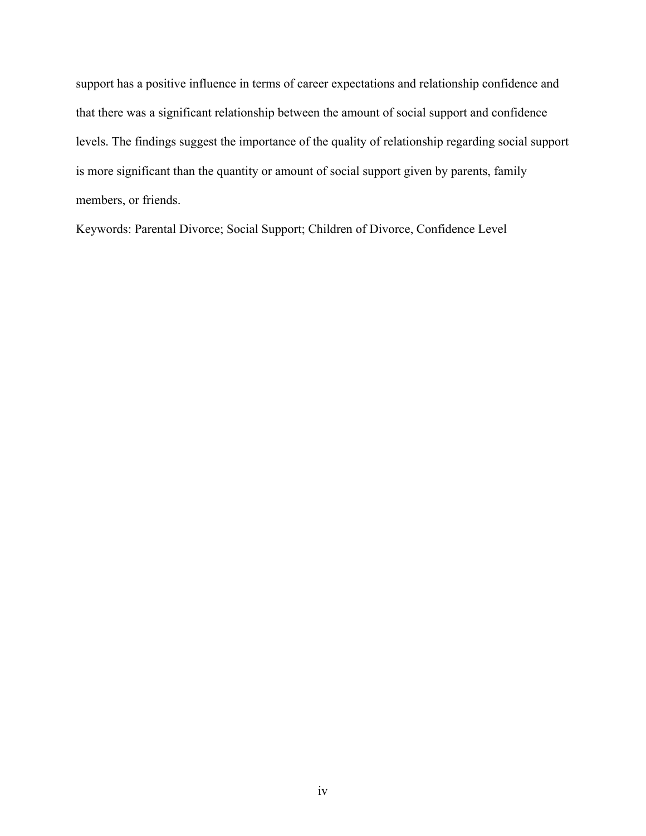support has a positive influence in terms of career expectations and relationship confidence and that there was a significant relationship between the amount of social support and confidence levels. The findings suggest the importance of the quality of relationship regarding social support is more significant than the quantity or amount of social support given by parents, family members, or friends.

Keywords: Parental Divorce; Social Support; Children of Divorce, Confidence Level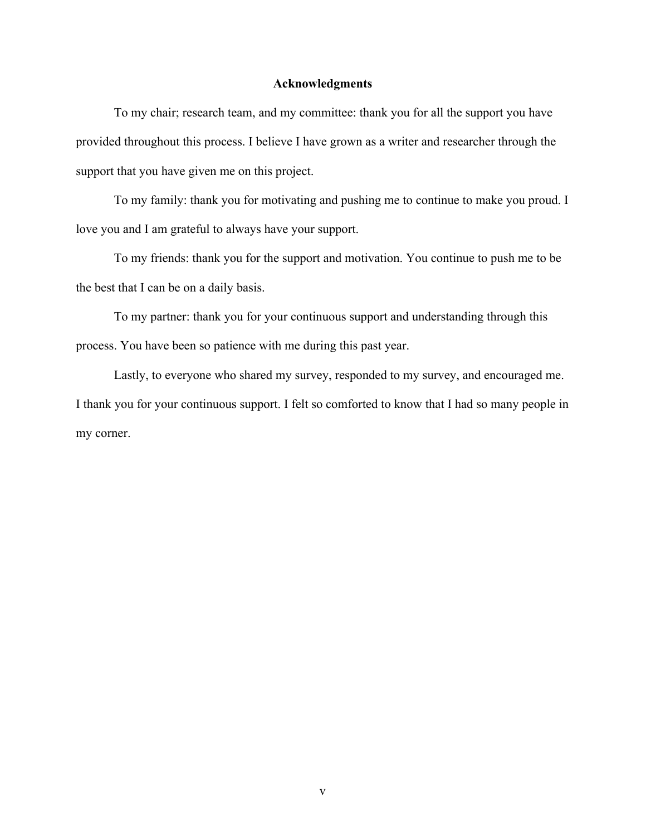#### **Acknowledgments**

To my chair; research team, and my committee: thank you for all the support you have provided throughout this process. I believe I have grown as a writer and researcher through the support that you have given me on this project.

To my family: thank you for motivating and pushing me to continue to make you proud. I love you and I am grateful to always have your support.

To my friends: thank you for the support and motivation. You continue to push me to be the best that I can be on a daily basis.

To my partner: thank you for your continuous support and understanding through this process. You have been so patience with me during this past year.

Lastly, to everyone who shared my survey, responded to my survey, and encouraged me. I thank you for your continuous support. I felt so comforted to know that I had so many people in my corner.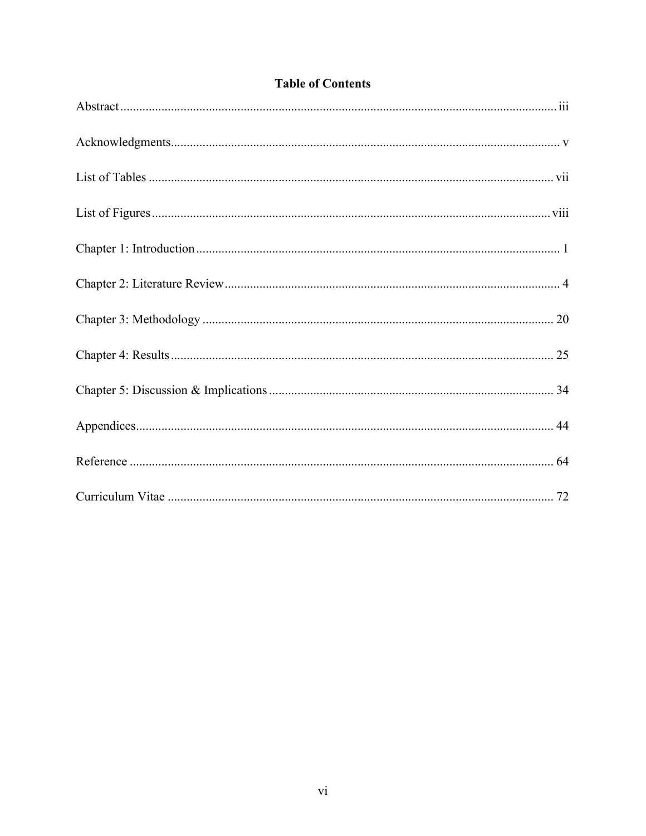# **Table of Contents**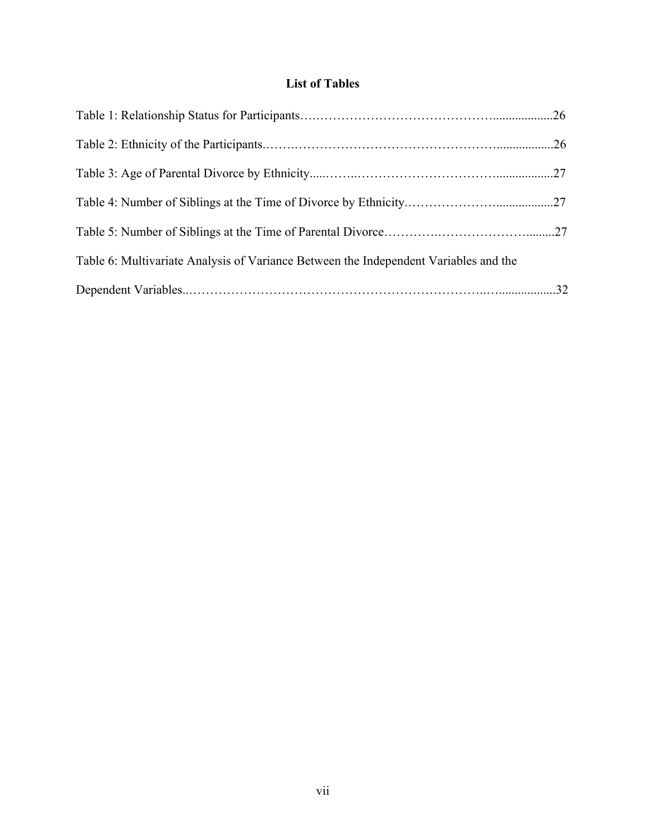# **List of Tables**

| Table 6: Multivariate Analysis of Variance Between the Independent Variables and the |  |
|--------------------------------------------------------------------------------------|--|
|                                                                                      |  |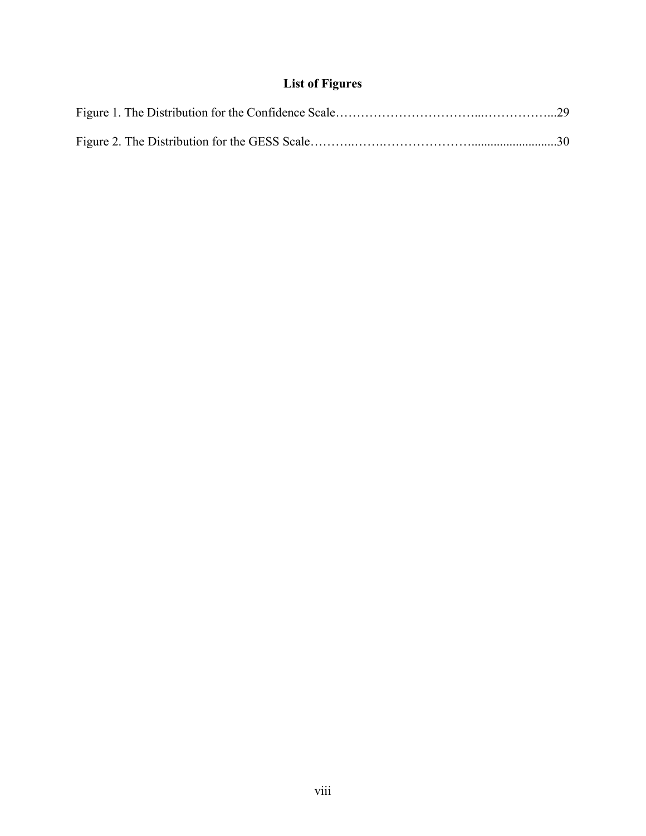# **List of Figures**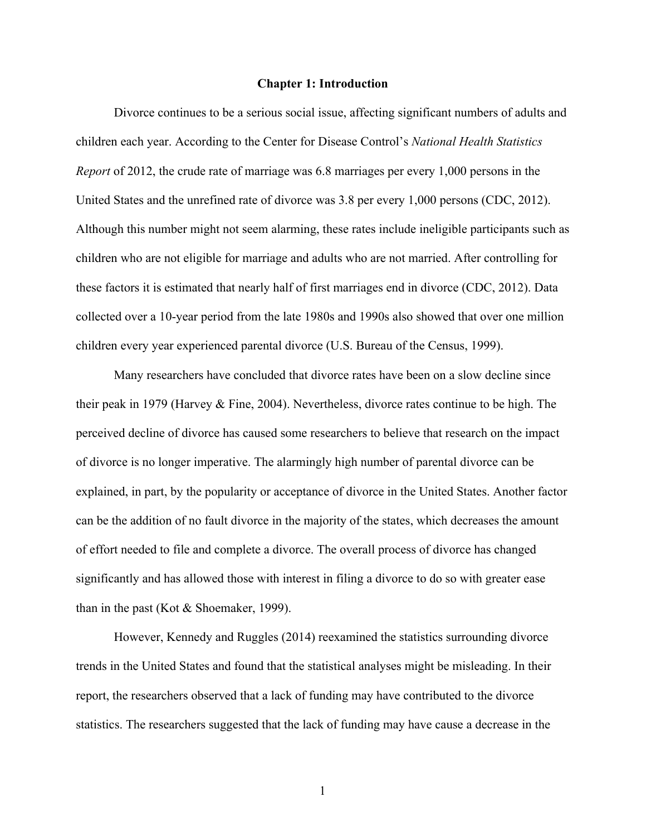#### **Chapter 1: Introduction**

Divorce continues to be a serious social issue, affecting significant numbers of adults and children each year. According to the Center for Disease Control's *National Health Statistics Report* of 2012, the crude rate of marriage was 6.8 marriages per every 1,000 persons in the United States and the unrefined rate of divorce was 3.8 per every 1,000 persons (CDC, 2012). Although this number might not seem alarming, these rates include ineligible participants such as children who are not eligible for marriage and adults who are not married. After controlling for these factors it is estimated that nearly half of first marriages end in divorce (CDC, 2012). Data collected over a 10-year period from the late 1980s and 1990s also showed that over one million children every year experienced parental divorce (U.S. Bureau of the Census, 1999).

Many researchers have concluded that divorce rates have been on a slow decline since their peak in 1979 (Harvey & Fine, 2004). Nevertheless, divorce rates continue to be high. The perceived decline of divorce has caused some researchers to believe that research on the impact of divorce is no longer imperative. The alarmingly high number of parental divorce can be explained, in part, by the popularity or acceptance of divorce in the United States. Another factor can be the addition of no fault divorce in the majority of the states, which decreases the amount of effort needed to file and complete a divorce. The overall process of divorce has changed significantly and has allowed those with interest in filing a divorce to do so with greater ease than in the past (Kot & Shoemaker, 1999).

However, Kennedy and Ruggles (2014) reexamined the statistics surrounding divorce trends in the United States and found that the statistical analyses might be misleading. In their report, the researchers observed that a lack of funding may have contributed to the divorce statistics. The researchers suggested that the lack of funding may have cause a decrease in the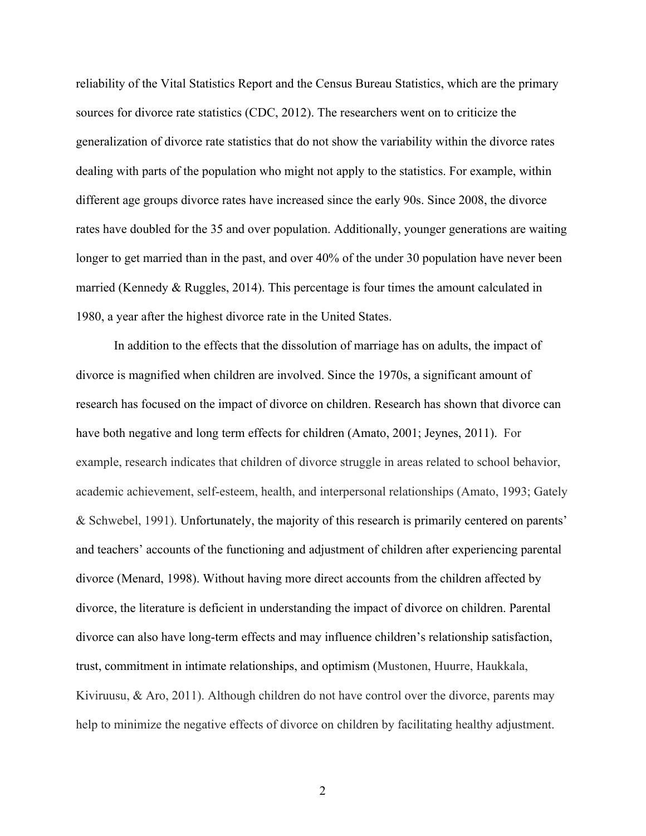reliability of the Vital Statistics Report and the Census Bureau Statistics, which are the primary sources for divorce rate statistics (CDC, 2012). The researchers went on to criticize the generalization of divorce rate statistics that do not show the variability within the divorce rates dealing with parts of the population who might not apply to the statistics. For example, within different age groups divorce rates have increased since the early 90s. Since 2008, the divorce rates have doubled for the 35 and over population. Additionally, younger generations are waiting longer to get married than in the past, and over 40% of the under 30 population have never been married (Kennedy & Ruggles, 2014). This percentage is four times the amount calculated in 1980, a year after the highest divorce rate in the United States.

In addition to the effects that the dissolution of marriage has on adults, the impact of divorce is magnified when children are involved. Since the 1970s, a significant amount of research has focused on the impact of divorce on children. Research has shown that divorce can have both negative and long term effects for children (Amato, 2001; Jeynes, 2011). For example, research indicates that children of divorce struggle in areas related to school behavior, academic achievement, self-esteem, health, and interpersonal relationships (Amato, 1993; Gately & Schwebel, 1991). Unfortunately, the majority of this research is primarily centered on parents' and teachers' accounts of the functioning and adjustment of children after experiencing parental divorce (Menard, 1998). Without having more direct accounts from the children affected by divorce, the literature is deficient in understanding the impact of divorce on children. Parental divorce can also have long-term effects and may influence children's relationship satisfaction, trust, commitment in intimate relationships, and optimism (Mustonen, Huurre, Haukkala, Kiviruusu, & Aro, 2011). Although children do not have control over the divorce, parents may help to minimize the negative effects of divorce on children by facilitating healthy adjustment.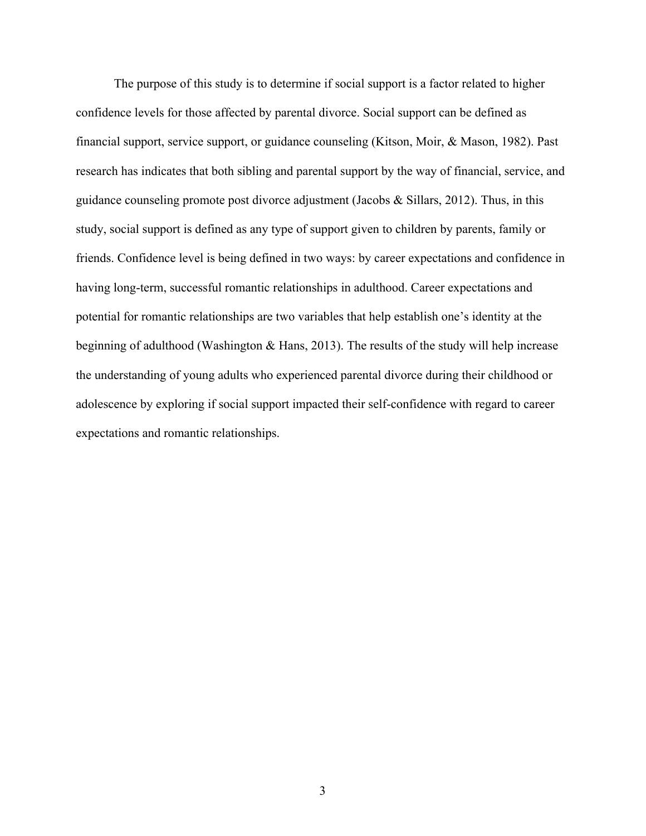The purpose of this study is to determine if social support is a factor related to higher confidence levels for those affected by parental divorce. Social support can be defined as financial support, service support, or guidance counseling (Kitson, Moir, & Mason, 1982). Past research has indicates that both sibling and parental support by the way of financial, service, and guidance counseling promote post divorce adjustment (Jacobs  $\&$  Sillars, 2012). Thus, in this study, social support is defined as any type of support given to children by parents, family or friends. Confidence level is being defined in two ways: by career expectations and confidence in having long-term, successful romantic relationships in adulthood. Career expectations and potential for romantic relationships are two variables that help establish one's identity at the beginning of adulthood (Washington & Hans, 2013). The results of the study will help increase the understanding of young adults who experienced parental divorce during their childhood or adolescence by exploring if social support impacted their self-confidence with regard to career expectations and romantic relationships.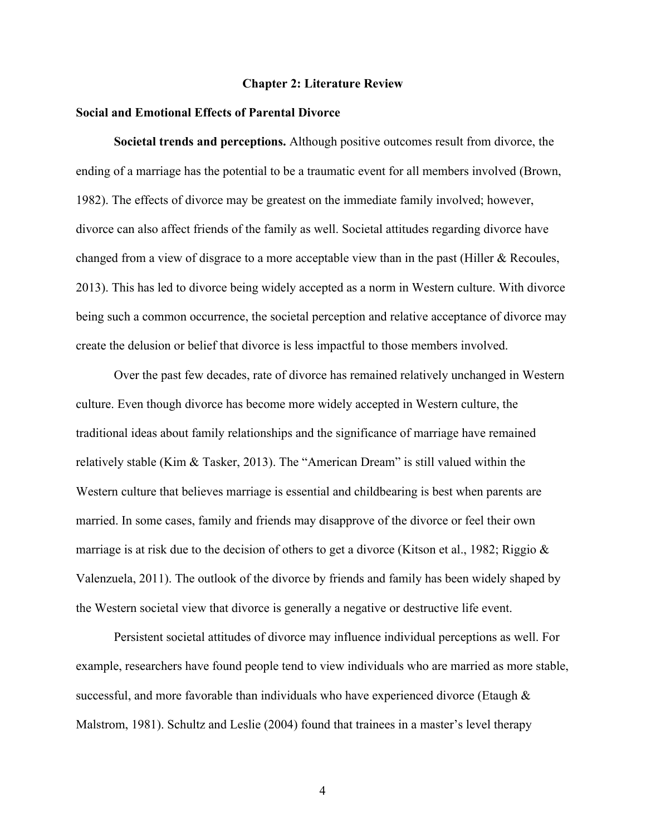#### **Chapter 2: Literature Review**

#### **Social and Emotional Effects of Parental Divorce**

**Societal trends and perceptions.** Although positive outcomes result from divorce, the ending of a marriage has the potential to be a traumatic event for all members involved (Brown, 1982). The effects of divorce may be greatest on the immediate family involved; however, divorce can also affect friends of the family as well. Societal attitudes regarding divorce have changed from a view of disgrace to a more acceptable view than in the past (Hiller & Recoules, 2013). This has led to divorce being widely accepted as a norm in Western culture. With divorce being such a common occurrence, the societal perception and relative acceptance of divorce may create the delusion or belief that divorce is less impactful to those members involved.

Over the past few decades, rate of divorce has remained relatively unchanged in Western culture. Even though divorce has become more widely accepted in Western culture, the traditional ideas about family relationships and the significance of marriage have remained relatively stable (Kim & Tasker, 2013). The "American Dream" is still valued within the Western culture that believes marriage is essential and childbearing is best when parents are married. In some cases, family and friends may disapprove of the divorce or feel their own marriage is at risk due to the decision of others to get a divorce (Kitson et al., 1982; Riggio  $\&$ Valenzuela, 2011). The outlook of the divorce by friends and family has been widely shaped by the Western societal view that divorce is generally a negative or destructive life event.

Persistent societal attitudes of divorce may influence individual perceptions as well. For example, researchers have found people tend to view individuals who are married as more stable, successful, and more favorable than individuals who have experienced divorce (Etaugh  $\&$ Malstrom, 1981). Schultz and Leslie (2004) found that trainees in a master's level therapy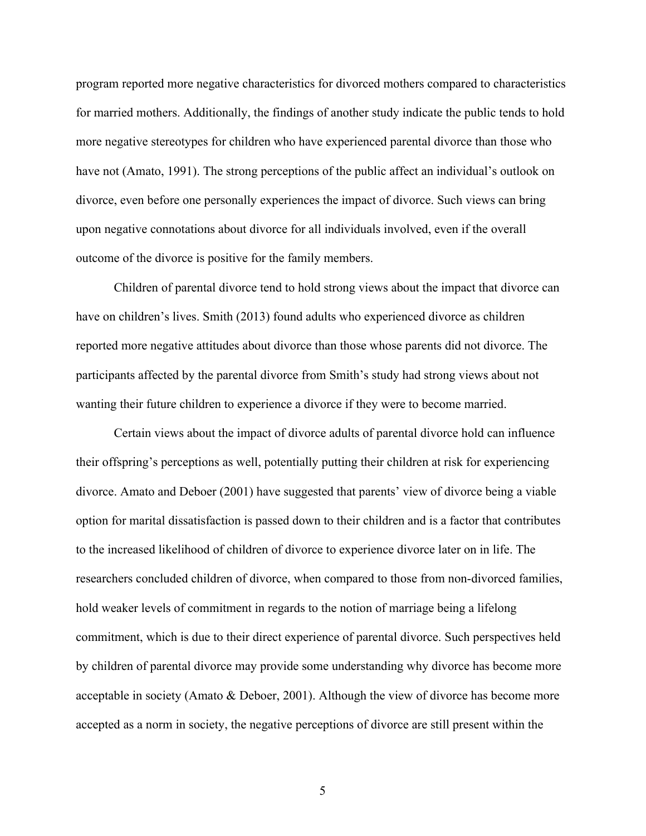program reported more negative characteristics for divorced mothers compared to characteristics for married mothers. Additionally, the findings of another study indicate the public tends to hold more negative stereotypes for children who have experienced parental divorce than those who have not (Amato, 1991). The strong perceptions of the public affect an individual's outlook on divorce, even before one personally experiences the impact of divorce. Such views can bring upon negative connotations about divorce for all individuals involved, even if the overall outcome of the divorce is positive for the family members.

Children of parental divorce tend to hold strong views about the impact that divorce can have on children's lives. Smith (2013) found adults who experienced divorce as children reported more negative attitudes about divorce than those whose parents did not divorce. The participants affected by the parental divorce from Smith's study had strong views about not wanting their future children to experience a divorce if they were to become married.

Certain views about the impact of divorce adults of parental divorce hold can influence their offspring's perceptions as well, potentially putting their children at risk for experiencing divorce. Amato and Deboer (2001) have suggested that parents' view of divorce being a viable option for marital dissatisfaction is passed down to their children and is a factor that contributes to the increased likelihood of children of divorce to experience divorce later on in life. The researchers concluded children of divorce, when compared to those from non-divorced families, hold weaker levels of commitment in regards to the notion of marriage being a lifelong commitment, which is due to their direct experience of parental divorce. Such perspectives held by children of parental divorce may provide some understanding why divorce has become more acceptable in society (Amato & Deboer, 2001). Although the view of divorce has become more accepted as a norm in society, the negative perceptions of divorce are still present within the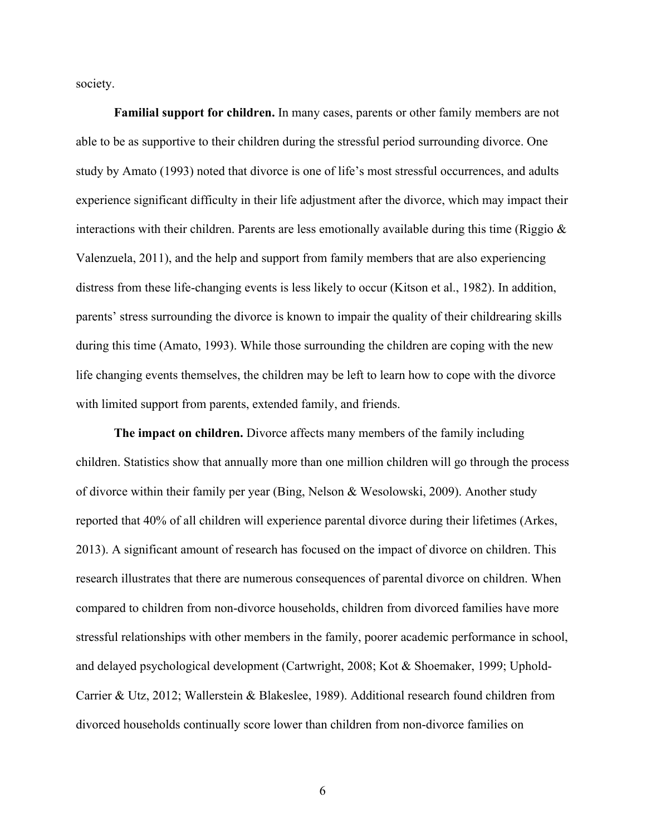society.

**Familial support for children.** In many cases, parents or other family members are not able to be as supportive to their children during the stressful period surrounding divorce. One study by Amato (1993) noted that divorce is one of life's most stressful occurrences, and adults experience significant difficulty in their life adjustment after the divorce, which may impact their interactions with their children. Parents are less emotionally available during this time (Riggio  $\&$ Valenzuela, 2011), and the help and support from family members that are also experiencing distress from these life-changing events is less likely to occur (Kitson et al., 1982). In addition, parents' stress surrounding the divorce is known to impair the quality of their childrearing skills during this time (Amato, 1993). While those surrounding the children are coping with the new life changing events themselves, the children may be left to learn how to cope with the divorce with limited support from parents, extended family, and friends.

**The impact on children.** Divorce affects many members of the family including children. Statistics show that annually more than one million children will go through the process of divorce within their family per year (Bing, Nelson & Wesolowski, 2009). Another study reported that 40% of all children will experience parental divorce during their lifetimes (Arkes, 2013). A significant amount of research has focused on the impact of divorce on children. This research illustrates that there are numerous consequences of parental divorce on children. When compared to children from non-divorce households, children from divorced families have more stressful relationships with other members in the family, poorer academic performance in school, and delayed psychological development (Cartwright, 2008; Kot & Shoemaker, 1999; Uphold-Carrier & Utz, 2012; Wallerstein & Blakeslee, 1989). Additional research found children from divorced households continually score lower than children from non-divorce families on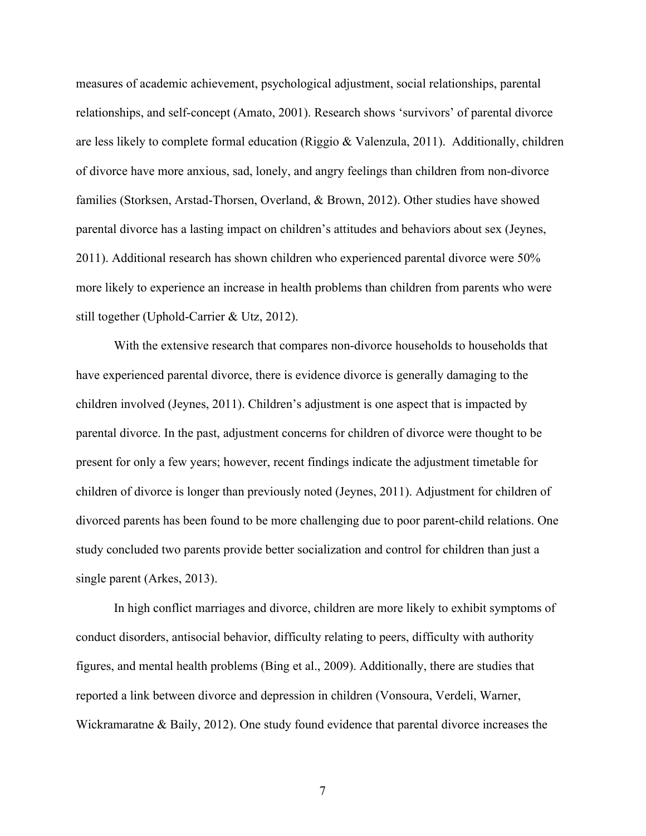measures of academic achievement, psychological adjustment, social relationships, parental relationships, and self-concept (Amato, 2001). Research shows 'survivors' of parental divorce are less likely to complete formal education (Riggio & Valenzula, 2011). Additionally, children of divorce have more anxious, sad, lonely, and angry feelings than children from non-divorce families (Storksen, Arstad-Thorsen, Overland, & Brown, 2012). Other studies have showed parental divorce has a lasting impact on children's attitudes and behaviors about sex (Jeynes, 2011). Additional research has shown children who experienced parental divorce were 50% more likely to experience an increase in health problems than children from parents who were still together (Uphold-Carrier & Utz, 2012).

With the extensive research that compares non-divorce households to households that have experienced parental divorce, there is evidence divorce is generally damaging to the children involved (Jeynes, 2011). Children's adjustment is one aspect that is impacted by parental divorce. In the past, adjustment concerns for children of divorce were thought to be present for only a few years; however, recent findings indicate the adjustment timetable for children of divorce is longer than previously noted (Jeynes, 2011). Adjustment for children of divorced parents has been found to be more challenging due to poor parent-child relations. One study concluded two parents provide better socialization and control for children than just a single parent (Arkes, 2013).

In high conflict marriages and divorce, children are more likely to exhibit symptoms of conduct disorders, antisocial behavior, difficulty relating to peers, difficulty with authority figures, and mental health problems (Bing et al., 2009). Additionally, there are studies that reported a link between divorce and depression in children (Vonsoura, Verdeli, Warner, Wickramaratne & Baily, 2012). One study found evidence that parental divorce increases the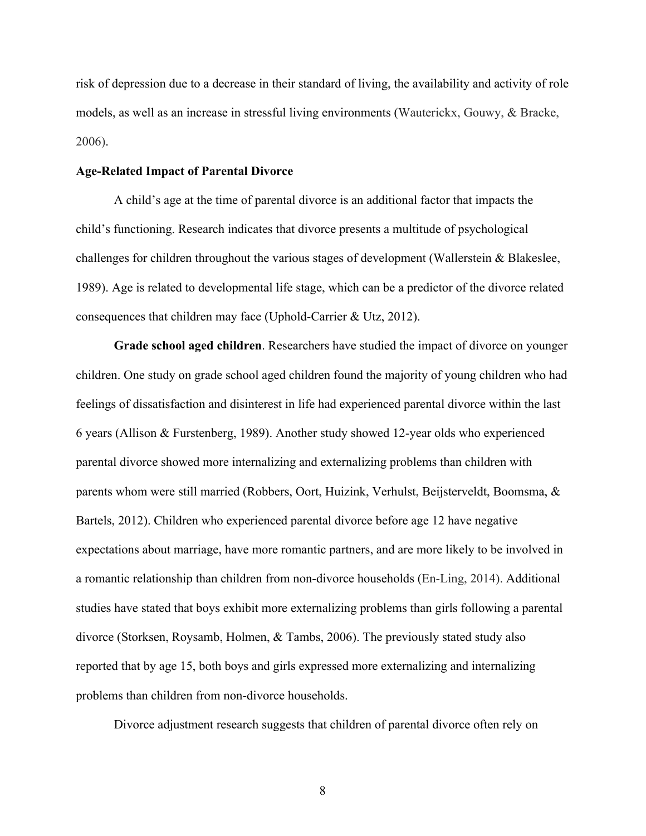risk of depression due to a decrease in their standard of living, the availability and activity of role models, as well as an increase in stressful living environments (Wauterickx, Gouwy, & Bracke, 2006).

#### **Age-Related Impact of Parental Divorce**

A child's age at the time of parental divorce is an additional factor that impacts the child's functioning. Research indicates that divorce presents a multitude of psychological challenges for children throughout the various stages of development (Wallerstein & Blakeslee, 1989). Age is related to developmental life stage, which can be a predictor of the divorce related consequences that children may face (Uphold-Carrier & Utz, 2012).

**Grade school aged children**. Researchers have studied the impact of divorce on younger children. One study on grade school aged children found the majority of young children who had feelings of dissatisfaction and disinterest in life had experienced parental divorce within the last 6 years (Allison & Furstenberg, 1989). Another study showed 12-year olds who experienced parental divorce showed more internalizing and externalizing problems than children with parents whom were still married (Robbers, Oort, Huizink, Verhulst, Beijsterveldt, Boomsma, & Bartels, 2012). Children who experienced parental divorce before age 12 have negative expectations about marriage, have more romantic partners, and are more likely to be involved in a romantic relationship than children from non-divorce households (En-Ling, 2014). Additional studies have stated that boys exhibit more externalizing problems than girls following a parental divorce (Storksen, Roysamb, Holmen, & Tambs, 2006). The previously stated study also reported that by age 15, both boys and girls expressed more externalizing and internalizing problems than children from non-divorce households.

Divorce adjustment research suggests that children of parental divorce often rely on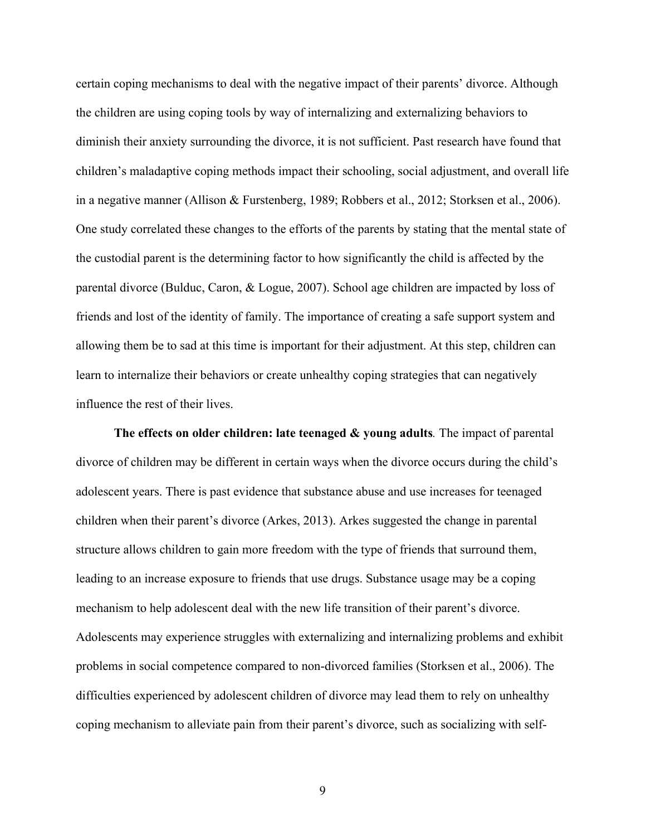certain coping mechanisms to deal with the negative impact of their parents' divorce. Although the children are using coping tools by way of internalizing and externalizing behaviors to diminish their anxiety surrounding the divorce, it is not sufficient. Past research have found that children's maladaptive coping methods impact their schooling, social adjustment, and overall life in a negative manner (Allison & Furstenberg, 1989; Robbers et al., 2012; Storksen et al., 2006). One study correlated these changes to the efforts of the parents by stating that the mental state of the custodial parent is the determining factor to how significantly the child is affected by the parental divorce (Bulduc, Caron, & Logue, 2007). School age children are impacted by loss of friends and lost of the identity of family. The importance of creating a safe support system and allowing them be to sad at this time is important for their adjustment. At this step, children can learn to internalize their behaviors or create unhealthy coping strategies that can negatively influence the rest of their lives.

**The effects on older children: late teenaged & young adults***.* The impact of parental divorce of children may be different in certain ways when the divorce occurs during the child's adolescent years. There is past evidence that substance abuse and use increases for teenaged children when their parent's divorce (Arkes, 2013). Arkes suggested the change in parental structure allows children to gain more freedom with the type of friends that surround them, leading to an increase exposure to friends that use drugs. Substance usage may be a coping mechanism to help adolescent deal with the new life transition of their parent's divorce. Adolescents may experience struggles with externalizing and internalizing problems and exhibit problems in social competence compared to non-divorced families (Storksen et al., 2006). The difficulties experienced by adolescent children of divorce may lead them to rely on unhealthy coping mechanism to alleviate pain from their parent's divorce, such as socializing with self-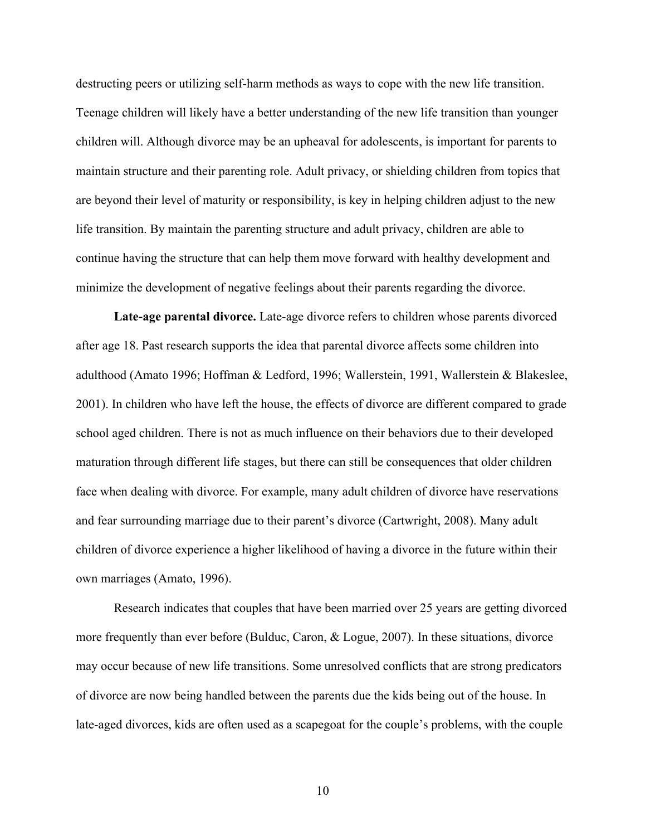destructing peers or utilizing self-harm methods as ways to cope with the new life transition. Teenage children will likely have a better understanding of the new life transition than younger children will. Although divorce may be an upheaval for adolescents, is important for parents to maintain structure and their parenting role. Adult privacy, or shielding children from topics that are beyond their level of maturity or responsibility, is key in helping children adjust to the new life transition. By maintain the parenting structure and adult privacy, children are able to continue having the structure that can help them move forward with healthy development and minimize the development of negative feelings about their parents regarding the divorce.

**Late-age parental divorce.** Late-age divorce refers to children whose parents divorced after age 18. Past research supports the idea that parental divorce affects some children into adulthood (Amato 1996; Hoffman & Ledford, 1996; Wallerstein, 1991, Wallerstein & Blakeslee, 2001). In children who have left the house, the effects of divorce are different compared to grade school aged children. There is not as much influence on their behaviors due to their developed maturation through different life stages, but there can still be consequences that older children face when dealing with divorce. For example, many adult children of divorce have reservations and fear surrounding marriage due to their parent's divorce (Cartwright, 2008). Many adult children of divorce experience a higher likelihood of having a divorce in the future within their own marriages (Amato, 1996).

Research indicates that couples that have been married over 25 years are getting divorced more frequently than ever before (Bulduc, Caron, & Logue, 2007). In these situations, divorce may occur because of new life transitions. Some unresolved conflicts that are strong predicators of divorce are now being handled between the parents due the kids being out of the house. In late-aged divorces, kids are often used as a scapegoat for the couple's problems, with the couple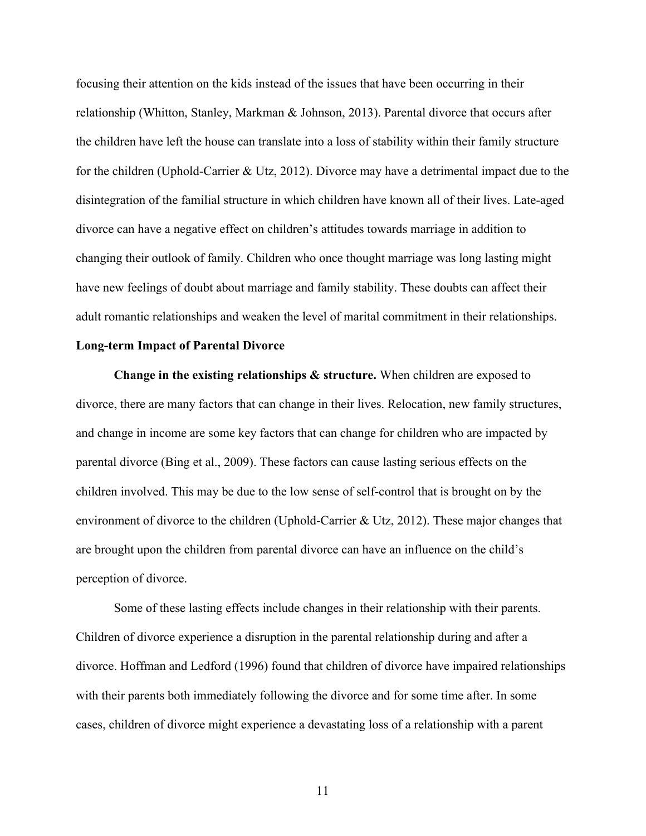focusing their attention on the kids instead of the issues that have been occurring in their relationship (Whitton, Stanley, Markman & Johnson, 2013). Parental divorce that occurs after the children have left the house can translate into a loss of stability within their family structure for the children (Uphold-Carrier & Utz, 2012). Divorce may have a detrimental impact due to the disintegration of the familial structure in which children have known all of their lives. Late-aged divorce can have a negative effect on children's attitudes towards marriage in addition to changing their outlook of family. Children who once thought marriage was long lasting might have new feelings of doubt about marriage and family stability. These doubts can affect their adult romantic relationships and weaken the level of marital commitment in their relationships.

#### **Long-term Impact of Parental Divorce**

**Change in the existing relationships & structure.** When children are exposed to divorce, there are many factors that can change in their lives. Relocation, new family structures, and change in income are some key factors that can change for children who are impacted by parental divorce (Bing et al., 2009). These factors can cause lasting serious effects on the children involved. This may be due to the low sense of self-control that is brought on by the environment of divorce to the children (Uphold-Carrier & Utz, 2012). These major changes that are brought upon the children from parental divorce can have an influence on the child's perception of divorce.

Some of these lasting effects include changes in their relationship with their parents. Children of divorce experience a disruption in the parental relationship during and after a divorce. Hoffman and Ledford (1996) found that children of divorce have impaired relationships with their parents both immediately following the divorce and for some time after. In some cases, children of divorce might experience a devastating loss of a relationship with a parent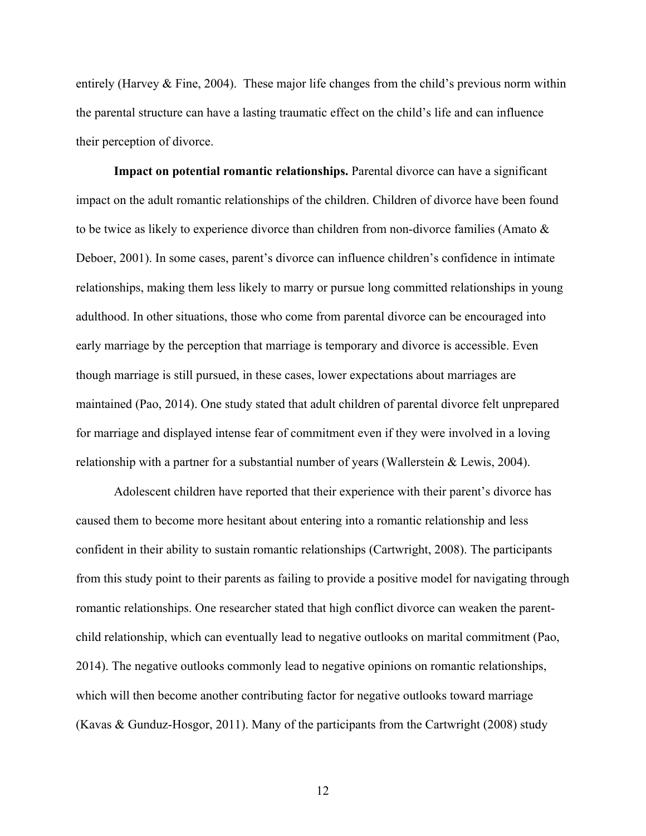entirely (Harvey & Fine, 2004). These major life changes from the child's previous norm within the parental structure can have a lasting traumatic effect on the child's life and can influence their perception of divorce.

**Impact on potential romantic relationships.** Parental divorce can have a significant impact on the adult romantic relationships of the children. Children of divorce have been found to be twice as likely to experience divorce than children from non-divorce families (Amato & Deboer, 2001). In some cases, parent's divorce can influence children's confidence in intimate relationships, making them less likely to marry or pursue long committed relationships in young adulthood. In other situations, those who come from parental divorce can be encouraged into early marriage by the perception that marriage is temporary and divorce is accessible. Even though marriage is still pursued, in these cases, lower expectations about marriages are maintained (Pao, 2014). One study stated that adult children of parental divorce felt unprepared for marriage and displayed intense fear of commitment even if they were involved in a loving relationship with a partner for a substantial number of years (Wallerstein & Lewis, 2004).

Adolescent children have reported that their experience with their parent's divorce has caused them to become more hesitant about entering into a romantic relationship and less confident in their ability to sustain romantic relationships (Cartwright, 2008). The participants from this study point to their parents as failing to provide a positive model for navigating through romantic relationships. One researcher stated that high conflict divorce can weaken the parentchild relationship, which can eventually lead to negative outlooks on marital commitment (Pao, 2014). The negative outlooks commonly lead to negative opinions on romantic relationships, which will then become another contributing factor for negative outlooks toward marriage (Kavas & Gunduz-Hosgor, 2011). Many of the participants from the Cartwright (2008) study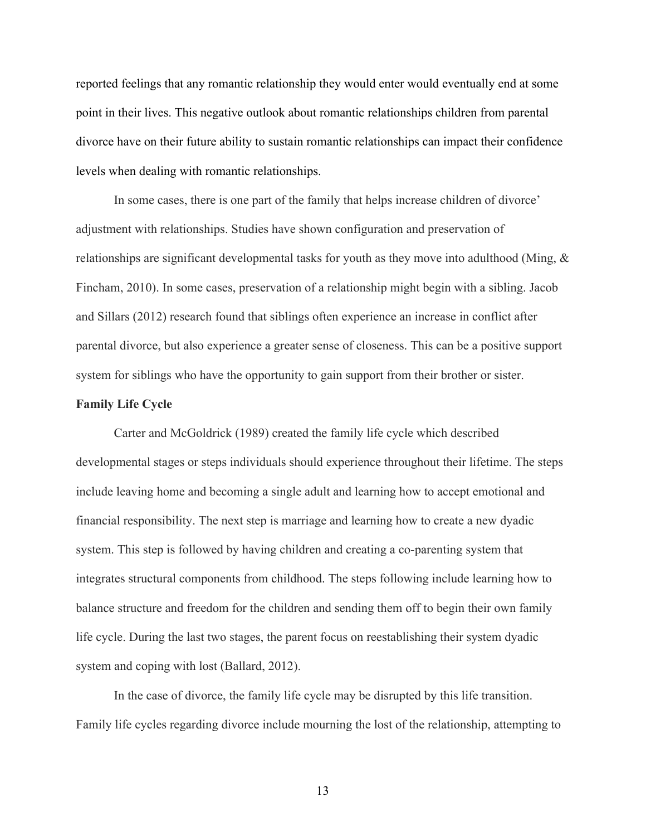reported feelings that any romantic relationship they would enter would eventually end at some point in their lives. This negative outlook about romantic relationships children from parental divorce have on their future ability to sustain romantic relationships can impact their confidence levels when dealing with romantic relationships.

In some cases, there is one part of the family that helps increase children of divorce' adjustment with relationships. Studies have shown configuration and preservation of relationships are significant developmental tasks for youth as they move into adulthood (Ming, & Fincham, 2010). In some cases, preservation of a relationship might begin with a sibling. Jacob and Sillars (2012) research found that siblings often experience an increase in conflict after parental divorce, but also experience a greater sense of closeness. This can be a positive support system for siblings who have the opportunity to gain support from their brother or sister.

#### **Family Life Cycle**

Carter and McGoldrick (1989) created the family life cycle which described developmental stages or steps individuals should experience throughout their lifetime. The steps include leaving home and becoming a single adult and learning how to accept emotional and financial responsibility. The next step is marriage and learning how to create a new dyadic system. This step is followed by having children and creating a co-parenting system that integrates structural components from childhood. The steps following include learning how to balance structure and freedom for the children and sending them off to begin their own family life cycle. During the last two stages, the parent focus on reestablishing their system dyadic system and coping with lost (Ballard, 2012).

In the case of divorce, the family life cycle may be disrupted by this life transition. Family life cycles regarding divorce include mourning the lost of the relationship, attempting to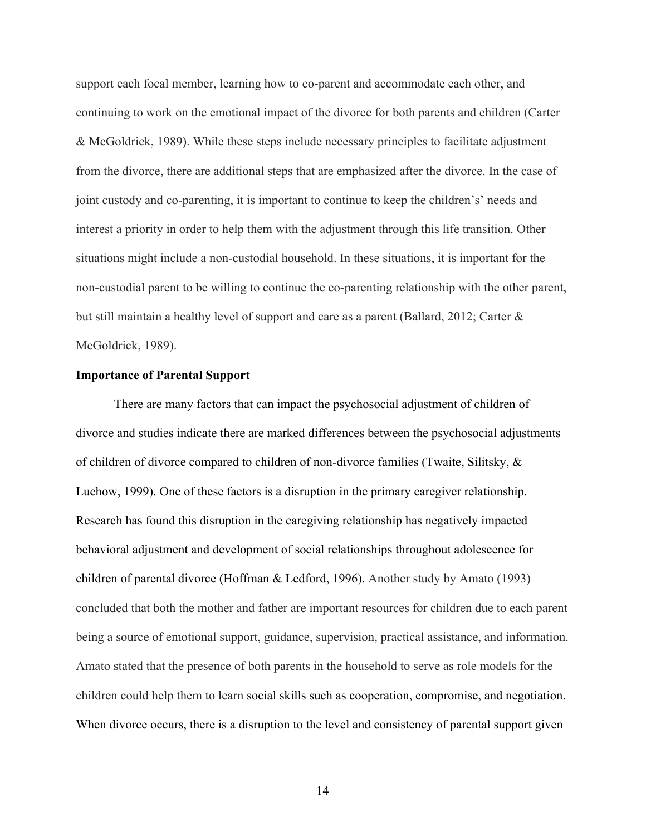support each focal member, learning how to co-parent and accommodate each other, and continuing to work on the emotional impact of the divorce for both parents and children (Carter & McGoldrick, 1989). While these steps include necessary principles to facilitate adjustment from the divorce, there are additional steps that are emphasized after the divorce. In the case of joint custody and co-parenting, it is important to continue to keep the children's' needs and interest a priority in order to help them with the adjustment through this life transition. Other situations might include a non-custodial household. In these situations, it is important for the non-custodial parent to be willing to continue the co-parenting relationship with the other parent, but still maintain a healthy level of support and care as a parent (Ballard, 2012; Carter & McGoldrick, 1989).

#### **Importance of Parental Support**

There are many factors that can impact the psychosocial adjustment of children of divorce and studies indicate there are marked differences between the psychosocial adjustments of children of divorce compared to children of non-divorce families (Twaite, Silitsky, & Luchow, 1999). One of these factors is a disruption in the primary caregiver relationship. Research has found this disruption in the caregiving relationship has negatively impacted behavioral adjustment and development of social relationships throughout adolescence for children of parental divorce (Hoffman & Ledford, 1996). Another study by Amato (1993) concluded that both the mother and father are important resources for children due to each parent being a source of emotional support, guidance, supervision, practical assistance, and information. Amato stated that the presence of both parents in the household to serve as role models for the children could help them to learn social skills such as cooperation, compromise, and negotiation. When divorce occurs, there is a disruption to the level and consistency of parental support given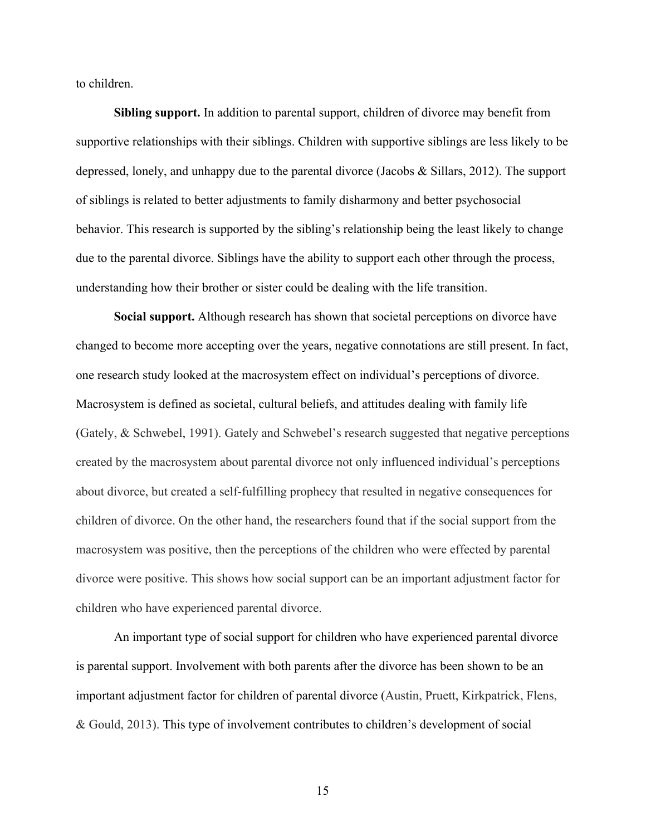to children.

**Sibling support.** In addition to parental support, children of divorce may benefit from supportive relationships with their siblings. Children with supportive siblings are less likely to be depressed, lonely, and unhappy due to the parental divorce (Jacobs & Sillars, 2012). The support of siblings is related to better adjustments to family disharmony and better psychosocial behavior. This research is supported by the sibling's relationship being the least likely to change due to the parental divorce. Siblings have the ability to support each other through the process, understanding how their brother or sister could be dealing with the life transition.

**Social support.** Although research has shown that societal perceptions on divorce have changed to become more accepting over the years, negative connotations are still present. In fact, one research study looked at the macrosystem effect on individual's perceptions of divorce. Macrosystem is defined as societal, cultural beliefs, and attitudes dealing with family life (Gately, & Schwebel, 1991). Gately and Schwebel's research suggested that negative perceptions created by the macrosystem about parental divorce not only influenced individual's perceptions about divorce, but created a self-fulfilling prophecy that resulted in negative consequences for children of divorce. On the other hand, the researchers found that if the social support from the macrosystem was positive, then the perceptions of the children who were effected by parental divorce were positive. This shows how social support can be an important adjustment factor for children who have experienced parental divorce.

An important type of social support for children who have experienced parental divorce is parental support. Involvement with both parents after the divorce has been shown to be an important adjustment factor for children of parental divorce (Austin, Pruett, Kirkpatrick, Flens, & Gould, 2013). This type of involvement contributes to children's development of social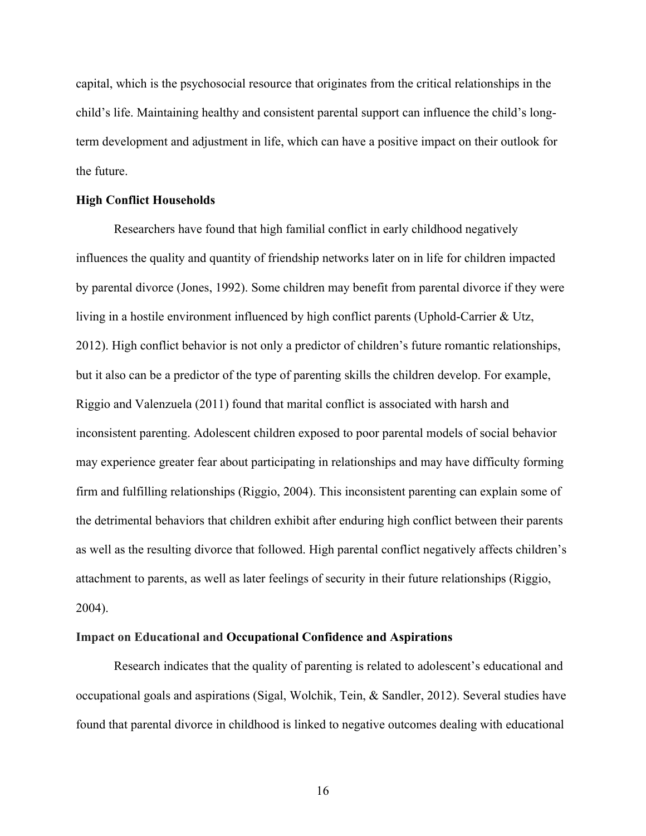capital, which is the psychosocial resource that originates from the critical relationships in the child's life. Maintaining healthy and consistent parental support can influence the child's longterm development and adjustment in life, which can have a positive impact on their outlook for the future.

#### **High Conflict Households**

Researchers have found that high familial conflict in early childhood negatively influences the quality and quantity of friendship networks later on in life for children impacted by parental divorce (Jones, 1992). Some children may benefit from parental divorce if they were living in a hostile environment influenced by high conflict parents (Uphold-Carrier & Utz, 2012). High conflict behavior is not only a predictor of children's future romantic relationships, but it also can be a predictor of the type of parenting skills the children develop. For example, Riggio and Valenzuela (2011) found that marital conflict is associated with harsh and inconsistent parenting. Adolescent children exposed to poor parental models of social behavior may experience greater fear about participating in relationships and may have difficulty forming firm and fulfilling relationships (Riggio, 2004). This inconsistent parenting can explain some of the detrimental behaviors that children exhibit after enduring high conflict between their parents as well as the resulting divorce that followed. High parental conflict negatively affects children's attachment to parents, as well as later feelings of security in their future relationships (Riggio, 2004).

#### **Impact on Educational and Occupational Confidence and Aspirations**

Research indicates that the quality of parenting is related to adolescent's educational and occupational goals and aspirations (Sigal, Wolchik, Tein, & Sandler, 2012). Several studies have found that parental divorce in childhood is linked to negative outcomes dealing with educational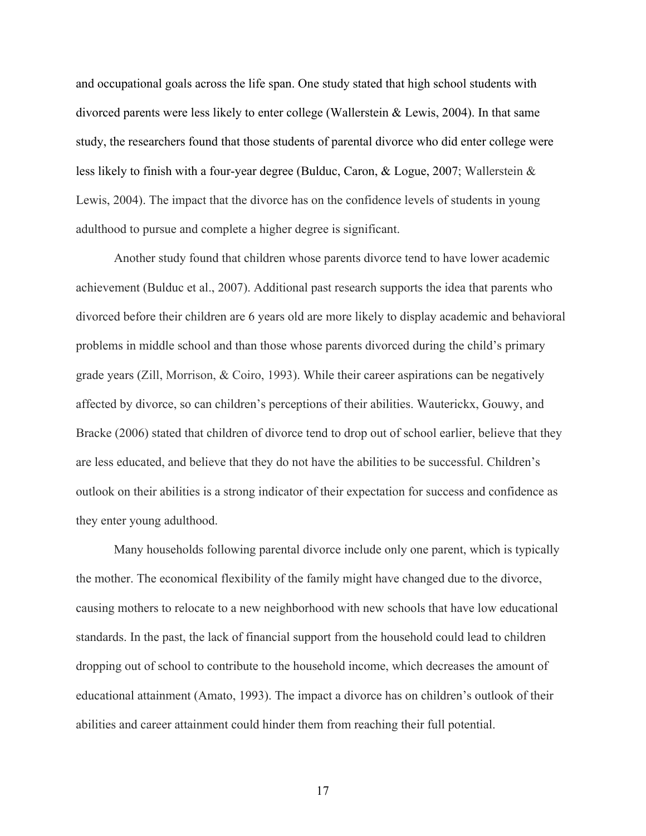and occupational goals across the life span. One study stated that high school students with divorced parents were less likely to enter college (Wallerstein & Lewis, 2004). In that same study, the researchers found that those students of parental divorce who did enter college were less likely to finish with a four-year degree (Bulduc, Caron, & Logue, 2007; Wallerstein & Lewis, 2004). The impact that the divorce has on the confidence levels of students in young adulthood to pursue and complete a higher degree is significant.

Another study found that children whose parents divorce tend to have lower academic achievement (Bulduc et al., 2007). Additional past research supports the idea that parents who divorced before their children are 6 years old are more likely to display academic and behavioral problems in middle school and than those whose parents divorced during the child's primary grade years (Zill, Morrison, & Coiro, 1993). While their career aspirations can be negatively affected by divorce, so can children's perceptions of their abilities. Wauterickx, Gouwy, and Bracke (2006) stated that children of divorce tend to drop out of school earlier, believe that they are less educated, and believe that they do not have the abilities to be successful. Children's outlook on their abilities is a strong indicator of their expectation for success and confidence as they enter young adulthood.

Many households following parental divorce include only one parent, which is typically the mother. The economical flexibility of the family might have changed due to the divorce, causing mothers to relocate to a new neighborhood with new schools that have low educational standards. In the past, the lack of financial support from the household could lead to children dropping out of school to contribute to the household income, which decreases the amount of educational attainment (Amato, 1993). The impact a divorce has on children's outlook of their abilities and career attainment could hinder them from reaching their full potential.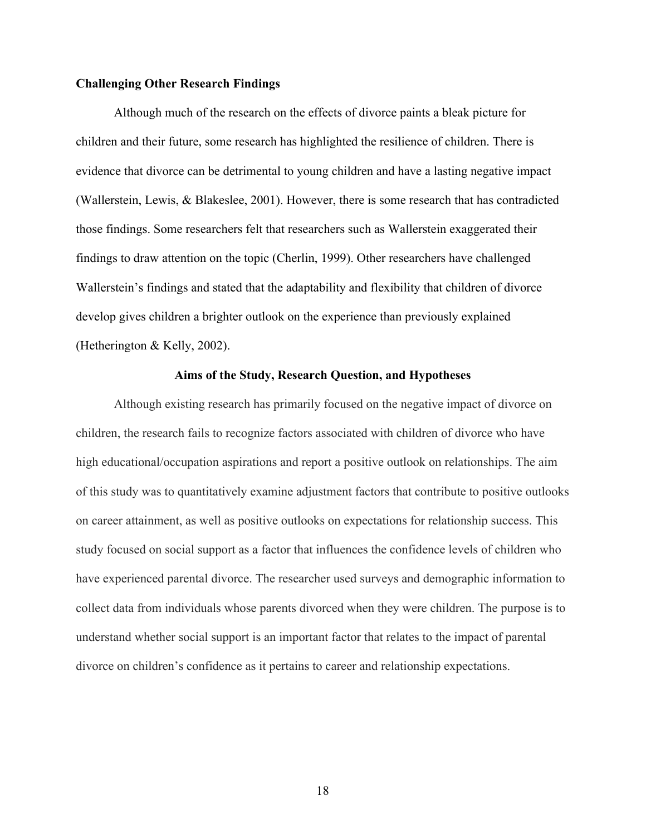#### **Challenging Other Research Findings**

Although much of the research on the effects of divorce paints a bleak picture for children and their future, some research has highlighted the resilience of children. There is evidence that divorce can be detrimental to young children and have a lasting negative impact (Wallerstein, Lewis, & Blakeslee, 2001). However, there is some research that has contradicted those findings. Some researchers felt that researchers such as Wallerstein exaggerated their findings to draw attention on the topic (Cherlin, 1999). Other researchers have challenged Wallerstein's findings and stated that the adaptability and flexibility that children of divorce develop gives children a brighter outlook on the experience than previously explained (Hetherington & Kelly, 2002).

#### **Aims of the Study, Research Question, and Hypotheses**

Although existing research has primarily focused on the negative impact of divorce on children, the research fails to recognize factors associated with children of divorce who have high educational/occupation aspirations and report a positive outlook on relationships. The aim of this study was to quantitatively examine adjustment factors that contribute to positive outlooks on career attainment, as well as positive outlooks on expectations for relationship success. This study focused on social support as a factor that influences the confidence levels of children who have experienced parental divorce. The researcher used surveys and demographic information to collect data from individuals whose parents divorced when they were children. The purpose is to understand whether social support is an important factor that relates to the impact of parental divorce on children's confidence as it pertains to career and relationship expectations.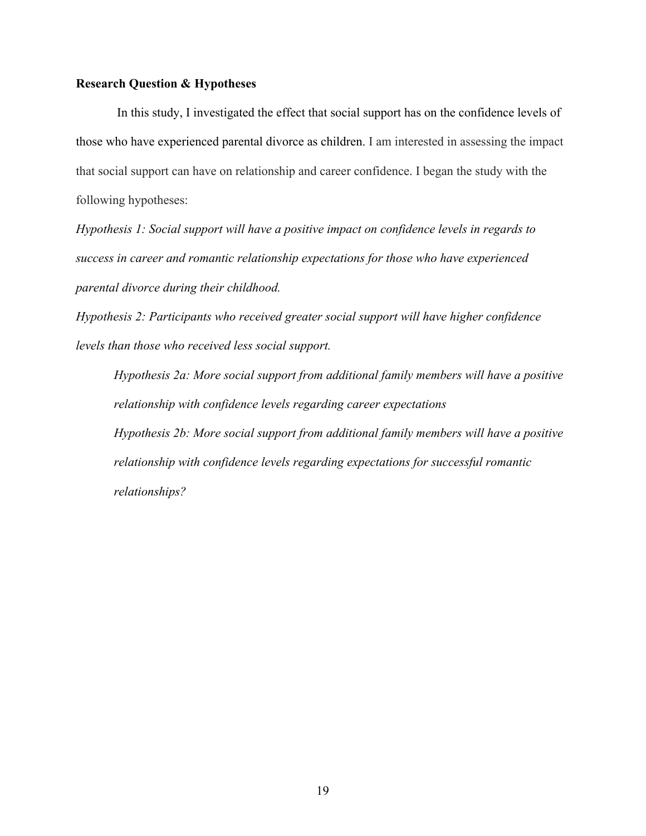#### **Research Question & Hypotheses**

In this study, I investigated the effect that social support has on the confidence levels of those who have experienced parental divorce as children. I am interested in assessing the impact that social support can have on relationship and career confidence. I began the study with the following hypotheses:

*Hypothesis 1: Social support will have a positive impact on confidence levels in regards to success in career and romantic relationship expectations for those who have experienced parental divorce during their childhood.*

*Hypothesis 2: Participants who received greater social support will have higher confidence levels than those who received less social support.* 

*Hypothesis 2a: More social support from additional family members will have a positive relationship with confidence levels regarding career expectations Hypothesis 2b: More social support from additional family members will have a positive relationship with confidence levels regarding expectations for successful romantic relationships?*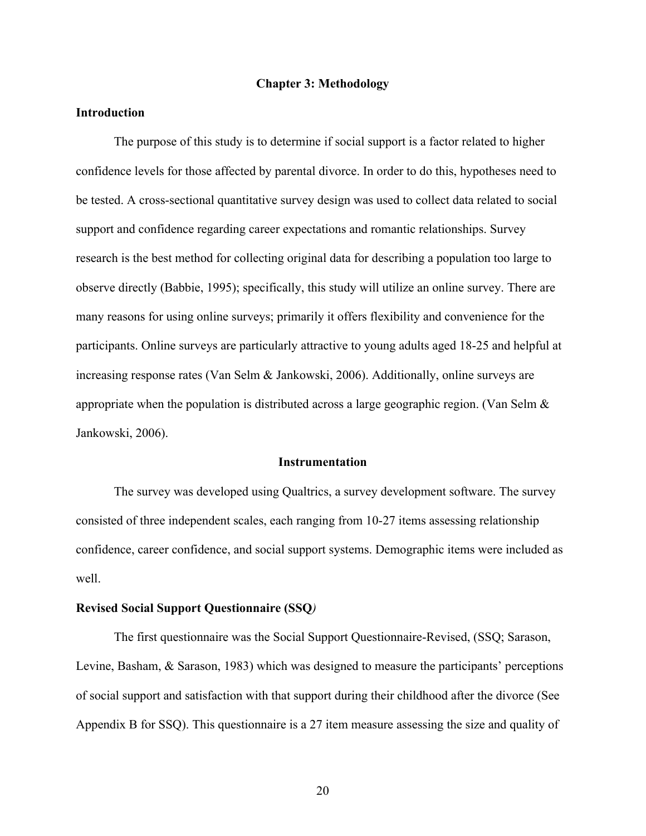#### **Chapter 3: Methodology**

#### **Introduction**

The purpose of this study is to determine if social support is a factor related to higher confidence levels for those affected by parental divorce. In order to do this, hypotheses need to be tested. A cross-sectional quantitative survey design was used to collect data related to social support and confidence regarding career expectations and romantic relationships. Survey research is the best method for collecting original data for describing a population too large to observe directly (Babbie, 1995); specifically, this study will utilize an online survey. There are many reasons for using online surveys; primarily it offers flexibility and convenience for the participants. Online surveys are particularly attractive to young adults aged 18-25 and helpful at increasing response rates (Van Selm & Jankowski, 2006). Additionally, online surveys are appropriate when the population is distributed across a large geographic region. (Van Selm  $\&$ Jankowski, 2006).

#### **Instrumentation**

The survey was developed using Qualtrics, a survey development software. The survey consisted of three independent scales, each ranging from 10-27 items assessing relationship confidence, career confidence, and social support systems. Demographic items were included as well.

#### **Revised Social Support Questionnaire (SSQ***)*

The first questionnaire was the Social Support Questionnaire-Revised, (SSQ; Sarason, Levine, Basham, & Sarason, 1983) which was designed to measure the participants' perceptions of social support and satisfaction with that support during their childhood after the divorce (See Appendix B for SSQ). This questionnaire is a 27 item measure assessing the size and quality of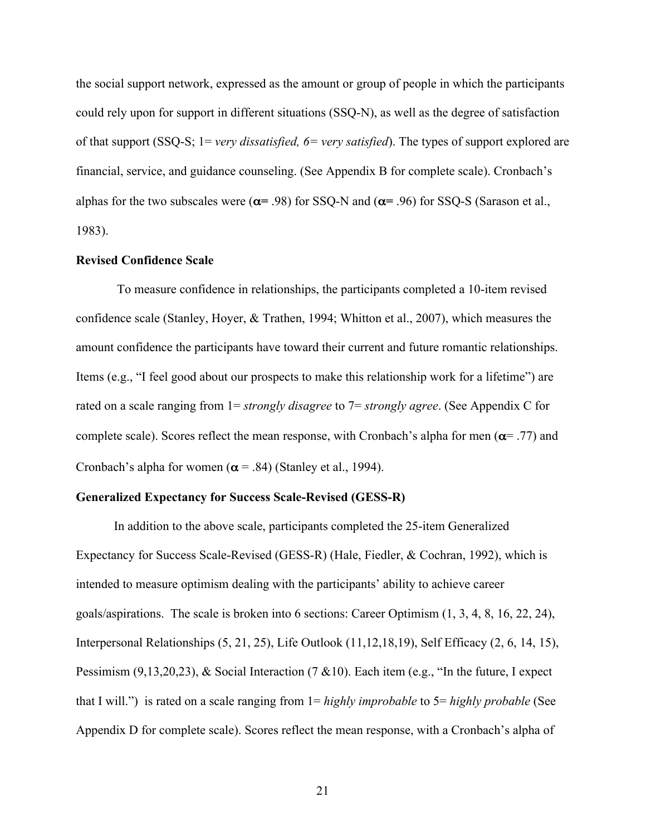the social support network, expressed as the amount or group of people in which the participants could rely upon for support in different situations (SSQ-N), as well as the degree of satisfaction of that support (SSQ-S; 1= *very dissatisfied, 6= very satisfied*). The types of support explored are financial, service, and guidance counseling. (See Appendix B for complete scale). Cronbach's alphas for the two subscales were (α**=** .98) for SSQ-N and (α**=** .96) for SSQ-S (Sarason et al., 1983).

#### **Revised Confidence Scale**

To measure confidence in relationships, the participants completed a 10-item revised confidence scale (Stanley, Hoyer, & Trathen, 1994; Whitton et al., 2007), which measures the amount confidence the participants have toward their current and future romantic relationships. Items (e.g., "I feel good about our prospects to make this relationship work for a lifetime") are rated on a scale ranging from 1= *strongly disagree* to 7= *strongly agree*. (See Appendix C for complete scale). Scores reflect the mean response, with Cronbach's alpha for men ( $\alpha$ = .77) and Cronbach's alpha for women ( $\alpha$  = .84) (Stanley et al., 1994).

#### **Generalized Expectancy for Success Scale-Revised (GESS-R)**

In addition to the above scale, participants completed the 25-item Generalized Expectancy for Success Scale-Revised (GESS-R) (Hale, Fiedler, & Cochran, 1992), which is intended to measure optimism dealing with the participants' ability to achieve career goals/aspirations. The scale is broken into 6 sections: Career Optimism (1, 3, 4, 8, 16, 22, 24), Interpersonal Relationships (5, 21, 25), Life Outlook (11,12,18,19), Self Efficacy (2, 6, 14, 15), Pessimism (9,13,20,23), & Social Interaction (7 & 10). Each item (e.g., "In the future, I expect that I will.") is rated on a scale ranging from 1= *highly improbable* to 5= *highly probable* (See Appendix D for complete scale). Scores reflect the mean response, with a Cronbach's alpha of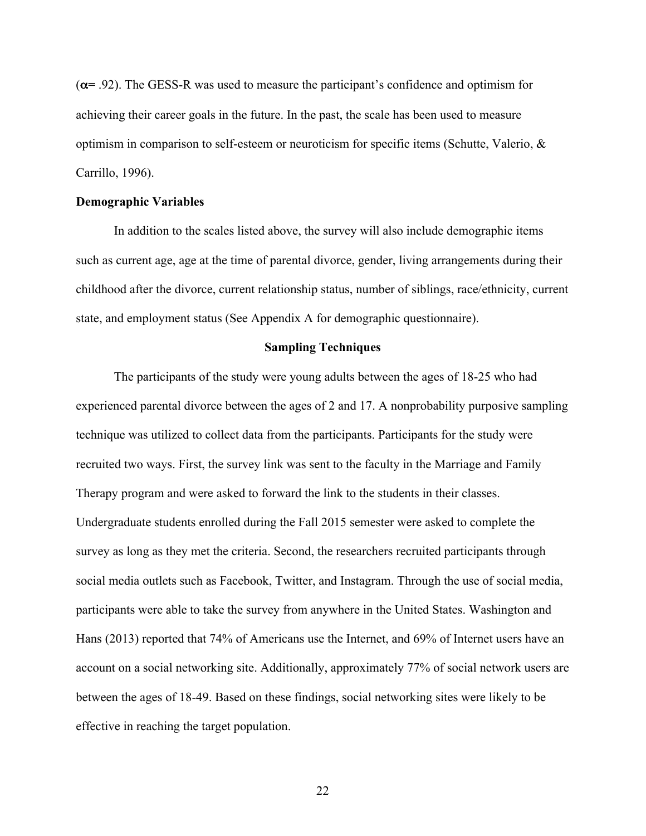(α**=** .92). The GESS-R was used to measure the participant's confidence and optimism for achieving their career goals in the future. In the past, the scale has been used to measure optimism in comparison to self-esteem or neuroticism for specific items (Schutte, Valerio, & Carrillo, 1996).

#### **Demographic Variables**

In addition to the scales listed above, the survey will also include demographic items such as current age, age at the time of parental divorce, gender, living arrangements during their childhood after the divorce, current relationship status, number of siblings, race/ethnicity, current state, and employment status (See Appendix A for demographic questionnaire).

#### **Sampling Techniques**

The participants of the study were young adults between the ages of 18-25 who had experienced parental divorce between the ages of 2 and 17. A nonprobability purposive sampling technique was utilized to collect data from the participants. Participants for the study were recruited two ways. First, the survey link was sent to the faculty in the Marriage and Family Therapy program and were asked to forward the link to the students in their classes. Undergraduate students enrolled during the Fall 2015 semester were asked to complete the survey as long as they met the criteria. Second, the researchers recruited participants through social media outlets such as Facebook, Twitter, and Instagram. Through the use of social media, participants were able to take the survey from anywhere in the United States. Washington and Hans (2013) reported that 74% of Americans use the Internet, and 69% of Internet users have an account on a social networking site. Additionally, approximately 77% of social network users are between the ages of 18-49. Based on these findings, social networking sites were likely to be effective in reaching the target population.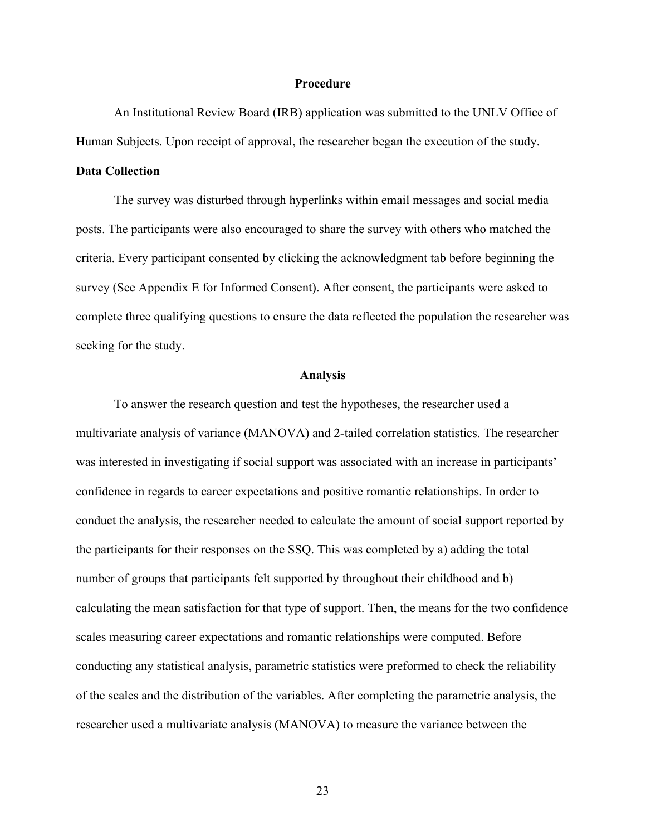#### **Procedure**

An Institutional Review Board (IRB) application was submitted to the UNLV Office of Human Subjects. Upon receipt of approval, the researcher began the execution of the study.

#### **Data Collection**

The survey was disturbed through hyperlinks within email messages and social media posts. The participants were also encouraged to share the survey with others who matched the criteria. Every participant consented by clicking the acknowledgment tab before beginning the survey (See Appendix E for Informed Consent). After consent, the participants were asked to complete three qualifying questions to ensure the data reflected the population the researcher was seeking for the study.

#### **Analysis**

To answer the research question and test the hypotheses, the researcher used a multivariate analysis of variance (MANOVA) and 2-tailed correlation statistics. The researcher was interested in investigating if social support was associated with an increase in participants' confidence in regards to career expectations and positive romantic relationships. In order to conduct the analysis, the researcher needed to calculate the amount of social support reported by the participants for their responses on the SSQ. This was completed by a) adding the total number of groups that participants felt supported by throughout their childhood and b) calculating the mean satisfaction for that type of support. Then, the means for the two confidence scales measuring career expectations and romantic relationships were computed. Before conducting any statistical analysis, parametric statistics were preformed to check the reliability of the scales and the distribution of the variables. After completing the parametric analysis, the researcher used a multivariate analysis (MANOVA) to measure the variance between the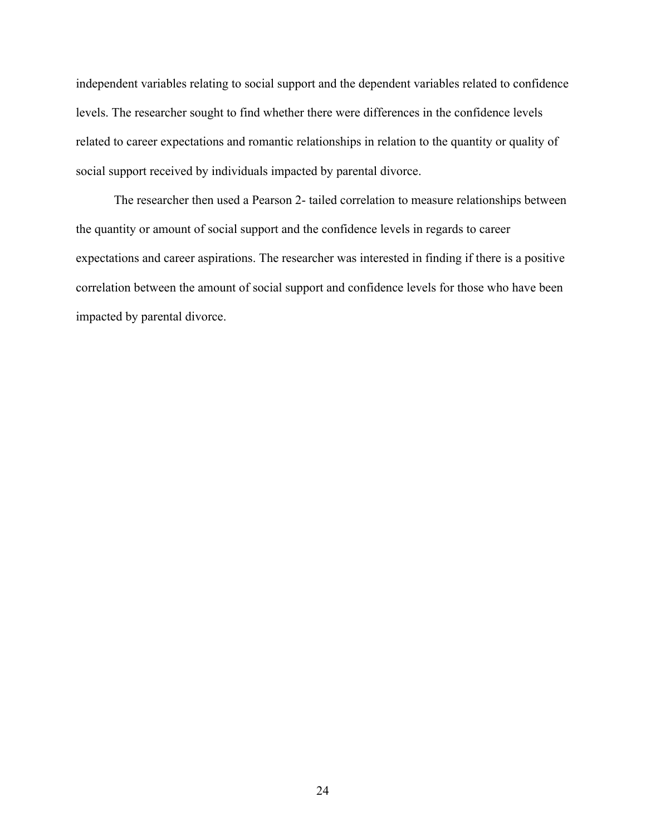independent variables relating to social support and the dependent variables related to confidence levels. The researcher sought to find whether there were differences in the confidence levels related to career expectations and romantic relationships in relation to the quantity or quality of social support received by individuals impacted by parental divorce.

The researcher then used a Pearson 2- tailed correlation to measure relationships between the quantity or amount of social support and the confidence levels in regards to career expectations and career aspirations. The researcher was interested in finding if there is a positive correlation between the amount of social support and confidence levels for those who have been impacted by parental divorce.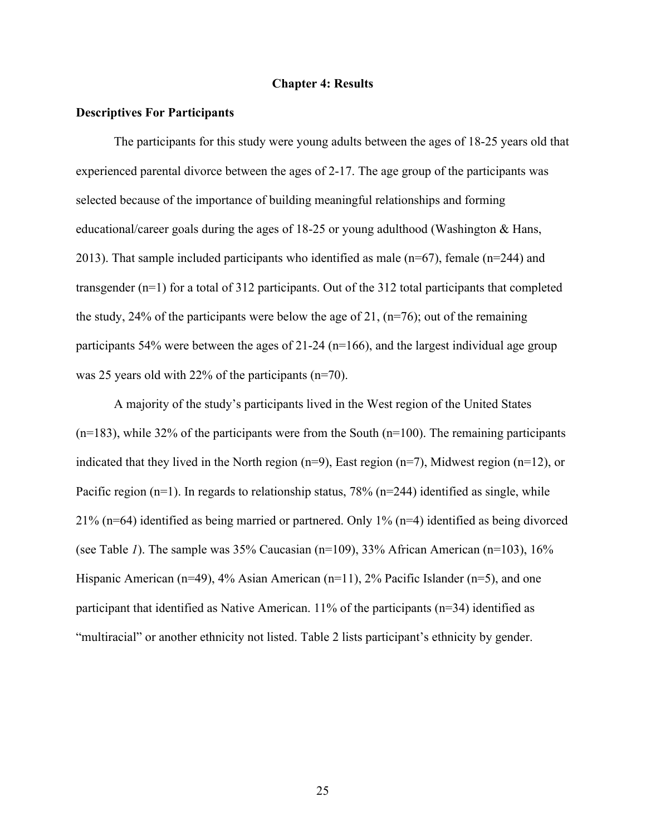#### **Chapter 4: Results**

#### **Descriptives For Participants**

The participants for this study were young adults between the ages of 18-25 years old that experienced parental divorce between the ages of 2-17. The age group of the participants was selected because of the importance of building meaningful relationships and forming educational/career goals during the ages of 18-25 or young adulthood (Washington & Hans, 2013). That sample included participants who identified as male (n=67), female (n=244) and transgender (n=1) for a total of 312 participants. Out of the 312 total participants that completed the study, 24% of the participants were below the age of 21,  $(n=76)$ ; out of the remaining participants  $54\%$  were between the ages of  $21-24$  (n=166), and the largest individual age group was 25 years old with 22% of the participants (n=70).

A majority of the study's participants lived in the West region of the United States  $(n=183)$ , while 32% of the participants were from the South  $(n=100)$ . The remaining participants indicated that they lived in the North region (n=9), East region (n=7), Midwest region (n=12), or Pacific region ( $n=1$ ). In regards to relationship status, 78% ( $n=244$ ) identified as single, while 21% (n=64) identified as being married or partnered. Only 1% (n=4) identified as being divorced (see Table *1*). The sample was 35% Caucasian (n=109), 33% African American (n=103), 16% Hispanic American (n=49), 4% Asian American (n=11), 2% Pacific Islander (n=5), and one participant that identified as Native American. 11% of the participants (n=34) identified as "multiracial" or another ethnicity not listed. Table 2 lists participant's ethnicity by gender.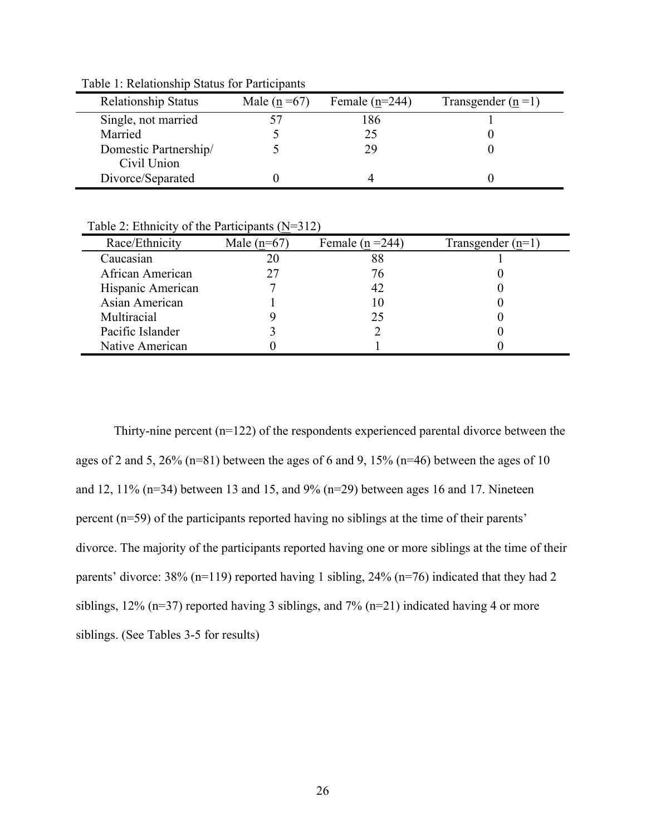| <b>Relationship Status</b> | Male ( $n = 67$ ) | Female $(n=244)$ | Transgender $(n=1)$ |
|----------------------------|-------------------|------------------|---------------------|
| Single, not married        |                   | 186              |                     |
| Married                    |                   | 25               |                     |
| Domestic Partnership/      |                   | 29               |                     |
| Civil Union                |                   |                  |                     |
| Divorce/Separated          |                   |                  |                     |

Table 1: Relationship Status for Participants

Table 2: Ethnicity of the Participants (N=312)

| Race/Ethnicity    | Male $(n=67)$ | Female ( $n = 244$ ) | Transgender $(n=1)$ |
|-------------------|---------------|----------------------|---------------------|
| Caucasian         |               | 88                   |                     |
| African American  |               | 76                   |                     |
| Hispanic American |               |                      |                     |
| Asian American    |               |                      |                     |
| Multiracial       |               | 25                   |                     |
| Pacific Islander  |               |                      |                     |
| Native American   |               |                      |                     |
|                   |               |                      |                     |

Thirty-nine percent (n=122) of the respondents experienced parental divorce between the ages of 2 and 5, 26% (n=81) between the ages of 6 and 9, 15% (n=46) between the ages of 10 and 12, 11% (n=34) between 13 and 15, and 9% (n=29) between ages 16 and 17. Nineteen percent (n=59) of the participants reported having no siblings at the time of their parents' divorce. The majority of the participants reported having one or more siblings at the time of their parents' divorce: 38% (n=119) reported having 1 sibling, 24% (n=76) indicated that they had 2 siblings, 12% ( $n=37$ ) reported having 3 siblings, and 7% ( $n=21$ ) indicated having 4 or more siblings. (See Tables 3-5 for results)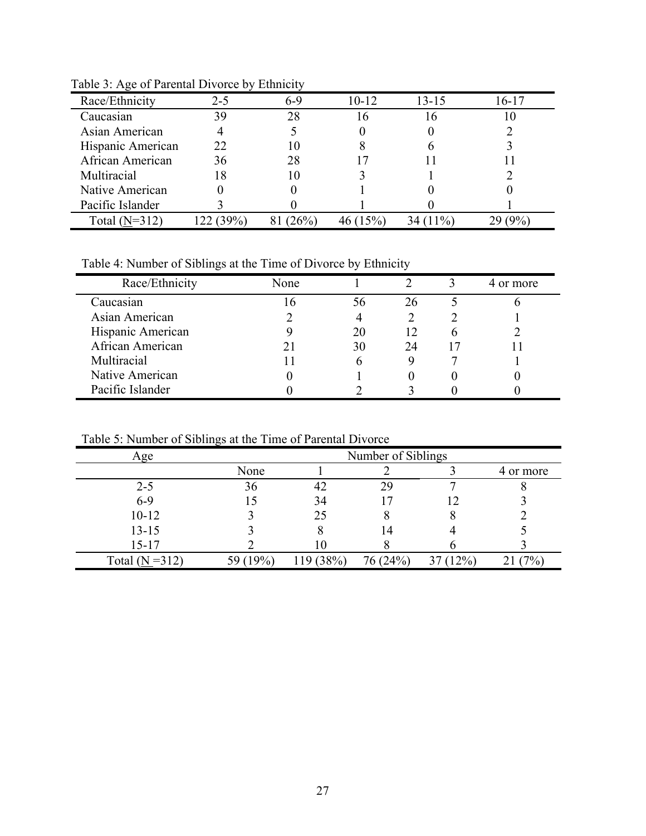| Race/Ethnicity    | 2-5 | 6-9 | $10-12$ | $13 - 15$ | 16-17 |
|-------------------|-----|-----|---------|-----------|-------|
| Caucasian         | 39  | 28  |         | I 6       |       |
| Asian American    |     |     |         |           |       |
| Hispanic American | フフ  | 10  |         |           |       |
| African American  | 36  | 28  |         |           |       |
| Multiracial       |     | 10  |         |           |       |
| Native American   |     |     |         |           |       |
| Pacific Islander  |     |     |         |           |       |
| Total $(N=312)$   |     |     |         |           |       |

Table 3: Age of Parental Divorce by Ethnicity

Table 4: Number of Siblings at the Time of Divorce by Ethnicity

| Race/Ethnicity    | None |    |    | 4 or more |
|-------------------|------|----|----|-----------|
| Caucasian         |      | 56 | 26 |           |
| Asian American    |      |    |    |           |
| Hispanic American |      | 20 | 12 |           |
| African American  |      | 30 | 24 |           |
| Multiracial       |      |    |    |           |
| Native American   |      |    |    |           |
| Pacific Islander  |      |    |    |           |

Table 5: Number of Siblings at the Time of Parental Divorce

| Age               | Number of Siblings |      |          |       |           |
|-------------------|--------------------|------|----------|-------|-----------|
|                   | None               |      |          |       | 4 or more |
| $2 - 5$           | 36                 | 42   | 29       |       |           |
| $6 - 9$           |                    | 34   |          | 12    |           |
| $10 - 12$         |                    | 25   |          |       |           |
| $13 - 15$         |                    |      | ι4       |       |           |
| $15 - 17$         |                    |      |          |       |           |
| Total $(N = 312)$ | 59 (19%)           | 38%) | 76 (24%) | (12%) | 70/0,     |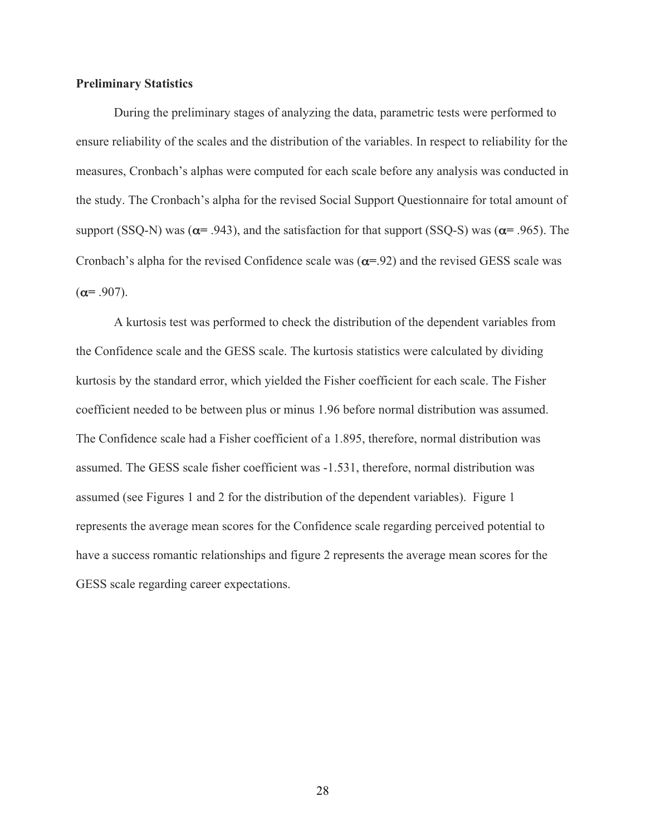#### **Preliminary Statistics**

During the preliminary stages of analyzing the data, parametric tests were performed to ensure reliability of the scales and the distribution of the variables. In respect to reliability for the measures, Cronbach's alphas were computed for each scale before any analysis was conducted in the study. The Cronbach's alpha for the revised Social Support Questionnaire for total amount of support (SSQ-N) was (α**=** .943), and the satisfaction for that support (SSQ-S) was (α**=** .965). The Cronbach's alpha for the revised Confidence scale was (α**=**.92) and the revised GESS scale was  $(\alpha = .907)$ .

A kurtosis test was performed to check the distribution of the dependent variables from the Confidence scale and the GESS scale. The kurtosis statistics were calculated by dividing kurtosis by the standard error, which yielded the Fisher coefficient for each scale. The Fisher coefficient needed to be between plus or minus 1.96 before normal distribution was assumed. The Confidence scale had a Fisher coefficient of a 1.895, therefore, normal distribution was assumed. The GESS scale fisher coefficient was -1.531, therefore, normal distribution was assumed (see Figures 1 and 2 for the distribution of the dependent variables). Figure 1 represents the average mean scores for the Confidence scale regarding perceived potential to have a success romantic relationships and figure 2 represents the average mean scores for the GESS scale regarding career expectations.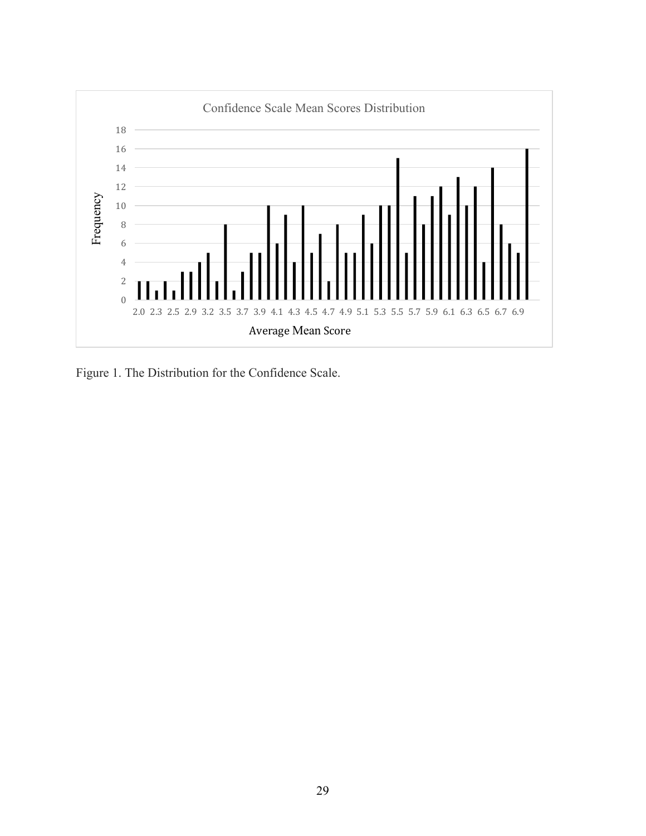

Figure 1. The Distribution for the Confidence Scale.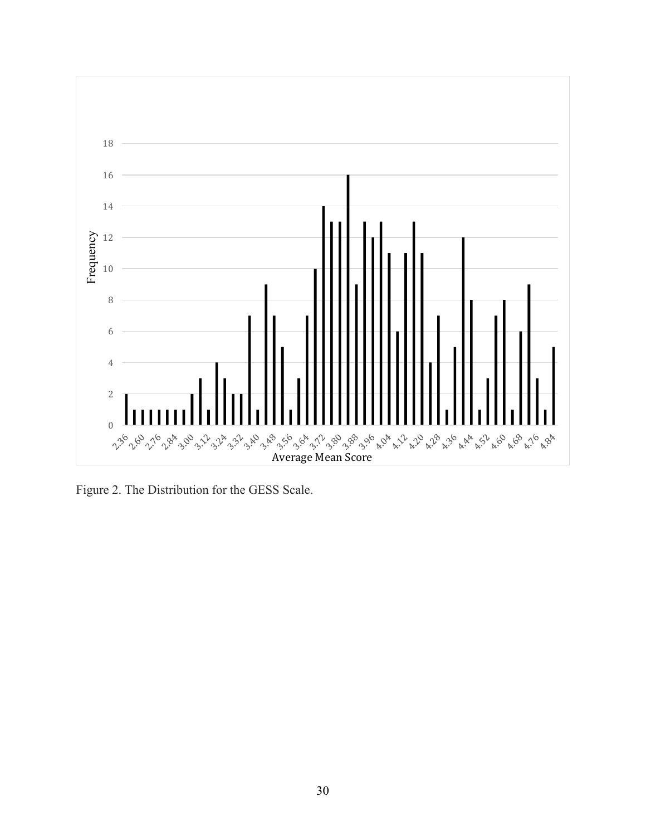

Figure 2. The Distribution for the GESS Scale.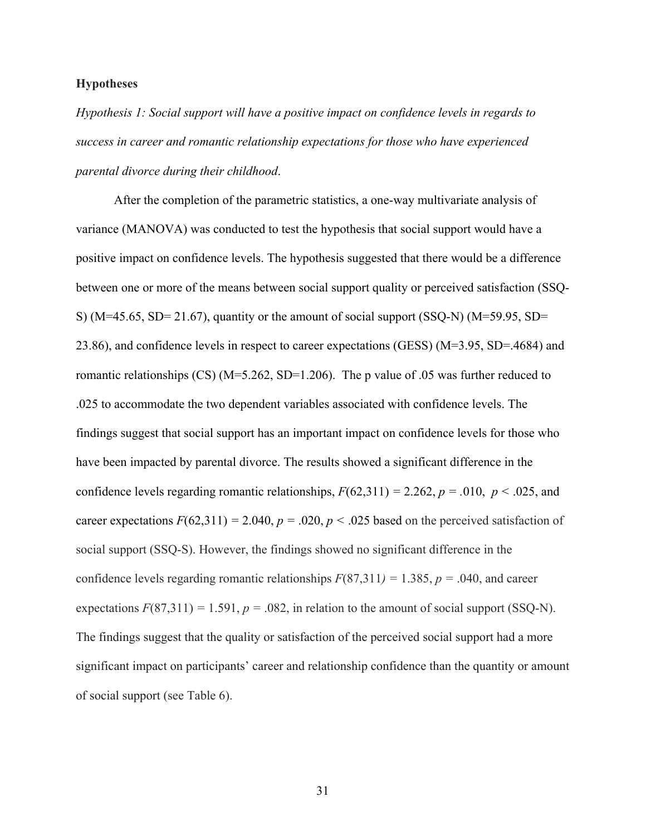#### **Hypotheses**

*Hypothesis 1: Social support will have a positive impact on confidence levels in regards to success in career and romantic relationship expectations for those who have experienced parental divorce during their childhood*.

After the completion of the parametric statistics, a one-way multivariate analysis of variance (MANOVA) was conducted to test the hypothesis that social support would have a positive impact on confidence levels. The hypothesis suggested that there would be a difference between one or more of the means between social support quality or perceived satisfaction (SSQ-S) ( $M=45.65$ , SD= 21.67), quantity or the amount of social support (SSQ-N) ( $M=59.95$ , SD= 23.86), and confidence levels in respect to career expectations (GESS) (M=3.95, SD=.4684) and romantic relationships (CS) (M=5.262, SD=1.206). The p value of .05 was further reduced to .025 to accommodate the two dependent variables associated with confidence levels. The findings suggest that social support has an important impact on confidence levels for those who have been impacted by parental divorce. The results showed a significant difference in the confidence levels regarding romantic relationships,  $F(62,311) = 2.262$ ,  $p = .010$ ,  $p < .025$ , and career expectations  $F(62,311) = 2.040$ ,  $p = .020$ ,  $p < .025$  based on the perceived satisfaction of social support (SSQ-S). However, the findings showed no significant difference in the confidence levels regarding romantic relationships  $F(87,311) = 1.385$ ,  $p = .040$ , and career expectations  $F(87,311) = 1.591$ ,  $p = .082$ , in relation to the amount of social support (SSQ-N). The findings suggest that the quality or satisfaction of the perceived social support had a more significant impact on participants' career and relationship confidence than the quantity or amount of social support (see Table 6).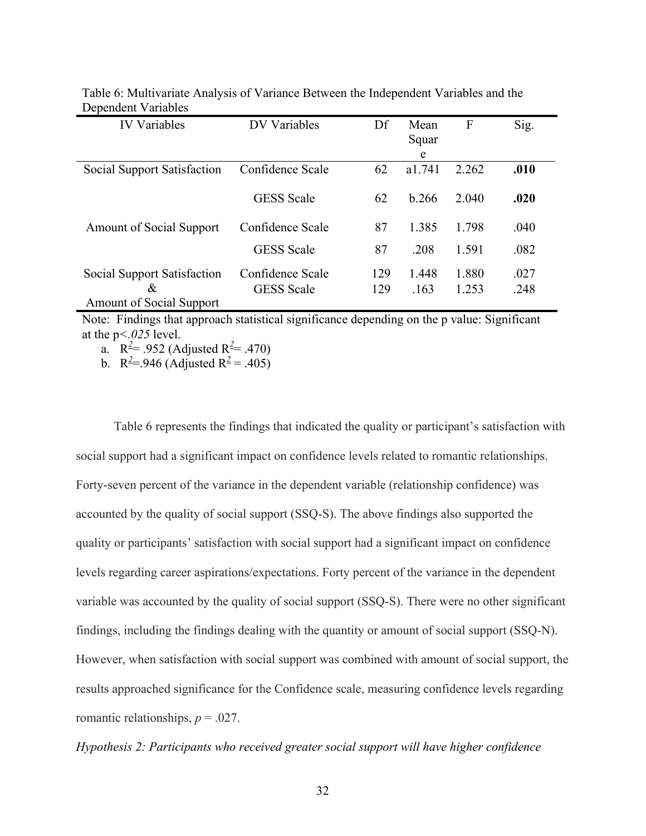| <b>IV Variables</b>             | <b>DV Variables</b> | Df  | Mean   | F     | Sig. |
|---------------------------------|---------------------|-----|--------|-------|------|
|                                 |                     |     | Squar  |       |      |
|                                 |                     |     | e      |       |      |
| Social Support Satisfaction     | Confidence Scale    | 62  | a1.741 | 2.262 | .010 |
|                                 |                     |     |        |       |      |
|                                 | <b>GESS</b> Scale   | 62  | b.266  | 2.040 | .020 |
|                                 |                     |     |        |       |      |
| <b>Amount of Social Support</b> | Confidence Scale    | 87  | 1.385  | 1.798 | .040 |
|                                 | <b>GESS</b> Scale   | 87  | .208   | 1.591 | .082 |
|                                 |                     |     |        |       |      |
| Social Support Satisfaction     | Confidence Scale    | 129 | 1.448  | 1.880 | .027 |
| &                               | <b>GESS</b> Scale   | 129 | .163   | 1.253 | .248 |
| <b>Amount of Social Support</b> |                     |     |        |       |      |

Table 6: Multivariate Analysis of Variance Between the Independent Variables and the Dependent Variables

Note: Findings that approach statistical significance depending on the p value: Significant at the p*<.025* level.

a.  $R^2 = .952$  (Adjusted  $R^2 = .470$ )

b.  $R^2 = 946$  (Adjusted  $R^2 = .405$ )

Table 6 represents the findings that indicated the quality or participant's satisfaction with social support had a significant impact on confidence levels related to romantic relationships. Forty-seven percent of the variance in the dependent variable (relationship confidence) was accounted by the quality of social support (SSQ-S). The above findings also supported the quality or participants' satisfaction with social support had a significant impact on confidence levels regarding career aspirations/expectations. Forty percent of the variance in the dependent variable was accounted by the quality of social support (SSQ-S). There were no other significant findings, including the findings dealing with the quantity or amount of social support (SSQ-N). However, when satisfaction with social support was combined with amount of social support, the results approached significance for the Confidence scale, measuring confidence levels regarding romantic relationships,  $p = .027$ .

#### *Hypothesis 2: Participants who received greater social support will have higher confidence*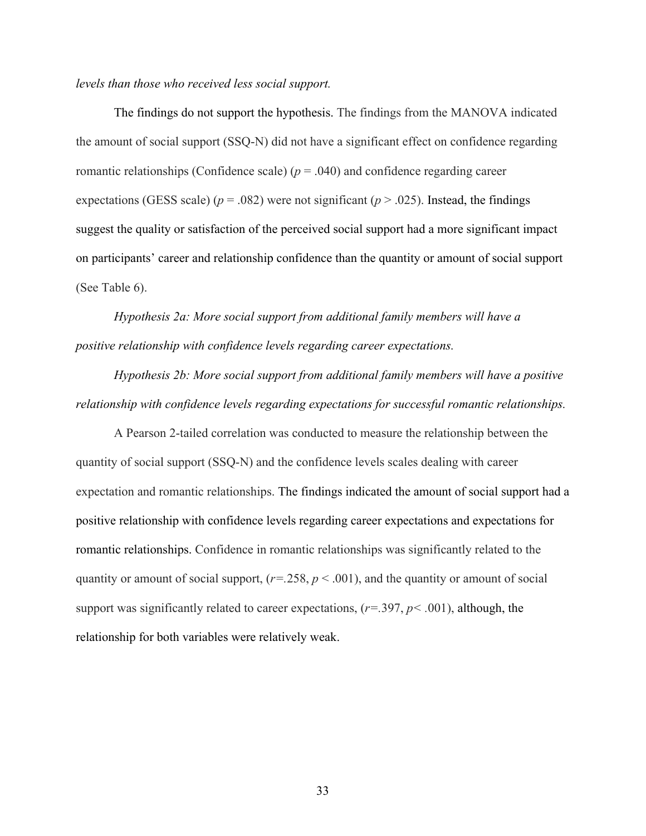#### *levels than those who received less social support.*

The findings do not support the hypothesis. The findings from the MANOVA indicated the amount of social support (SSQ-N) did not have a significant effect on confidence regarding romantic relationships (Confidence scale)  $(p = .040)$  and confidence regarding career expectations (GESS scale) ( $p = .082$ ) were not significant ( $p > .025$ ). Instead, the findings suggest the quality or satisfaction of the perceived social support had a more significant impact on participants' career and relationship confidence than the quantity or amount of social support (See Table 6).

*Hypothesis 2a: More social support from additional family members will have a positive relationship with confidence levels regarding career expectations.*

*Hypothesis 2b: More social support from additional family members will have a positive relationship with confidence levels regarding expectations for successful romantic relationships.*

A Pearson 2-tailed correlation was conducted to measure the relationship between the quantity of social support (SSQ-N) and the confidence levels scales dealing with career expectation and romantic relationships. The findings indicated the amount of social support had a positive relationship with confidence levels regarding career expectations and expectations for romantic relationships. Confidence in romantic relationships was significantly related to the quantity or amount of social support,  $(r=.258, p < .001)$ , and the quantity or amount of social support was significantly related to career expectations, (*r=.*397, *p< .*001), although, the relationship for both variables were relatively weak.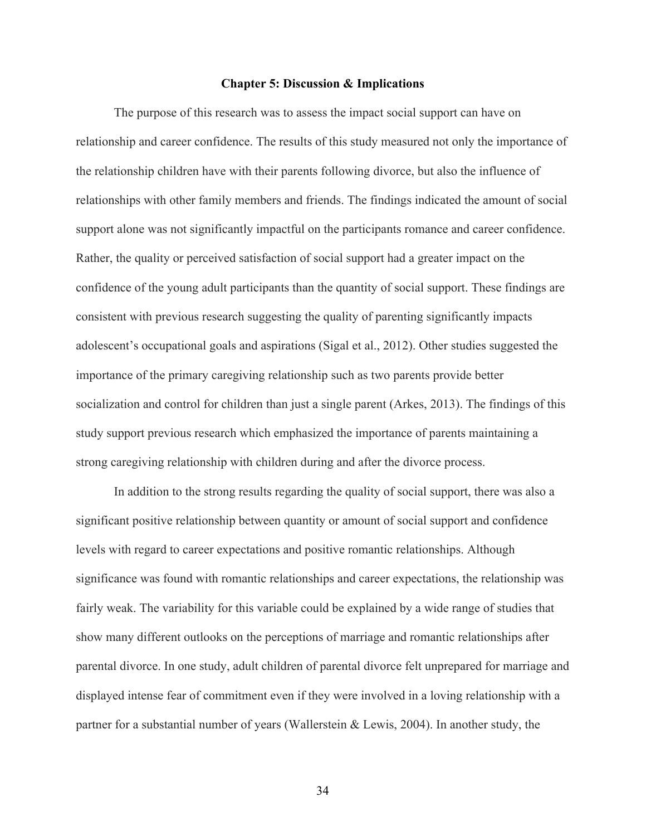#### **Chapter 5: Discussion & Implications**

The purpose of this research was to assess the impact social support can have on relationship and career confidence. The results of this study measured not only the importance of the relationship children have with their parents following divorce, but also the influence of relationships with other family members and friends. The findings indicated the amount of social support alone was not significantly impactful on the participants romance and career confidence. Rather, the quality or perceived satisfaction of social support had a greater impact on the confidence of the young adult participants than the quantity of social support. These findings are consistent with previous research suggesting the quality of parenting significantly impacts adolescent's occupational goals and aspirations (Sigal et al., 2012). Other studies suggested the importance of the primary caregiving relationship such as two parents provide better socialization and control for children than just a single parent (Arkes, 2013). The findings of this study support previous research which emphasized the importance of parents maintaining a strong caregiving relationship with children during and after the divorce process.

In addition to the strong results regarding the quality of social support, there was also a significant positive relationship between quantity or amount of social support and confidence levels with regard to career expectations and positive romantic relationships. Although significance was found with romantic relationships and career expectations, the relationship was fairly weak. The variability for this variable could be explained by a wide range of studies that show many different outlooks on the perceptions of marriage and romantic relationships after parental divorce. In one study, adult children of parental divorce felt unprepared for marriage and displayed intense fear of commitment even if they were involved in a loving relationship with a partner for a substantial number of years (Wallerstein & Lewis, 2004). In another study, the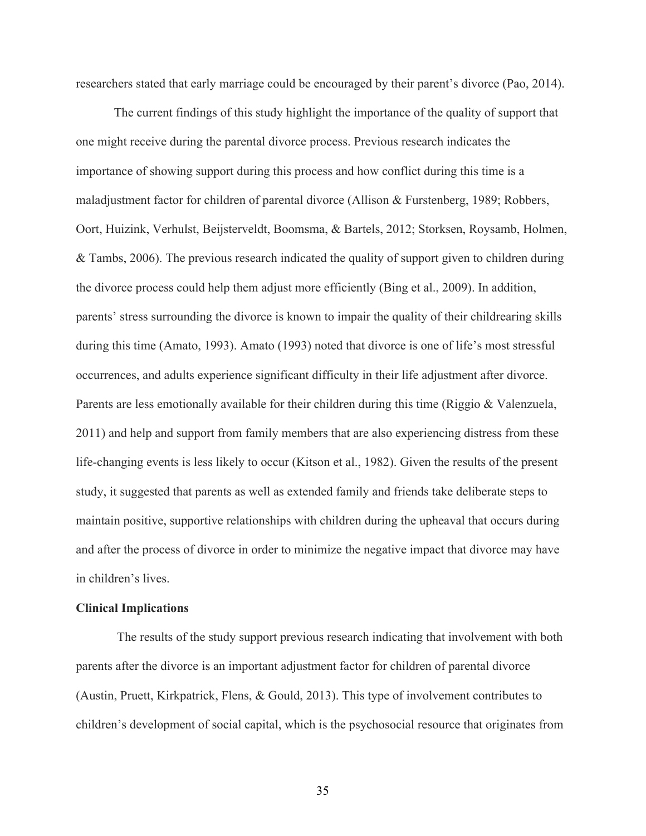researchers stated that early marriage could be encouraged by their parent's divorce (Pao, 2014).

The current findings of this study highlight the importance of the quality of support that one might receive during the parental divorce process. Previous research indicates the importance of showing support during this process and how conflict during this time is a maladjustment factor for children of parental divorce (Allison & Furstenberg, 1989; Robbers, Oort, Huizink, Verhulst, Beijsterveldt, Boomsma, & Bartels, 2012; Storksen, Roysamb, Holmen, & Tambs, 2006). The previous research indicated the quality of support given to children during the divorce process could help them adjust more efficiently (Bing et al., 2009). In addition, parents' stress surrounding the divorce is known to impair the quality of their childrearing skills during this time (Amato, 1993). Amato (1993) noted that divorce is one of life's most stressful occurrences, and adults experience significant difficulty in their life adjustment after divorce. Parents are less emotionally available for their children during this time (Riggio & Valenzuela, 2011) and help and support from family members that are also experiencing distress from these life-changing events is less likely to occur (Kitson et al., 1982). Given the results of the present study, it suggested that parents as well as extended family and friends take deliberate steps to maintain positive, supportive relationships with children during the upheaval that occurs during and after the process of divorce in order to minimize the negative impact that divorce may have in children's lives.

#### **Clinical Implications**

The results of the study support previous research indicating that involvement with both parents after the divorce is an important adjustment factor for children of parental divorce (Austin, Pruett, Kirkpatrick, Flens, & Gould, 2013). This type of involvement contributes to children's development of social capital, which is the psychosocial resource that originates from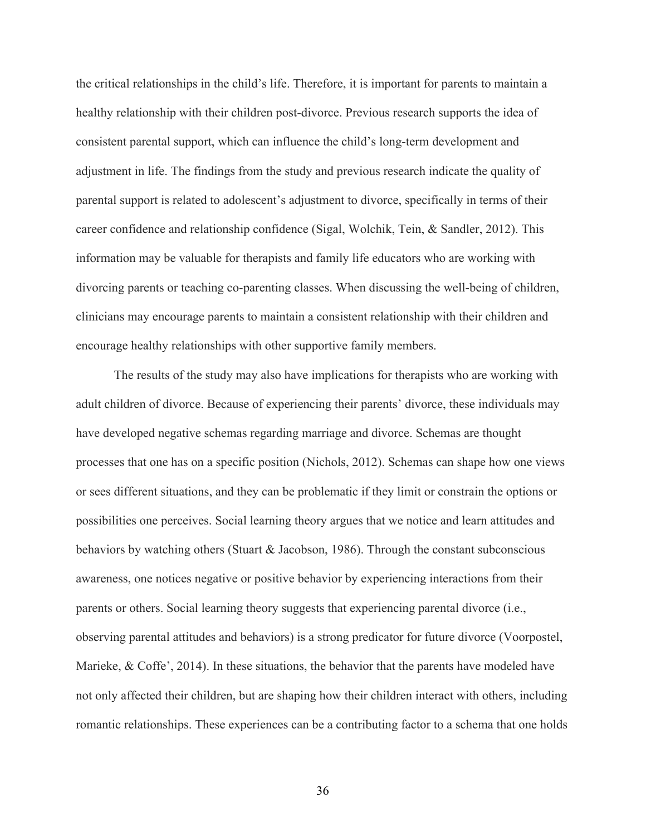the critical relationships in the child's life. Therefore, it is important for parents to maintain a healthy relationship with their children post-divorce. Previous research supports the idea of consistent parental support, which can influence the child's long-term development and adjustment in life. The findings from the study and previous research indicate the quality of parental support is related to adolescent's adjustment to divorce, specifically in terms of their career confidence and relationship confidence (Sigal, Wolchik, Tein, & Sandler, 2012). This information may be valuable for therapists and family life educators who are working with divorcing parents or teaching co-parenting classes. When discussing the well-being of children, clinicians may encourage parents to maintain a consistent relationship with their children and encourage healthy relationships with other supportive family members.

The results of the study may also have implications for therapists who are working with adult children of divorce. Because of experiencing their parents' divorce, these individuals may have developed negative schemas regarding marriage and divorce. Schemas are thought processes that one has on a specific position (Nichols, 2012). Schemas can shape how one views or sees different situations, and they can be problematic if they limit or constrain the options or possibilities one perceives. Social learning theory argues that we notice and learn attitudes and behaviors by watching others (Stuart & Jacobson, 1986). Through the constant subconscious awareness, one notices negative or positive behavior by experiencing interactions from their parents or others. Social learning theory suggests that experiencing parental divorce (i.e., observing parental attitudes and behaviors) is a strong predicator for future divorce (Voorpostel, Marieke, & Coffe', 2014). In these situations, the behavior that the parents have modeled have not only affected their children, but are shaping how their children interact with others, including romantic relationships. These experiences can be a contributing factor to a schema that one holds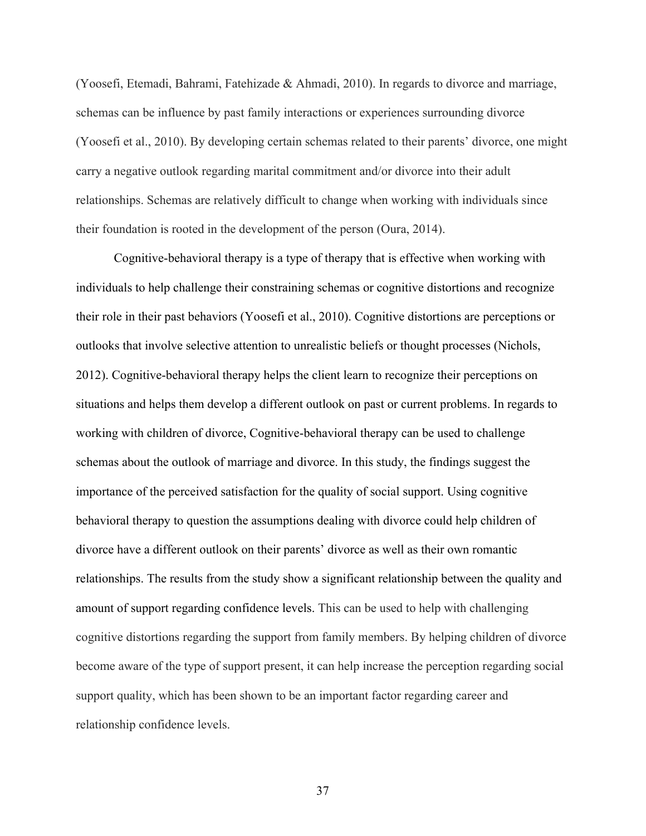(Yoosefi, Etemadi, Bahrami, Fatehizade & Ahmadi, 2010). In regards to divorce and marriage, schemas can be influence by past family interactions or experiences surrounding divorce (Yoosefi et al., 2010). By developing certain schemas related to their parents' divorce, one might carry a negative outlook regarding marital commitment and/or divorce into their adult relationships. Schemas are relatively difficult to change when working with individuals since their foundation is rooted in the development of the person (Oura, 2014).

Cognitive-behavioral therapy is a type of therapy that is effective when working with individuals to help challenge their constraining schemas or cognitive distortions and recognize their role in their past behaviors (Yoosefi et al., 2010). Cognitive distortions are perceptions or outlooks that involve selective attention to unrealistic beliefs or thought processes (Nichols, 2012). Cognitive-behavioral therapy helps the client learn to recognize their perceptions on situations and helps them develop a different outlook on past or current problems. In regards to working with children of divorce, Cognitive-behavioral therapy can be used to challenge schemas about the outlook of marriage and divorce. In this study, the findings suggest the importance of the perceived satisfaction for the quality of social support. Using cognitive behavioral therapy to question the assumptions dealing with divorce could help children of divorce have a different outlook on their parents' divorce as well as their own romantic relationships. The results from the study show a significant relationship between the quality and amount of support regarding confidence levels. This can be used to help with challenging cognitive distortions regarding the support from family members. By helping children of divorce become aware of the type of support present, it can help increase the perception regarding social support quality, which has been shown to be an important factor regarding career and relationship confidence levels.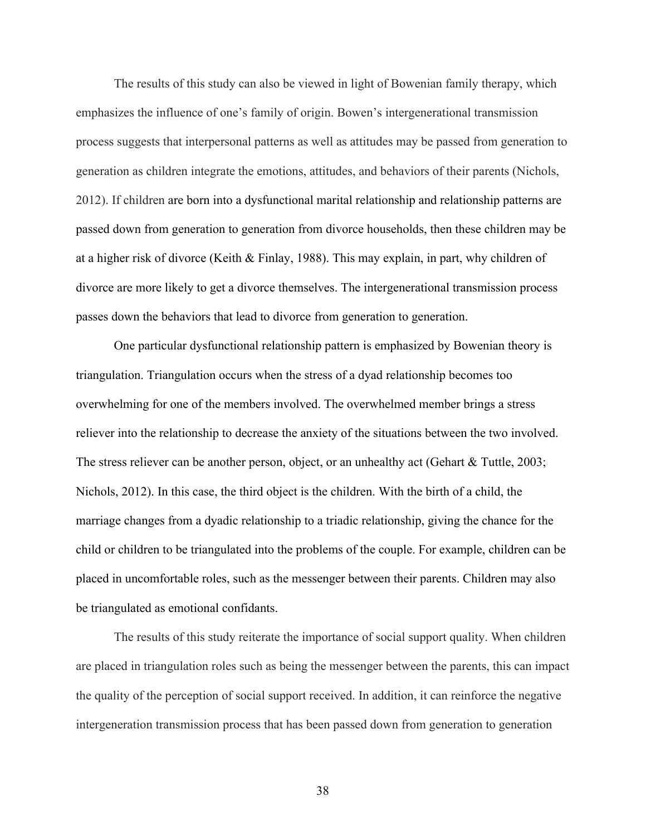The results of this study can also be viewed in light of Bowenian family therapy, which emphasizes the influence of one's family of origin. Bowen's intergenerational transmission process suggests that interpersonal patterns as well as attitudes may be passed from generation to generation as children integrate the emotions, attitudes, and behaviors of their parents (Nichols, 2012). If children are born into a dysfunctional marital relationship and relationship patterns are passed down from generation to generation from divorce households, then these children may be at a higher risk of divorce (Keith & Finlay, 1988). This may explain, in part, why children of divorce are more likely to get a divorce themselves. The intergenerational transmission process passes down the behaviors that lead to divorce from generation to generation.

One particular dysfunctional relationship pattern is emphasized by Bowenian theory is triangulation. Triangulation occurs when the stress of a dyad relationship becomes too overwhelming for one of the members involved. The overwhelmed member brings a stress reliever into the relationship to decrease the anxiety of the situations between the two involved. The stress reliever can be another person, object, or an unhealthy act (Gehart & Tuttle, 2003; Nichols, 2012). In this case, the third object is the children. With the birth of a child, the marriage changes from a dyadic relationship to a triadic relationship, giving the chance for the child or children to be triangulated into the problems of the couple. For example, children can be placed in uncomfortable roles, such as the messenger between their parents. Children may also be triangulated as emotional confidants.

The results of this study reiterate the importance of social support quality. When children are placed in triangulation roles such as being the messenger between the parents, this can impact the quality of the perception of social support received. In addition, it can reinforce the negative intergeneration transmission process that has been passed down from generation to generation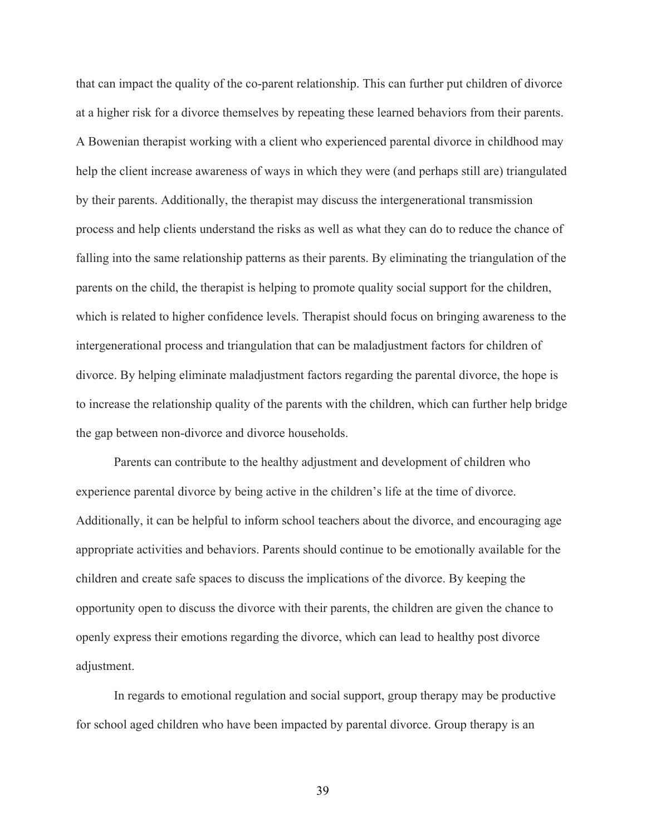that can impact the quality of the co-parent relationship. This can further put children of divorce at a higher risk for a divorce themselves by repeating these learned behaviors from their parents. A Bowenian therapist working with a client who experienced parental divorce in childhood may help the client increase awareness of ways in which they were (and perhaps still are) triangulated by their parents. Additionally, the therapist may discuss the intergenerational transmission process and help clients understand the risks as well as what they can do to reduce the chance of falling into the same relationship patterns as their parents. By eliminating the triangulation of the parents on the child, the therapist is helping to promote quality social support for the children, which is related to higher confidence levels. Therapist should focus on bringing awareness to the intergenerational process and triangulation that can be maladjustment factors for children of divorce. By helping eliminate maladjustment factors regarding the parental divorce, the hope is to increase the relationship quality of the parents with the children, which can further help bridge the gap between non-divorce and divorce households.

Parents can contribute to the healthy adjustment and development of children who experience parental divorce by being active in the children's life at the time of divorce. Additionally, it can be helpful to inform school teachers about the divorce, and encouraging age appropriate activities and behaviors. Parents should continue to be emotionally available for the children and create safe spaces to discuss the implications of the divorce. By keeping the opportunity open to discuss the divorce with their parents, the children are given the chance to openly express their emotions regarding the divorce, which can lead to healthy post divorce adjustment.

In regards to emotional regulation and social support, group therapy may be productive for school aged children who have been impacted by parental divorce. Group therapy is an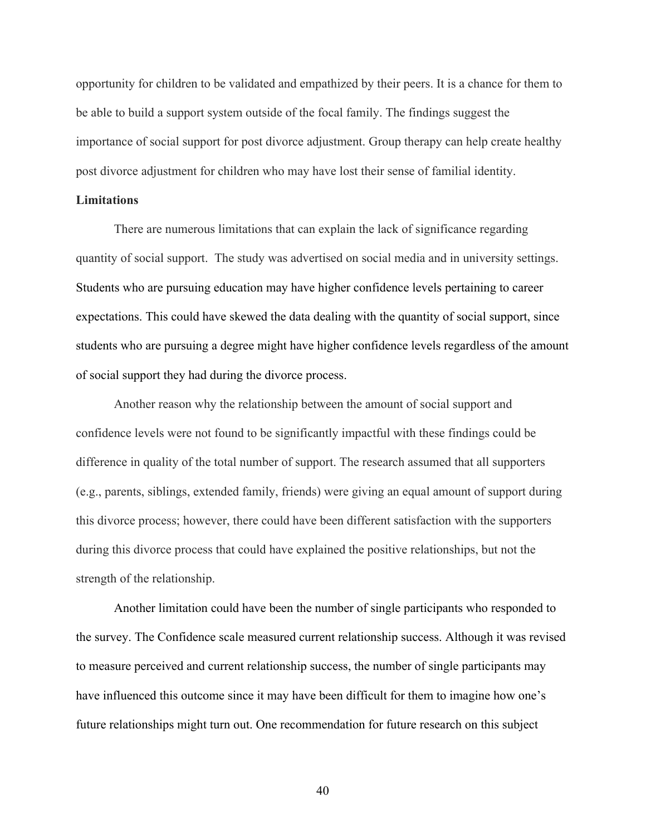opportunity for children to be validated and empathized by their peers. It is a chance for them to be able to build a support system outside of the focal family. The findings suggest the importance of social support for post divorce adjustment. Group therapy can help create healthy post divorce adjustment for children who may have lost their sense of familial identity.

#### **Limitations**

There are numerous limitations that can explain the lack of significance regarding quantity of social support. The study was advertised on social media and in university settings. Students who are pursuing education may have higher confidence levels pertaining to career expectations. This could have skewed the data dealing with the quantity of social support, since students who are pursuing a degree might have higher confidence levels regardless of the amount of social support they had during the divorce process.

Another reason why the relationship between the amount of social support and confidence levels were not found to be significantly impactful with these findings could be difference in quality of the total number of support. The research assumed that all supporters (e.g., parents, siblings, extended family, friends) were giving an equal amount of support during this divorce process; however, there could have been different satisfaction with the supporters during this divorce process that could have explained the positive relationships, but not the strength of the relationship.

Another limitation could have been the number of single participants who responded to the survey. The Confidence scale measured current relationship success. Although it was revised to measure perceived and current relationship success, the number of single participants may have influenced this outcome since it may have been difficult for them to imagine how one's future relationships might turn out. One recommendation for future research on this subject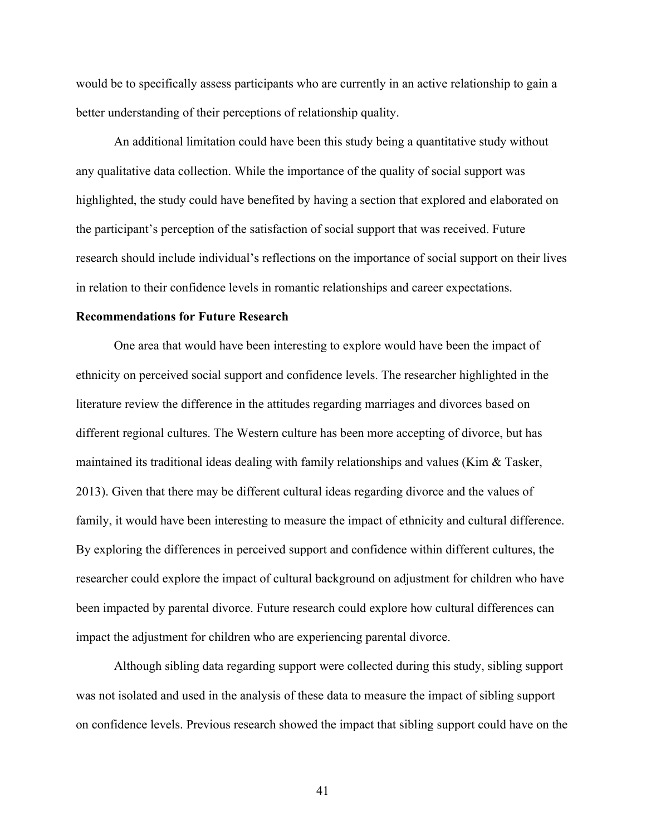would be to specifically assess participants who are currently in an active relationship to gain a better understanding of their perceptions of relationship quality.

An additional limitation could have been this study being a quantitative study without any qualitative data collection. While the importance of the quality of social support was highlighted, the study could have benefited by having a section that explored and elaborated on the participant's perception of the satisfaction of social support that was received. Future research should include individual's reflections on the importance of social support on their lives in relation to their confidence levels in romantic relationships and career expectations.

#### **Recommendations for Future Research**

One area that would have been interesting to explore would have been the impact of ethnicity on perceived social support and confidence levels. The researcher highlighted in the literature review the difference in the attitudes regarding marriages and divorces based on different regional cultures. The Western culture has been more accepting of divorce, but has maintained its traditional ideas dealing with family relationships and values (Kim  $\&$  Tasker, 2013). Given that there may be different cultural ideas regarding divorce and the values of family, it would have been interesting to measure the impact of ethnicity and cultural difference. By exploring the differences in perceived support and confidence within different cultures, the researcher could explore the impact of cultural background on adjustment for children who have been impacted by parental divorce. Future research could explore how cultural differences can impact the adjustment for children who are experiencing parental divorce.

Although sibling data regarding support were collected during this study, sibling support was not isolated and used in the analysis of these data to measure the impact of sibling support on confidence levels. Previous research showed the impact that sibling support could have on the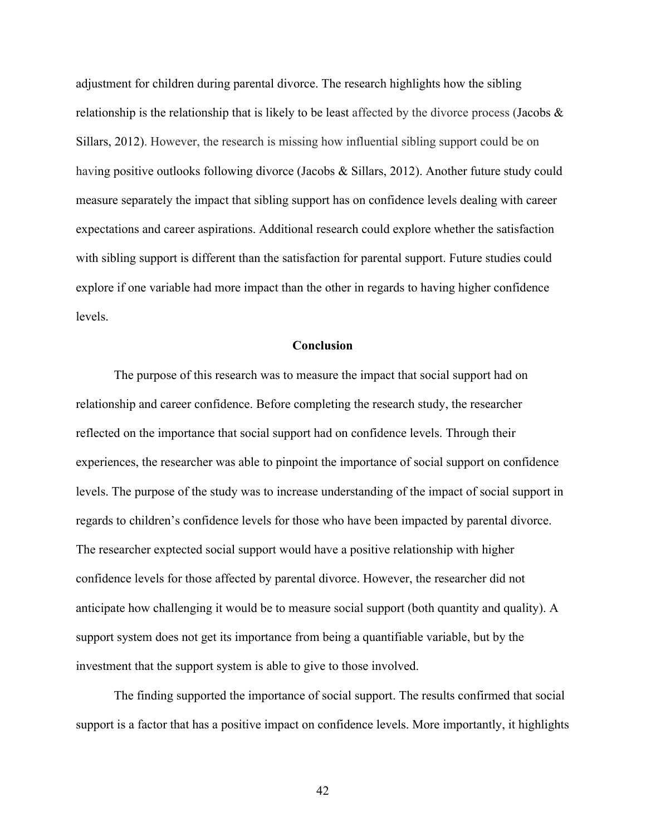adjustment for children during parental divorce. The research highlights how the sibling relationship is the relationship that is likely to be least affected by the divorce process (Jacobs  $\&$ Sillars, 2012). However, the research is missing how influential sibling support could be on having positive outlooks following divorce (Jacobs & Sillars, 2012). Another future study could measure separately the impact that sibling support has on confidence levels dealing with career expectations and career aspirations. Additional research could explore whether the satisfaction with sibling support is different than the satisfaction for parental support. Future studies could explore if one variable had more impact than the other in regards to having higher confidence levels.

#### **Conclusion**

The purpose of this research was to measure the impact that social support had on relationship and career confidence. Before completing the research study, the researcher reflected on the importance that social support had on confidence levels. Through their experiences, the researcher was able to pinpoint the importance of social support on confidence levels. The purpose of the study was to increase understanding of the impact of social support in regards to children's confidence levels for those who have been impacted by parental divorce. The researcher exptected social support would have a positive relationship with higher confidence levels for those affected by parental divorce. However, the researcher did not anticipate how challenging it would be to measure social support (both quantity and quality). A support system does not get its importance from being a quantifiable variable, but by the investment that the support system is able to give to those involved.

The finding supported the importance of social support. The results confirmed that social support is a factor that has a positive impact on confidence levels. More importantly, it highlights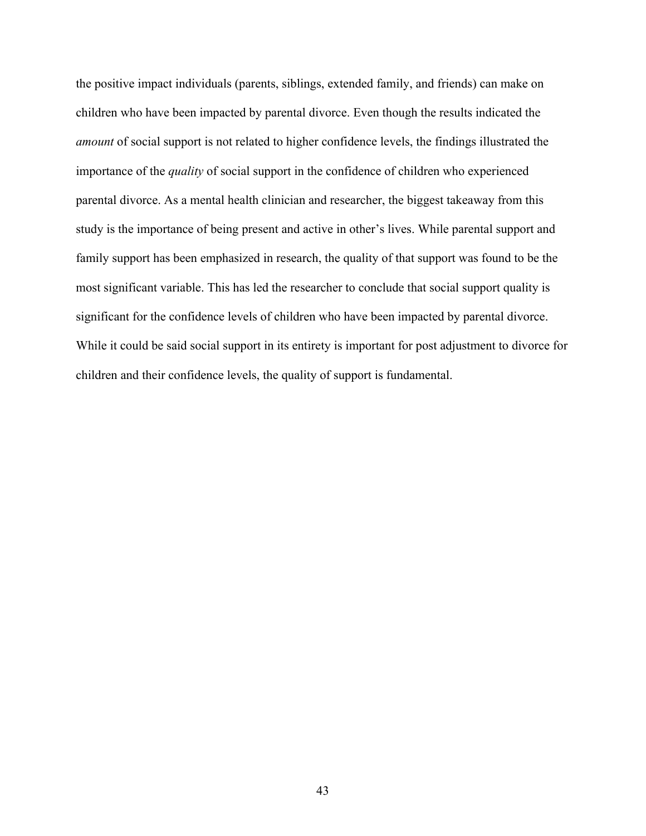the positive impact individuals (parents, siblings, extended family, and friends) can make on children who have been impacted by parental divorce. Even though the results indicated the *amount* of social support is not related to higher confidence levels, the findings illustrated the importance of the *quality* of social support in the confidence of children who experienced parental divorce. As a mental health clinician and researcher, the biggest takeaway from this study is the importance of being present and active in other's lives. While parental support and family support has been emphasized in research, the quality of that support was found to be the most significant variable. This has led the researcher to conclude that social support quality is significant for the confidence levels of children who have been impacted by parental divorce. While it could be said social support in its entirety is important for post adjustment to divorce for children and their confidence levels, the quality of support is fundamental.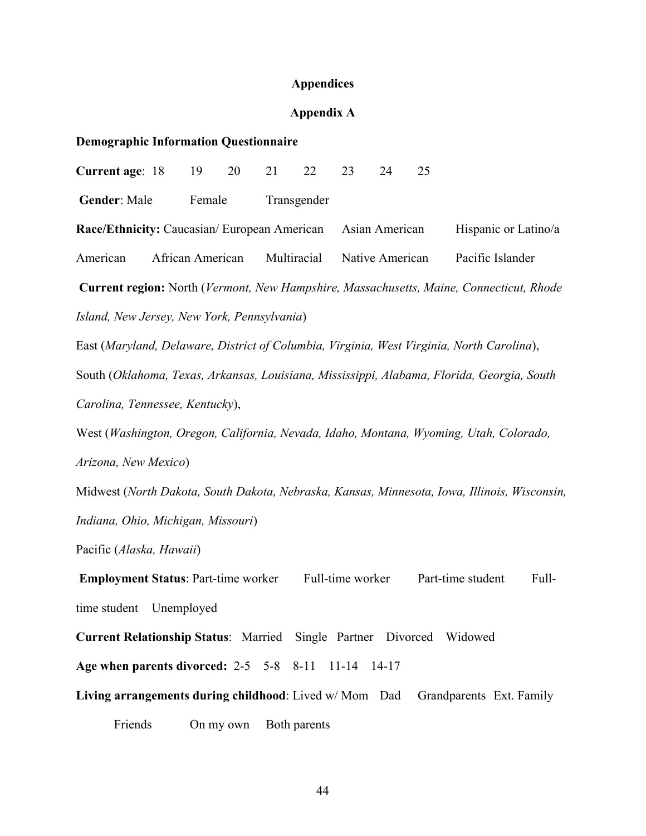#### **Appendices**

#### **Appendix A**

#### **Demographic Information Questionnaire**

**Current age**: 18 19 20 21 22 23 24 25 Gender: Male Female Transgender **Race/Ethnicity:** Caucasian/ European American Asian American Hispanic or Latino/a American African American Multiracial Native American Pacific Islander **Current region:** North (*Vermont, New Hampshire, Massachusetts, Maine, Connecticut, Rhode Island, New Jersey, New York, Pennsylvania*) East (*Maryland, Delaware, District of Columbia, Virginia, West Virginia, North Carolina*), South (*Oklahoma, Texas, Arkansas, Louisiana, Mississippi, Alabama, Florida, Georgia, South Carolina, Tennessee, Kentucky*), West (*Washington, Oregon, California, Nevada, Idaho, Montana, Wyoming, Utah, Colorado, Arizona, New Mexico*) Midwest (*North Dakota, South Dakota, Nebraska, Kansas, Minnesota, Iowa, Illinois, Wisconsin, Indiana, Ohio, Michigan, Missouri*) Pacific (*Alaska, Hawaii*) **Employment Status**: Part-time worker Full-time worker Part-time student Fulltime student Unemployed **Current Relationship Status**: Married Single Partner Divorced Widowed **Age when parents divorced:** 2-5 5-8 8-11 11-14 14-17 **Living arrangements during childhood**: Lived w/ Mom Dad Grandparents Ext. Family Friends On my own Both parents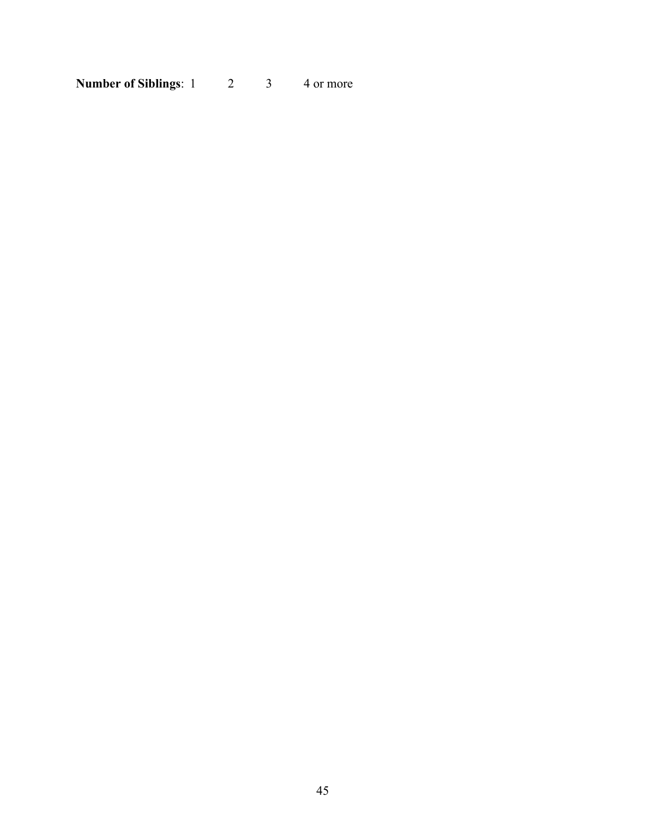**Number of Siblings**: 1 2 3 4 or more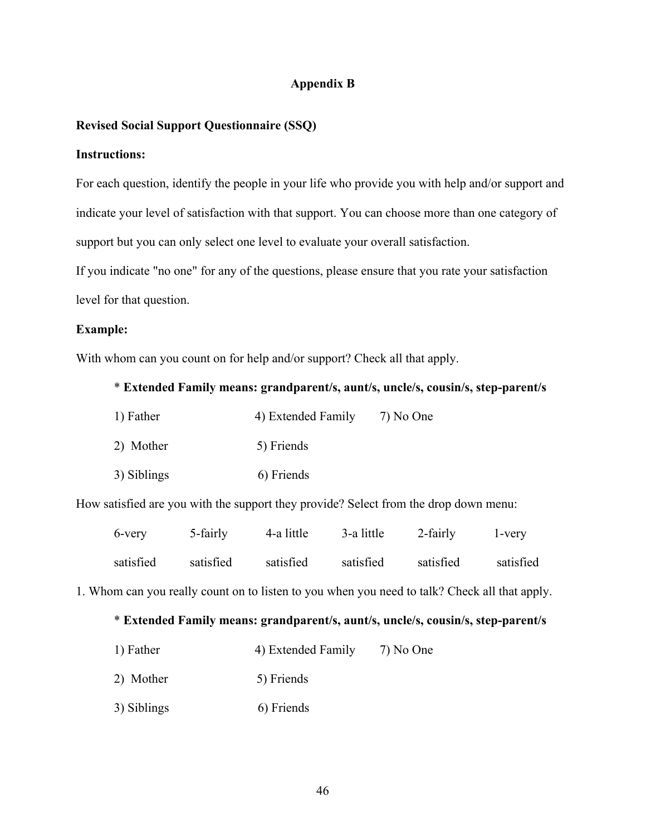## **Appendix B**

## **Revised Social Support Questionnaire (SSQ)**

#### **Instructions:**

For each question, identify the people in your life who provide you with help and/or support and indicate your level of satisfaction with that support. You can choose more than one category of support but you can only select one level to evaluate your overall satisfaction.

If you indicate "no one" for any of the questions, please ensure that you rate your satisfaction level for that question.

#### **Example:**

With whom can you count on for help and/or support? Check all that apply.

#### \* **Extended Family means: grandparent/s, aunt/s, uncle/s, cousin/s, step-parent/s**

| 1) Father   | 4) Extended Family | 7) No One |
|-------------|--------------------|-----------|
| 2) Mother   | 5) Friends         |           |
| 3) Siblings | 6) Friends         |           |

How satisfied are you with the support they provide? Select from the drop down menu:

| 6-very    | 5-fairly  | 4-a little | 3-a little | 2-fairly  | 1-very    |
|-----------|-----------|------------|------------|-----------|-----------|
| satisfied | satisfied | satisfied  | satisfied  | satisfied | satisfied |

1. Whom can you really count on to listen to you when you need to talk? Check all that apply.

## \* **Extended Family means: grandparent/s, aunt/s, uncle/s, cousin/s, step-parent/s**

- 1) Father 4) Extended Family 7) No One
- 2) Mother 5) Friends
- 3) Siblings 6) Friends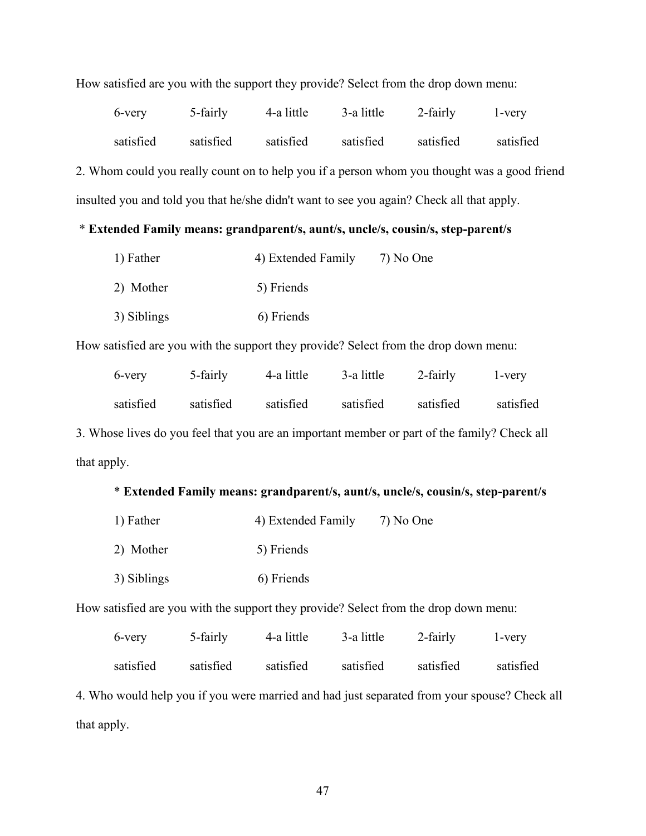| 6-very                                                                                       | 5-fairly  | 4-a little | 3-a little | 2-fairly  | 1-very    |  |
|----------------------------------------------------------------------------------------------|-----------|------------|------------|-----------|-----------|--|
| satisfied                                                                                    | satisfied | satisfied  | satisfied  | satisfied | satisfied |  |
| 2. Whom could you really count on to help you if a person whom you thought was a good friend |           |            |            |           |           |  |
| insulted you and told you that he/she didn't want to see you again? Check all that apply.    |           |            |            |           |           |  |

#### How satisfied are you with the support they provide? Select from the drop down menu:

# \* **Extended Family means: grandparent/s, aunt/s, uncle/s, cousin/s, step-parent/s**

| 1) Father   | 4) Extended Family | 7) No One |
|-------------|--------------------|-----------|
| 2) Mother   | 5) Friends         |           |
| 3) Siblings | 6) Friends         |           |

How satisfied are you with the support they provide? Select from the drop down menu:

| 6-very    | 5-fairly  | 4-a little | 3-a little | 2-fairly  | l-very    |
|-----------|-----------|------------|------------|-----------|-----------|
| satisfied | satisfied | satisfied  | satisfied  | satisfied | satisfied |

3. Whose lives do you feel that you are an important member or part of the family? Check all that apply.

# \* **Extended Family means: grandparent/s, aunt/s, uncle/s, cousin/s, step-parent/s**

| 1) Father   | 4) Extended Family | 7) No One |
|-------------|--------------------|-----------|
| 2) Mother   | 5) Friends         |           |
| 3) Siblings | 6) Friends         |           |

How satisfied are you with the support they provide? Select from the drop down menu:

| 6-very    | 5-fairly  | 4-a little | 3-a little | 2-fairly  | l-very    |
|-----------|-----------|------------|------------|-----------|-----------|
| satisfied | satisfied | satisfied  | satisfied  | satisfied | satisfied |

4. Who would help you if you were married and had just separated from your spouse? Check all that apply.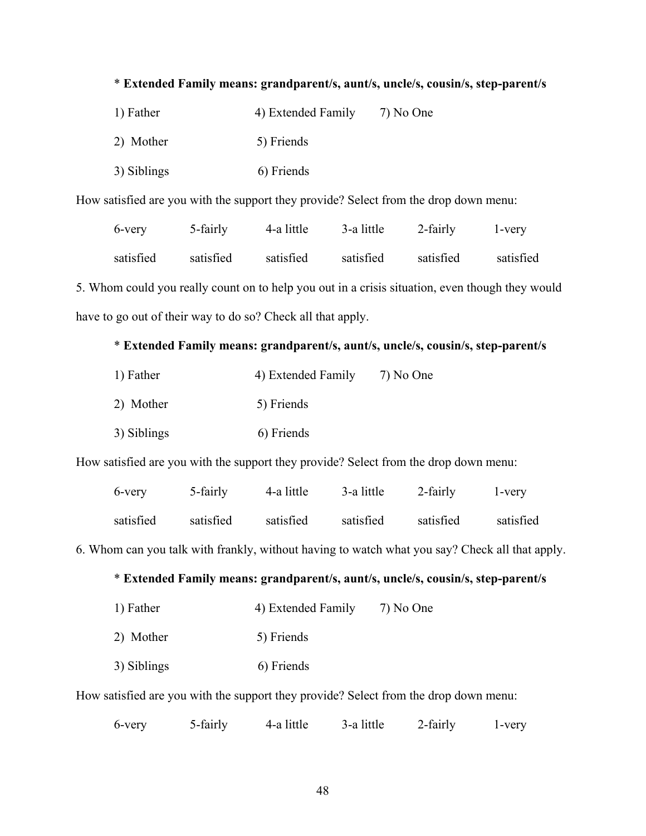# \* **Extended Family means: grandparent/s, aunt/s, uncle/s, cousin/s, step-parent/s**

| 1) Father   | 4) Extended Family | 7) No One |
|-------------|--------------------|-----------|
| 2) Mother   | 5) Friends         |           |
| 3) Siblings | 6) Friends         |           |

How satisfied are you with the support they provide? Select from the drop down menu:

| 6-very    | 5-fairly  | 4-a little | 3-a little | 2-fairly  | l-very    |
|-----------|-----------|------------|------------|-----------|-----------|
| satisfied | satisfied | satisfied  | satisfied  | satisfied | satisfied |

5. Whom could you really count on to help you out in a crisis situation, even though they would have to go out of their way to do so? Check all that apply.

# \* **Extended Family means: grandparent/s, aunt/s, uncle/s, cousin/s, step-parent/s**

| 1) Father   | 4) Extended Family | 7) No One |
|-------------|--------------------|-----------|
| 2) Mother   | 5) Friends         |           |
| 3) Siblings | 6) Friends         |           |

How satisfied are you with the support they provide? Select from the drop down menu:

| 6-very    | 5-fairly  | 4-a little | 3-a little | 2-fairly  | 1-very    |
|-----------|-----------|------------|------------|-----------|-----------|
| satisfied | satisfied | satisfied  | satisfied  | satisfied | satisfied |

6. Whom can you talk with frankly, without having to watch what you say? Check all that apply.

## \* **Extended Family means: grandparent/s, aunt/s, uncle/s, cousin/s, step-parent/s**

| 1) Father | 4) Extended Family | 7) No One |
|-----------|--------------------|-----------|
|           |                    |           |

- 2) Mother 5) Friends
- 3) Siblings 6) Friends

How satisfied are you with the support they provide? Select from the drop down menu:

6-very 5-fairly 4-a little 3-a little 2-fairly 1-very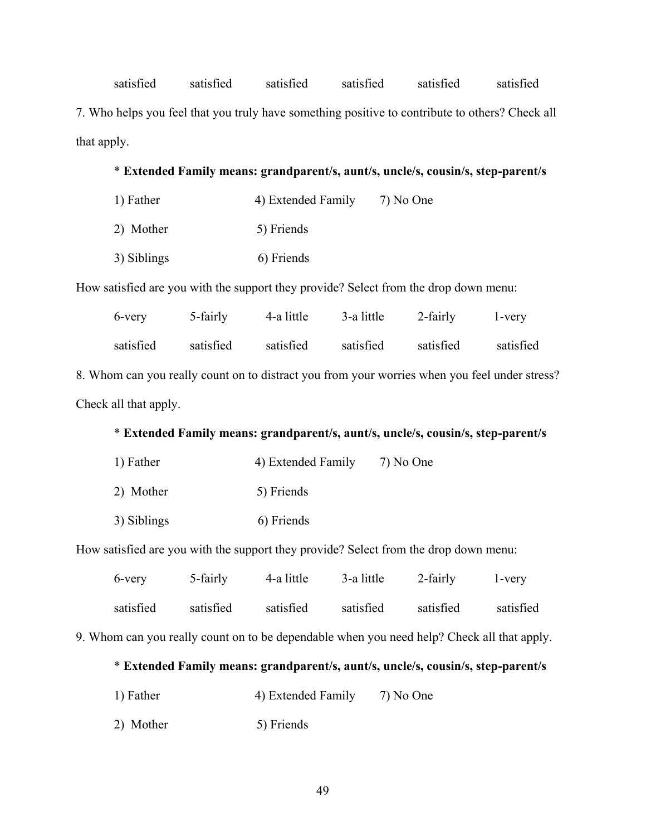satisfied satisfied satisfied satisfied satisfied satisfied 7. Who helps you feel that you truly have something positive to contribute to others? Check all that apply.

## \* **Extended Family means: grandparent/s, aunt/s, uncle/s, cousin/s, step-parent/s**

| 1) Father   | 4) Extended Family | 7) No One |
|-------------|--------------------|-----------|
| 2) Mother   | 5) Friends         |           |
| 3) Siblings | 6) Friends         |           |

How satisfied are you with the support they provide? Select from the drop down menu:

| 6-very                                                                                        | 5-fairly  | 4-a little | 3-a little | 2-fairly  | 1-very    |  |
|-----------------------------------------------------------------------------------------------|-----------|------------|------------|-----------|-----------|--|
| satisfied                                                                                     | satisfied | satisfied  | satisfied  | satisfied | satisfied |  |
| 8. Whom can you really count on to distract you from your worries when you feel under stress? |           |            |            |           |           |  |
| Check all that apply.                                                                         |           |            |            |           |           |  |

# \* **Extended Family means: grandparent/s, aunt/s, uncle/s, cousin/s, step-parent/s**

| 1) Father   | 4) Extended Family | 7) No One |
|-------------|--------------------|-----------|
| 2) Mother   | 5) Friends         |           |
| 3) Siblings | 6) Friends         |           |

How satisfied are you with the support they provide? Select from the drop down menu:

| 6-very    | 5-fairly  | 4-a little | 3-a little | 2-fairly  | l-very    |
|-----------|-----------|------------|------------|-----------|-----------|
| satisfied | satisfied | satisfied  | satisfied  | satisfied | satisfied |

9. Whom can you really count on to be dependable when you need help? Check all that apply.

## \* **Extended Family means: grandparent/s, aunt/s, uncle/s, cousin/s, step-parent/s**

- 1) Father 4) Extended Family 7) No One
- 2) Mother 5) Friends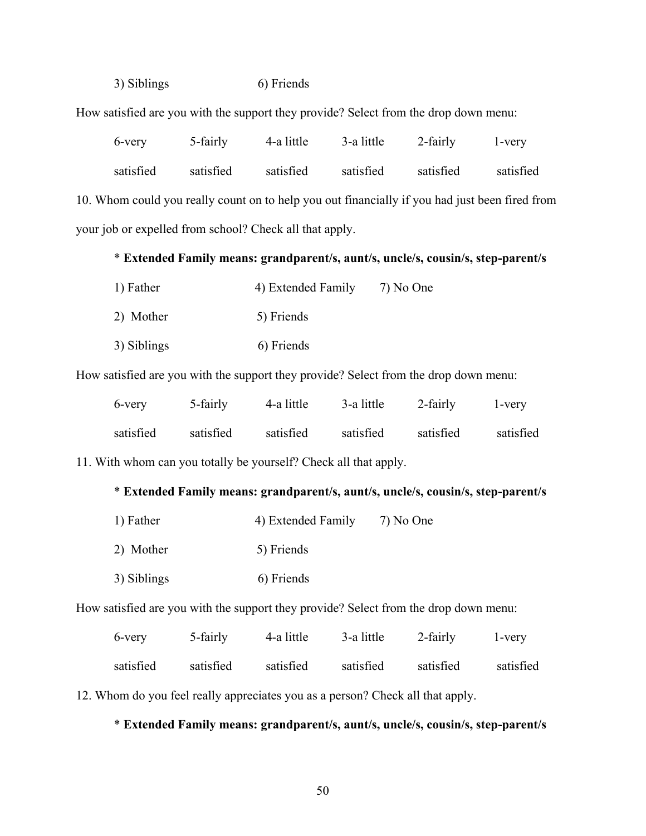3) Siblings 6) Friends

How satisfied are you with the support they provide? Select from the drop down menu:

|                                                                                                | 6-very    | 5-fairly  | 4-a little | 3-a little | 2-fairly  | 1-very    |
|------------------------------------------------------------------------------------------------|-----------|-----------|------------|------------|-----------|-----------|
|                                                                                                | satisfied | satisfied | satisfied  | satisfied  | satisfied | satisfied |
| 10. Whom could you really count on to help you out financially if you had just been fired from |           |           |            |            |           |           |
| your job or expelled from school? Check all that apply.                                        |           |           |            |            |           |           |

# \* **Extended Family means: grandparent/s, aunt/s, uncle/s, cousin/s, step-parent/s**

| 1) Father   | 4) Extended Family | 7) No One |
|-------------|--------------------|-----------|
| 2) Mother   | 5) Friends         |           |
| 3) Siblings | 6) Friends         |           |

How satisfied are you with the support they provide? Select from the drop down menu:

| 6-very    | 5-fairly  | 4-a little | 3-a little | 2-fairly  | l-very    |
|-----------|-----------|------------|------------|-----------|-----------|
| satisfied | satisfied | satisfied  | satisfied  | satisfied | satisfied |

11. With whom can you totally be yourself? Check all that apply.

## \* **Extended Family means: grandparent/s, aunt/s, uncle/s, cousin/s, step-parent/s**

| 1) Father   | 4) Extended Family | 7) No One |
|-------------|--------------------|-----------|
| 2) Mother   | 5) Friends         |           |
| 3) Siblings | 6) Friends         |           |

How satisfied are you with the support they provide? Select from the drop down menu:

| 6-very    | 5-fairly  | 4-a little | 3-a little | 2-fairly  | l-very    |
|-----------|-----------|------------|------------|-----------|-----------|
| satisfied | satisfied | satisfied  | satisfied  | satisfied | satisfied |

12. Whom do you feel really appreciates you as a person? Check all that apply.

## \* **Extended Family means: grandparent/s, aunt/s, uncle/s, cousin/s, step-parent/s**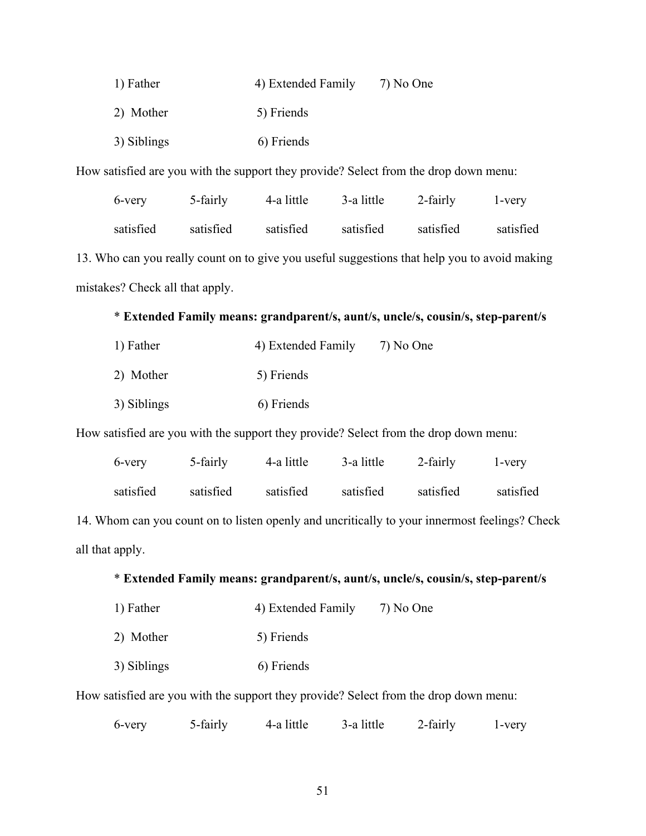| 1) Father   | 4) Extended Family | 7) No One |
|-------------|--------------------|-----------|
| 2) Mother   | 5) Friends         |           |
| 3) Siblings | 6) Friends         |           |

How satisfied are you with the support they provide? Select from the drop down menu:

| 6-very                          | 5-fairly  | 4-a little | 3-a little | 2-fairly                                                                                     | l-very    |
|---------------------------------|-----------|------------|------------|----------------------------------------------------------------------------------------------|-----------|
| satisfied                       | satisfied | satisfied  | satisfied  | satisfied                                                                                    | satisfied |
|                                 |           |            |            | 13. Who can you really count on to give you useful suggestions that help you to avoid making |           |
| mistakes? Check all that apply. |           |            |            |                                                                                              |           |

# \* **Extended Family means: grandparent/s, aunt/s, uncle/s, cousin/s, step-parent/s**

| 1) Father   | 4) Extended Family | 7) No One |
|-------------|--------------------|-----------|
| 2) Mother   | 5) Friends         |           |
| 3) Siblings | 6) Friends         |           |

How satisfied are you with the support they provide? Select from the drop down menu:

| 6-very    | 5-fairly  | 4-a little | 3-a little | 2-fairly  | l-very    |
|-----------|-----------|------------|------------|-----------|-----------|
| satisfied | satisfied | satisfied  | satisfied  | satisfied | satisfied |

14. Whom can you count on to listen openly and uncritically to your innermost feelings? Check all that apply.

## \* **Extended Family means: grandparent/s, aunt/s, uncle/s, cousin/s, step-parent/s**

- 1) Father 4) Extended Family 7) No One
- 2) Mother 5) Friends
- 3) Siblings 6) Friends

How satisfied are you with the support they provide? Select from the drop down menu:

6-very 5-fairly 4-a little 3-a little 2-fairly 1-very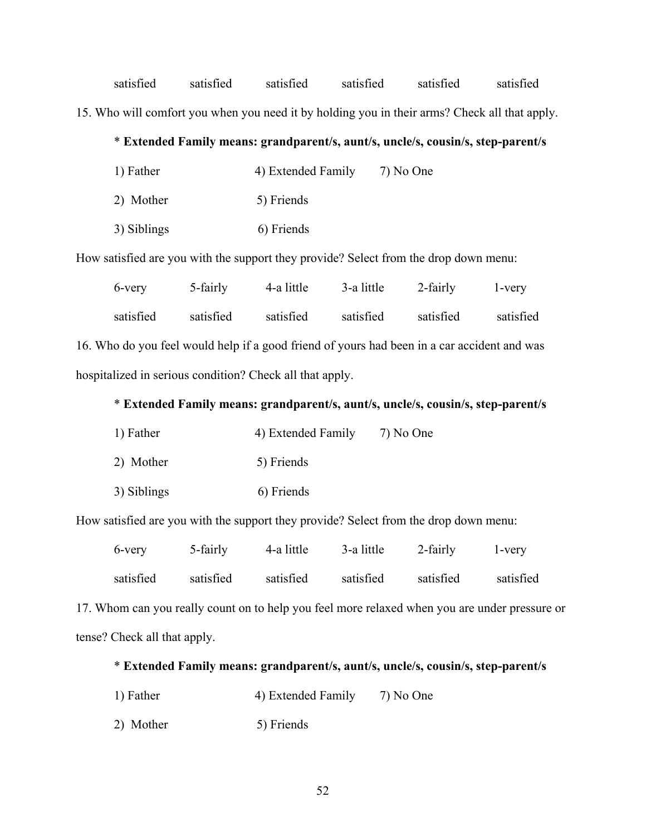satisfied satisfied satisfied satisfied satisfied satisfied 15. Who will comfort you when you need it by holding you in their arms? Check all that apply.

# \* **Extended Family means: grandparent/s, aunt/s, uncle/s, cousin/s, step-parent/s**

| 1) Father   | 4) Extended Family | 7) No One |
|-------------|--------------------|-----------|
| 2) Mother   | 5) Friends         |           |
| 3) Siblings | 6) Friends         |           |

How satisfied are you with the support they provide? Select from the drop down menu:

|                                                                                             | 6-very                                                   | 5-fairly  | 4-a little | 3-a little | 2-fairly  | l-very    |
|---------------------------------------------------------------------------------------------|----------------------------------------------------------|-----------|------------|------------|-----------|-----------|
|                                                                                             | satisfied                                                | satisfied | satisfied  | satisfied  | satisfied | satisfied |
| 16. Who do you feel would help if a good friend of yours had been in a car accident and was |                                                          |           |            |            |           |           |
|                                                                                             | hospitalized in serious condition? Check all that apply. |           |            |            |           |           |

## \* **Extended Family means: grandparent/s, aunt/s, uncle/s, cousin/s, step-parent/s**

| 1) Father   | 4) Extended Family | 7) No One |
|-------------|--------------------|-----------|
| 2) Mother   | 5) Friends         |           |
| 3) Siblings | 6) Friends         |           |

How satisfied are you with the support they provide? Select from the drop down menu:

| 6-very    | 5-fairly  | 4-a little | 3-a little | 2-fairly  | 1-very    |
|-----------|-----------|------------|------------|-----------|-----------|
| satisfied | satisfied | satisfied  | satisfied  | satisfied | satisfied |

17. Whom can you really count on to help you feel more relaxed when you are under pressure or tense? Check all that apply.

## \* **Extended Family means: grandparent/s, aunt/s, uncle/s, cousin/s, step-parent/s**

- 1) Father 4) Extended Family 7) No One
- 2) Mother 5) Friends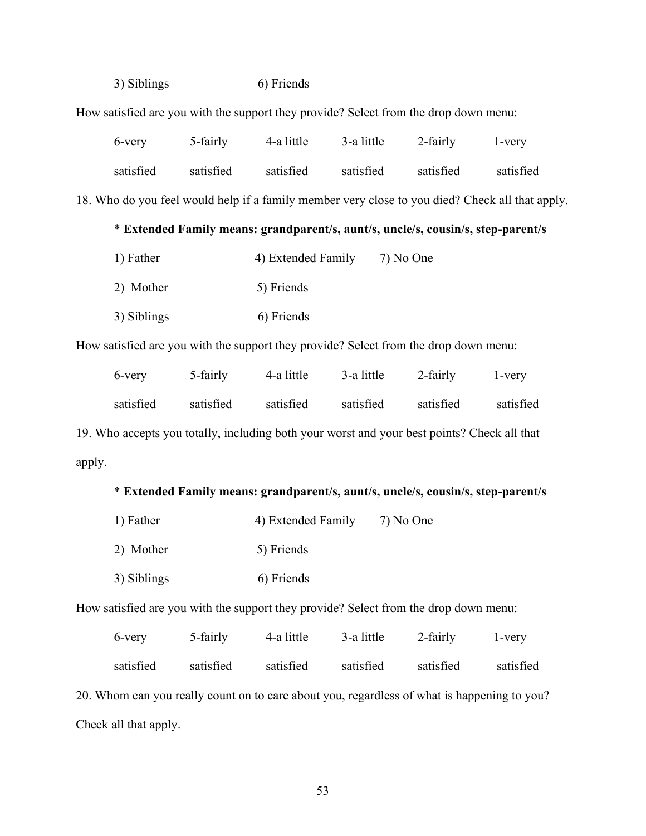3) Siblings 6) Friends

How satisfied are you with the support they provide? Select from the drop down menu:

| 6-very    | 5-fairly  | 4-a little | 3-a little | 2-fairly  | l-very    |
|-----------|-----------|------------|------------|-----------|-----------|
| satisfied | satisfied | satisfied  | satisfied  | satisfied | satisfied |

18. Who do you feel would help if a family member very close to you died? Check all that apply.

# \* **Extended Family means: grandparent/s, aunt/s, uncle/s, cousin/s, step-parent/s**

| 1) Father   | 4) Extended Family | 7) No One |
|-------------|--------------------|-----------|
| 2) Mother   | 5) Friends         |           |
| 3) Siblings | 6) Friends         |           |

How satisfied are you with the support they provide? Select from the drop down menu:

| 6-very    | 5-fairly  | 4-a little | 3-a little | 2-fairly  | 1-very    |
|-----------|-----------|------------|------------|-----------|-----------|
| satisfied | satisfied | satisfied  | satisfied  | satisfied | satisfied |

19. Who accepts you totally, including both your worst and your best points? Check all that apply.

# \* **Extended Family means: grandparent/s, aunt/s, uncle/s, cousin/s, step-parent/s**

| 1) Father   | 4) Extended Family | 7) No One |
|-------------|--------------------|-----------|
| 2) Mother   | 5) Friends         |           |
| 3) Siblings | 6) Friends         |           |

How satisfied are you with the support they provide? Select from the drop down menu:

| 6-very                                                                                      | 5-fairly  | 4-a little | 3-a little | 2-fairly  | 1-very    |
|---------------------------------------------------------------------------------------------|-----------|------------|------------|-----------|-----------|
| satisfied                                                                                   | satisfied | satisfied  | satisfied  | satisfied | satisfied |
| 20. Whom can you really count on to care about you, regardless of what is happening to you? |           |            |            |           |           |
| Check all that apply.                                                                       |           |            |            |           |           |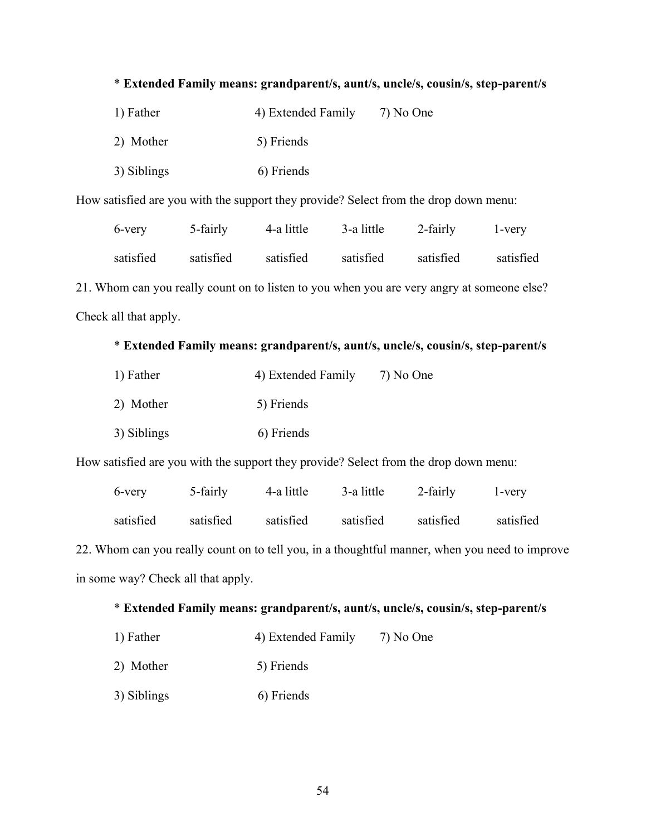# \* **Extended Family means: grandparent/s, aunt/s, uncle/s, cousin/s, step-parent/s**

| 1) Father   | 4) Extended Family | 7) No One |
|-------------|--------------------|-----------|
| 2) Mother   | 5) Friends         |           |
| 3) Siblings | 6) Friends         |           |

How satisfied are you with the support they provide? Select from the drop down menu:

| 6-very    | 5-fairly  | 4-a little | 3-a little | 2-fairly  | 1-very    |
|-----------|-----------|------------|------------|-----------|-----------|
| satisfied | satisfied | satisfied  | satisfied  | satisfied | satisfied |

21. Whom can you really count on to listen to you when you are very angry at someone else? Check all that apply.

# \* **Extended Family means: grandparent/s, aunt/s, uncle/s, cousin/s, step-parent/s**

| 1) Father   | 4) Extended Family | 7) No One |
|-------------|--------------------|-----------|
| 2) Mother   | 5) Friends         |           |
| 3) Siblings | 6) Friends         |           |

How satisfied are you with the support they provide? Select from the drop down menu:

| 6-very    | 5-fairly  | 4-a little | 3-a little | 2-fairly  | 1-very    |
|-----------|-----------|------------|------------|-----------|-----------|
| satisfied | satisfied | satisfied  | satisfied  | satisfied | satisfied |

22. Whom can you really count on to tell you, in a thoughtful manner, when you need to improve in some way? Check all that apply.

# \* **Extended Family means: grandparent/s, aunt/s, uncle/s, cousin/s, step-parent/s**

- 1) Father 4) Extended Family 7) No One
- 2) Mother 5) Friends
- 3) Siblings 6) Friends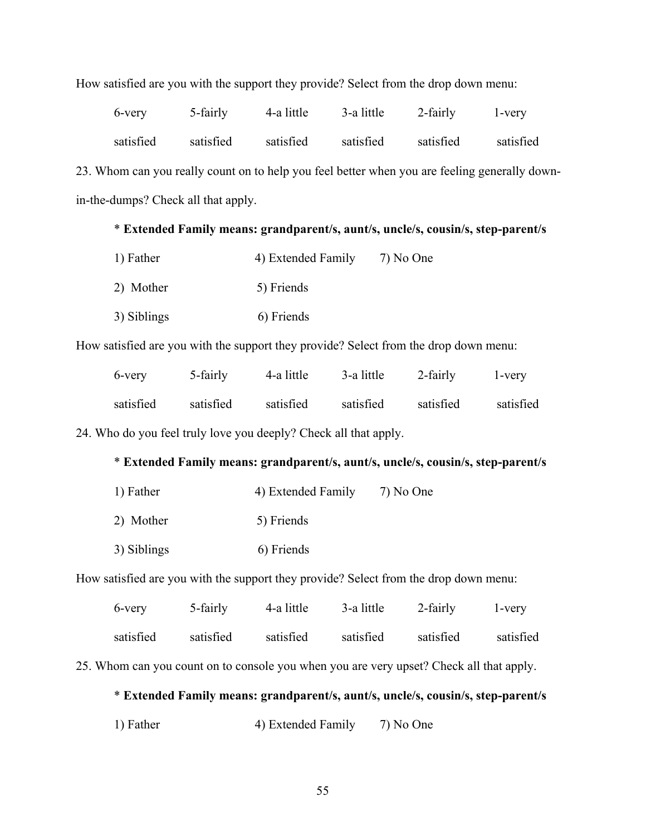|  |  | How satisfied are you with the support they provide? Select from the drop down menu: |
|--|--|--------------------------------------------------------------------------------------|
|--|--|--------------------------------------------------------------------------------------|

| 6-very    | 5-fairly  | 4-a little | 3-a little | 2-fairly  | l-very    |
|-----------|-----------|------------|------------|-----------|-----------|
| satisfied | satisfied | satisfied  | satisfied  | satisfied | satisfied |

23. Whom can you really count on to help you feel better when you are feeling generally downin-the-dumps? Check all that apply.

# \* **Extended Family means: grandparent/s, aunt/s, uncle/s, cousin/s, step-parent/s**

| 1) Father   | 4) Extended Family | 7) No One |
|-------------|--------------------|-----------|
| 2) Mother   | 5) Friends         |           |
| 3) Siblings | 6) Friends         |           |

How satisfied are you with the support they provide? Select from the drop down menu:

| 6-very    | 5-fairly  | 4-a little | 3-a little | 2-fairly  | l-very    |
|-----------|-----------|------------|------------|-----------|-----------|
| satisfied | satisfied | satisfied  | satisfied  | satisfied | satisfied |

24. Who do you feel truly love you deeply? Check all that apply.

# \* **Extended Family means: grandparent/s, aunt/s, uncle/s, cousin/s, step-parent/s**

| 1) Father   | 4) Extended Family | 7) No One |
|-------------|--------------------|-----------|
| 2) Mother   | 5) Friends         |           |
| 3) Siblings | 6) Friends         |           |

How satisfied are you with the support they provide? Select from the drop down menu:

| 6-very    | 5-fairly  | 4-a little | 3-a little | 2-fairly  | l-very    |
|-----------|-----------|------------|------------|-----------|-----------|
| satisfied | satisfied | satisfied  | satisfied  | satisfied | satisfied |

25. Whom can you count on to console you when you are very upset? Check all that apply.

# \* **Extended Family means: grandparent/s, aunt/s, uncle/s, cousin/s, step-parent/s**

1) Father 4) Extended Family 7) No One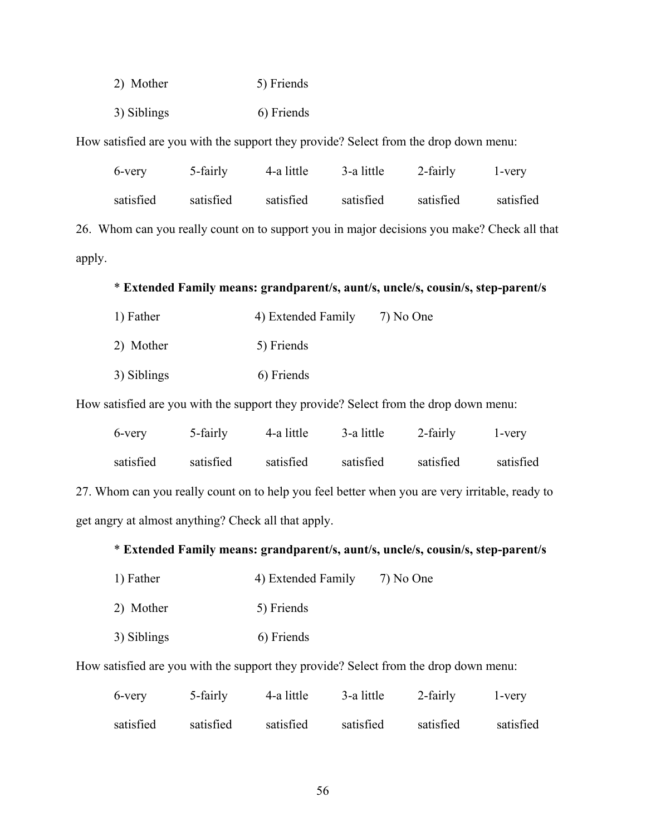- 2) Mother 5) Friends
- 3) Siblings 6) Friends

How satisfied are you with the support they provide? Select from the drop down menu:

| 6-very    | 5-fairly  | 4-a little | 3-a little | 2-fairly  | l-very    |
|-----------|-----------|------------|------------|-----------|-----------|
| satisfied | satisfied | satisfied  | satisfied  | satisfied | satisfied |

26. Whom can you really count on to support you in major decisions you make? Check all that apply.

## \* **Extended Family means: grandparent/s, aunt/s, uncle/s, cousin/s, step-parent/s**

| 1) Father   | 4) Extended Family | 7) No One |
|-------------|--------------------|-----------|
| 2) Mother   | 5) Friends         |           |
| 3) Siblings | 6) Friends         |           |

How satisfied are you with the support they provide? Select from the drop down menu:

| 6-very    | 5-fairly  | 4-a little | 3-a little | 2-fairly  | 1-very    |
|-----------|-----------|------------|------------|-----------|-----------|
| satisfied | satisfied | satisfied  | satisfied  | satisfied | satisfied |

27. Whom can you really count on to help you feel better when you are very irritable, ready to get angry at almost anything? Check all that apply.

#### \* **Extended Family means: grandparent/s, aunt/s, uncle/s, cousin/s, step-parent/s**

| 1) Father<br>7) No One<br>4) Extended Family |
|----------------------------------------------|
|----------------------------------------------|

- 2) Mother 5) Friends
- 3) Siblings 6) Friends

How satisfied are you with the support they provide? Select from the drop down menu:

| 6-very    | 5-fairly  | 4-a little | 3-a little | 2-fairly  | l-very    |
|-----------|-----------|------------|------------|-----------|-----------|
| satisfied | satisfied | satisfied  | satisfied  | satisfied | satisfied |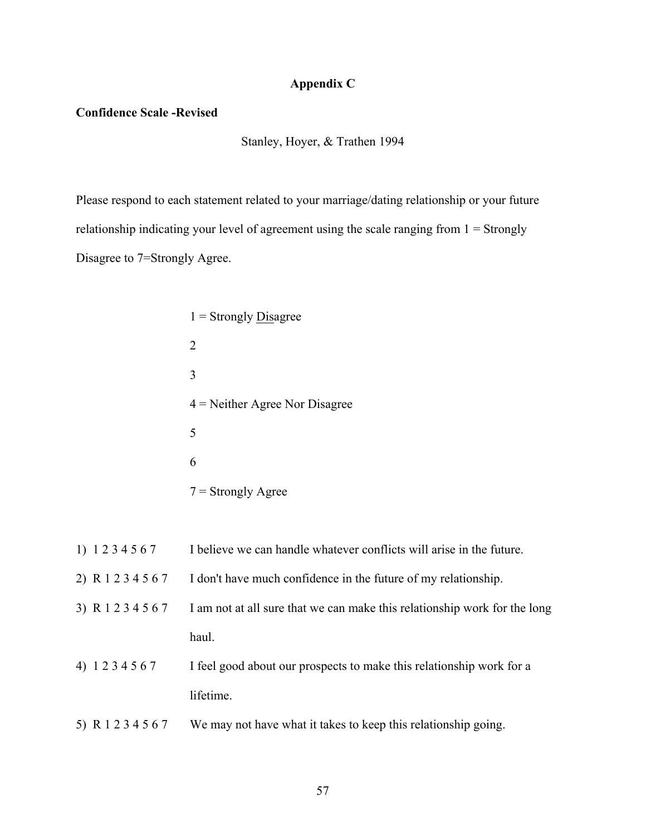## **Appendix C**

#### **Confidence Scale -Revised**

Stanley, Hoyer, & Trathen 1994

Please respond to each statement related to your marriage/dating relationship or your future relationship indicating your level of agreement using the scale ranging from  $1 =$  Strongly Disagree to 7=Strongly Agree.

- $1$  = Strongly Disagree 2 3 4 = Neither Agree Nor Disagree 5 6  $7 =$ Strongly Agree
- 1) 1 2 3 4 5 6 7 I believe we can handle whatever conflicts will arise in the future.
- 2) R 1 2 3 4 5 6 7 I don't have much confidence in the future of my relationship.
- 3) R 1 2 3 4 5 6 7 I am not at all sure that we can make this relationship work for the long haul.
- 4) 1 2 3 4 5 6 7 I feel good about our prospects to make this relationship work for a lifetime.
- 5) R 1 2 3 4 5 6 7 We may not have what it takes to keep this relationship going.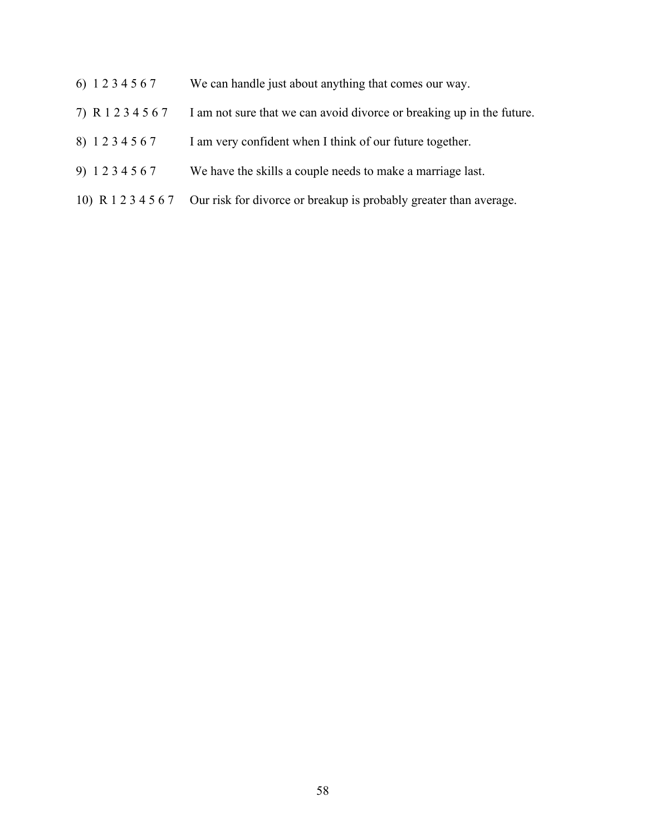- 6) 1 2 3 4 5 6 7 We can handle just about anything that comes our way.
- 7) R 1 2 3 4 5 6 7 I am not sure that we can avoid divorce or breaking up in the future.
- 8) 1 2 3 4 5 6 7 I am very confident when I think of our future together.
- 9) 1 2 3 4 5 6 7 We have the skills a couple needs to make a marriage last.
- 10) R 1 2 3 4 5 6 7 Our risk for divorce or breakup is probably greater than average.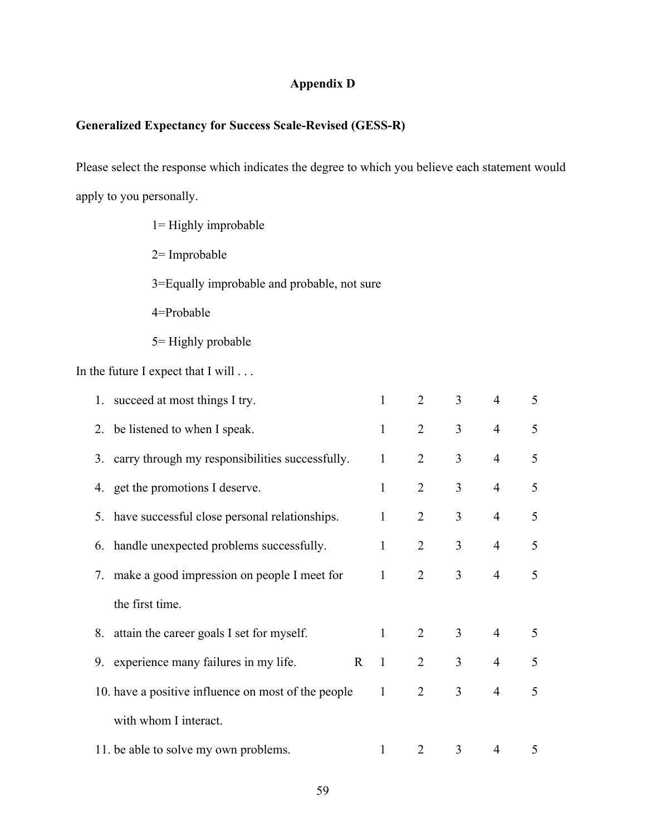# **Appendix D**

# **Generalized Expectancy for Success Scale-Revised (GESS-R)**

Please select the response which indicates the degree to which you believe each statement would apply to you personally.

- 1= Highly improbable
- 2= Improbable
- 3=Equally improbable and probable, not sure
- 4=Probable
- 5= Highly probable

In the future I expect that I will . . .

| 1. succeed at most things I try.                        | $\mathbf{1}$ | 2              | 3              | $\overline{4}$ | 5 |
|---------------------------------------------------------|--------------|----------------|----------------|----------------|---|
| 2. be listened to when I speak.                         | $\mathbf{1}$ | $\overline{2}$ | $\overline{3}$ | $\overline{4}$ | 5 |
| 3. carry through my responsibilities successfully.      | $\mathbf{1}$ | 2              | $\overline{3}$ | $\overline{4}$ | 5 |
| 4. get the promotions I deserve.                        | $\mathbf{1}$ | $\overline{2}$ | $\mathfrak{Z}$ | $\overline{4}$ | 5 |
| 5. have successful close personal relationships.        | $\mathbf{1}$ | 2              | $\overline{3}$ | $\overline{4}$ | 5 |
| 6. handle unexpected problems successfully.             | $\mathbf{1}$ | 2              | 3 <sup>1</sup> | $\overline{4}$ | 5 |
| 7. make a good impression on people I meet for          | $\mathbf{1}$ | 2              | $\overline{3}$ | $\overline{4}$ | 5 |
| the first time.                                         |              |                |                |                |   |
| 8. attain the career goals I set for myself.            | $\mathbf{1}$ | 2              | $\mathfrak{Z}$ | $\overline{4}$ | 5 |
| 9. experience many failures in my life.<br>$\mathbf{R}$ | $\mathbf{1}$ | $\overline{2}$ | $\mathfrak{Z}$ | $\overline{4}$ | 5 |
| 10. have a positive influence on most of the people     | $\mathbf{1}$ | 2              | $\overline{3}$ | $\overline{4}$ | 5 |
| with whom I interact.                                   |              |                |                |                |   |
| 11. be able to solve my own problems.                   | 1            | $\overline{2}$ | 3              | 4              | 5 |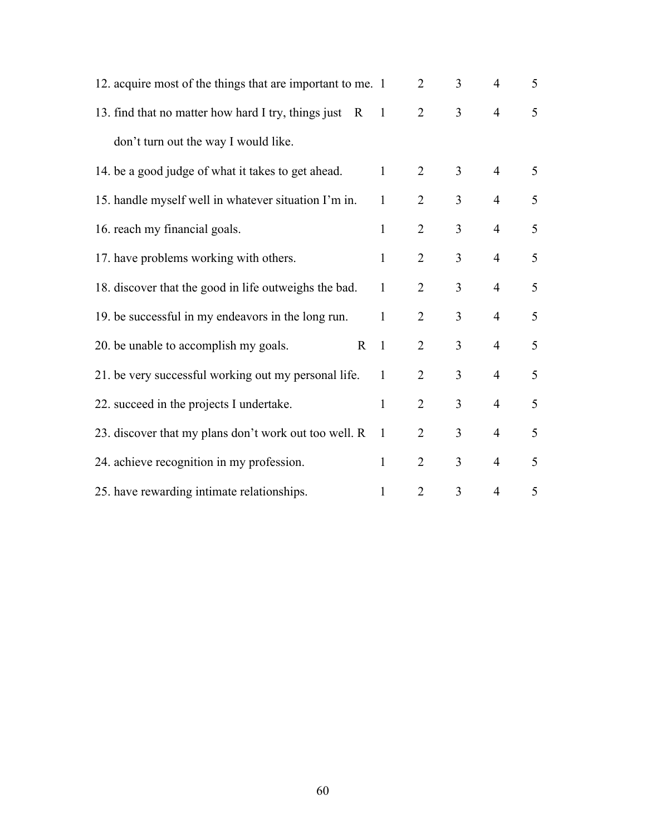| 12. acquire most of the things that are important to me. 1 |                | $\overline{2}$ | $\overline{3}$ | $\overline{4}$ | 5               |
|------------------------------------------------------------|----------------|----------------|----------------|----------------|-----------------|
| 13. find that no matter how hard I try, things just R      | $\overline{1}$ | $\overline{2}$ | $\overline{3}$ | $\overline{4}$ | 5               |
| don't turn out the way I would like.                       |                |                |                |                |                 |
| 14. be a good judge of what it takes to get ahead.         | $\mathbf{1}$   | $\overline{2}$ | $\overline{3}$ | $\overline{4}$ | $5\overline{)}$ |
| 15. handle myself well in whatever situation I'm in.       | $\mathbf{1}$   | $\overline{2}$ | $\overline{3}$ | $\overline{4}$ | 5               |
| 16. reach my financial goals.                              | $\mathbf{1}$   | $\overline{2}$ | $\overline{3}$ | $\overline{4}$ | 5               |
| 17. have problems working with others.                     | $\mathbf{1}$   | $\overline{2}$ | $\overline{3}$ | $\overline{4}$ | 5               |
| 18. discover that the good in life outweighs the bad.      | $\mathbf{1}$   | $\overline{2}$ | $\overline{3}$ | $\overline{4}$ | 5               |
| 19. be successful in my endeavors in the long run.         | $\mathbf{1}$   | $\overline{2}$ | $\overline{3}$ | $\overline{4}$ | 5               |
| 20. be unable to accomplish my goals.<br>$\mathbf R$       | $\mathbf{1}$   | $\overline{2}$ | $\overline{3}$ | $\overline{4}$ | 5               |
| 21. be very successful working out my personal life.       | $\mathbf{1}$   | $\overline{2}$ | $\overline{3}$ | $\overline{4}$ | 5               |
| 22. succeed in the projects I undertake.                   | $\mathbf{1}$   | $\overline{2}$ | $\overline{3}$ | $\overline{4}$ | 5               |
| 23. discover that my plans don't work out too well. R      | $\mathbf{1}$   | $\overline{2}$ | $\overline{3}$ | $\overline{4}$ | 5               |
| 24. achieve recognition in my profession.                  | $\mathbf{1}$   | $\overline{2}$ | $\overline{3}$ | $\overline{4}$ | 5               |
| 25. have rewarding intimate relationships.                 | 1              | $\overline{2}$ | $\overline{3}$ | 4              | 5               |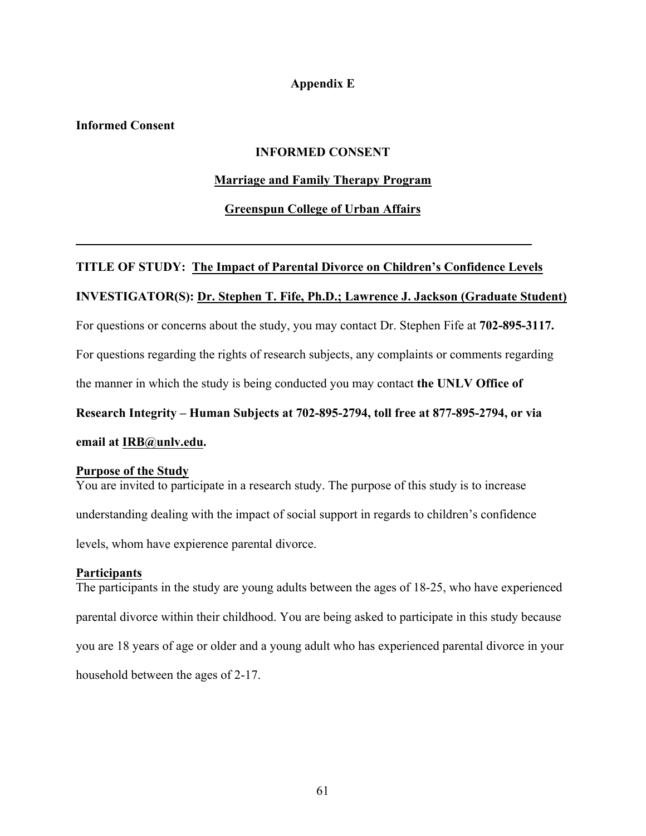## **Appendix E**

## **Informed Consent**

## **INFORMED CONSENT**

## **Marriage and Family Therapy Program**

## **Greenspun College of Urban Affairs**

# **TITLE OF STUDY: The Impact of Parental Divorce on Children's Confidence Levels**

# **INVESTIGATOR(S): Dr. Stephen T. Fife, Ph.D.; Lawrence J. Jackson (Graduate Student)**

For questions or concerns about the study, you may contact Dr. Stephen Fife at **702-895-3117.**

For questions regarding the rights of research subjects, any complaints or comments regarding

the manner in which the study is being conducted you may contact **the UNLV Office of** 

**Research Integrity – Human Subjects at 702-895-2794, toll free at 877-895-2794, or via** 

## **email at IRB@unlv.edu.**

## **Purpose of the Study**

You are invited to participate in a research study. The purpose of this study is to increase understanding dealing with the impact of social support in regards to children's confidence levels, whom have expierence parental divorce.

## **Participants**

The participants in the study are young adults between the ages of 18-25, who have experienced parental divorce within their childhood. You are being asked to participate in this study because you are 18 years of age or older and a young adult who has experienced parental divorce in your household between the ages of 2-17.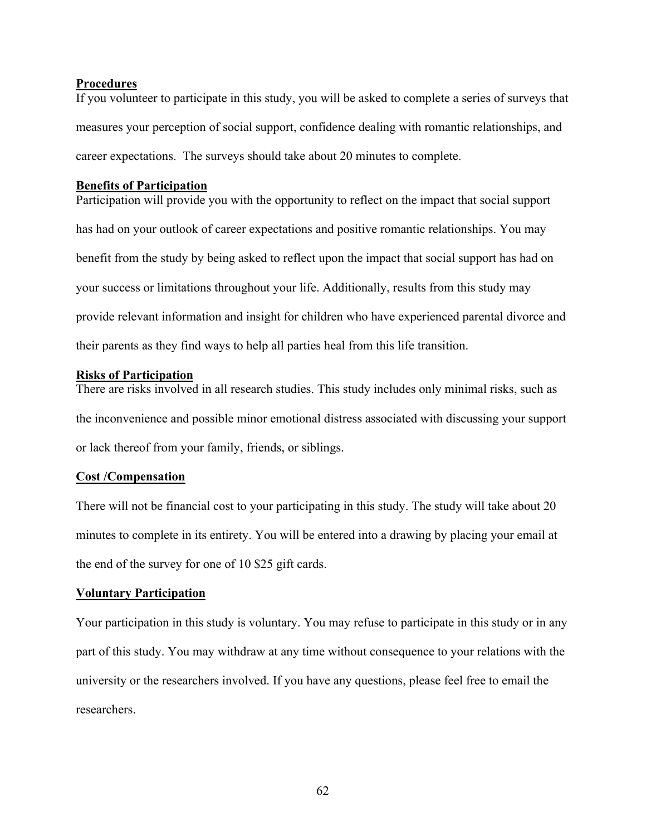#### **Procedures**

If you volunteer to participate in this study, you will be asked to complete a series of surveys that measures your perception of social support, confidence dealing with romantic relationships, and career expectations. The surveys should take about 20 minutes to complete.

## **Benefits of Participation**

Participation will provide you with the opportunity to reflect on the impact that social support has had on your outlook of career expectations and positive romantic relationships. You may benefit from the study by being asked to reflect upon the impact that social support has had on your success or limitations throughout your life. Additionally, results from this study may provide relevant information and insight for children who have experienced parental divorce and their parents as they find ways to help all parties heal from this life transition.

## **Risks of Participation**

There are risks involved in all research studies. This study includes only minimal risks, such as the inconvenience and possible minor emotional distress associated with discussing your support or lack thereof from your family, friends, or siblings.

## **Cost /Compensation**

There will not be financial cost to your participating in this study. The study will take about 20 minutes to complete in its entirety. You will be entered into a drawing by placing your email at the end of the survey for one of 10 \$25 gift cards.

## **Voluntary Participation**

Your participation in this study is voluntary. You may refuse to participate in this study or in any part of this study. You may withdraw at any time without consequence to your relations with the university or the researchers involved. If you have any questions, please feel free to email the researchers.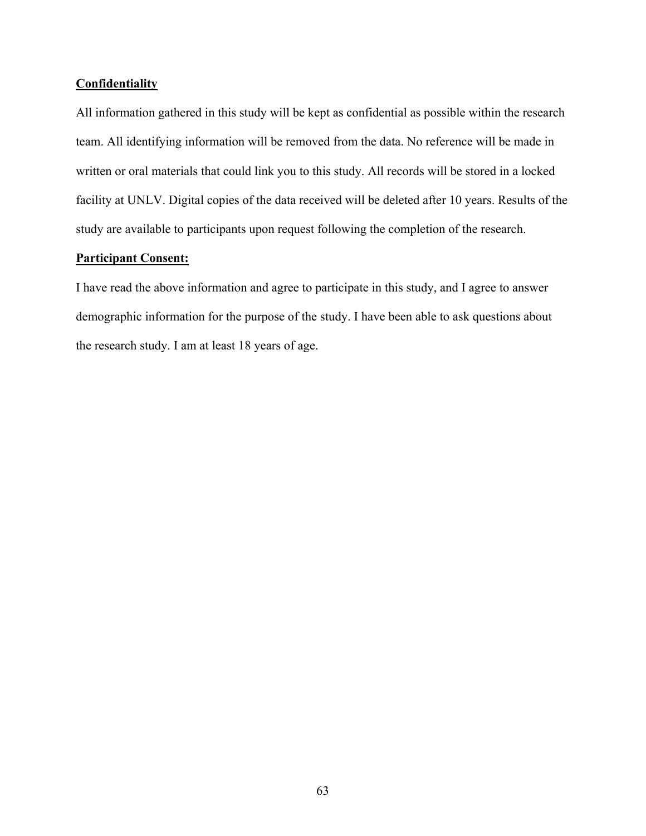## **Confidentiality**

All information gathered in this study will be kept as confidential as possible within the research team. All identifying information will be removed from the data. No reference will be made in written or oral materials that could link you to this study. All records will be stored in a locked facility at UNLV. Digital copies of the data received will be deleted after 10 years. Results of the study are available to participants upon request following the completion of the research.

## **Participant Consent:**

I have read the above information and agree to participate in this study, and I agree to answer demographic information for the purpose of the study. I have been able to ask questions about the research study. I am at least 18 years of age.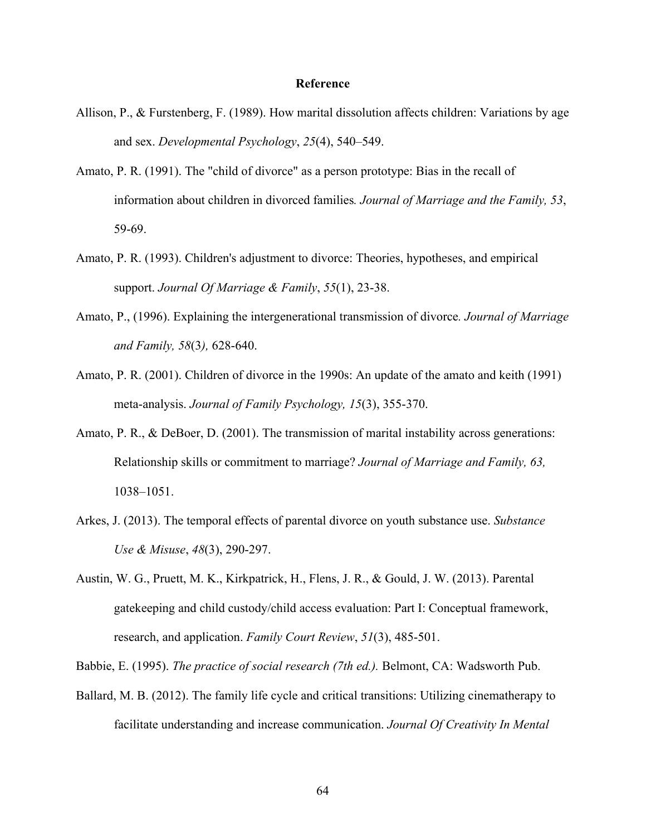## **Reference**

- Allison, P., & Furstenberg, F. (1989). How marital dissolution affects children: Variations by age and sex. *Developmental Psychology*, *25*(4), 540–549.
- Amato, P. R. (1991). The "child of divorce" as a person prototype: Bias in the recall of information about children in divorced families*. Journal of Marriage and the Family, 53*, 59-69.
- Amato, P. R. (1993). Children's adjustment to divorce: Theories, hypotheses, and empirical support. *Journal Of Marriage & Family*, *55*(1), 23-38.
- Amato, P., (1996). Explaining the intergenerational transmission of divorce*. Journal of Marriage and Family, 58*(3*),* 628-640.
- Amato, P. R. (2001). Children of divorce in the 1990s: An update of the amato and keith (1991) meta-analysis. *Journal of Family Psychology, 15*(3), 355-370.
- Amato, P. R., & DeBoer, D. (2001). The transmission of marital instability across generations: Relationship skills or commitment to marriage? *Journal of Marriage and Family, 63,* 1038–1051.
- Arkes, J. (2013). The temporal effects of parental divorce on youth substance use. *Substance Use & Misuse*, *48*(3), 290-297.
- Austin, W. G., Pruett, M. K., Kirkpatrick, H., Flens, J. R., & Gould, J. W. (2013). Parental gatekeeping and child custody/child access evaluation: Part I: Conceptual framework, research, and application. *Family Court Review*, *51*(3), 485-501.

Babbie, E. (1995). *The practice of social research (7th ed.).* Belmont, CA: Wadsworth Pub.

Ballard, M. B. (2012). The family life cycle and critical transitions: Utilizing cinematherapy to facilitate understanding and increase communication. *Journal Of Creativity In Mental*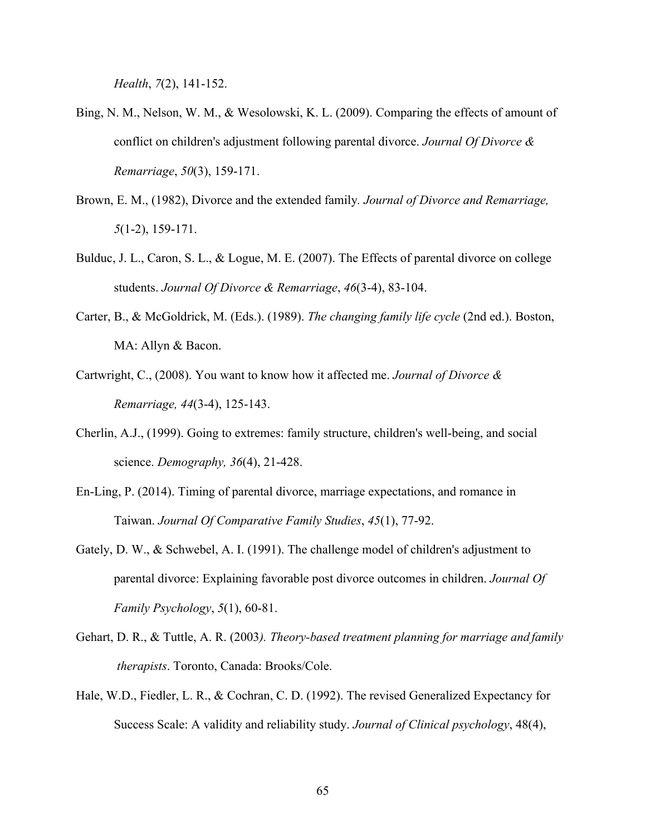*Health*, *7*(2), 141-152.

- Bing, N. M., Nelson, W. M., & Wesolowski, K. L. (2009). Comparing the effects of amount of conflict on children's adjustment following parental divorce. *Journal Of Divorce & Remarriage*, *50*(3), 159-171.
- Brown, E. M., (1982), Divorce and the extended family*. Journal of Divorce and Remarriage, 5*(1-2), 159-171.
- Bulduc, J. L., Caron, S. L., & Logue, M. E. (2007). The Effects of parental divorce on college students. *Journal Of Divorce & Remarriage*, *46*(3-4), 83-104.
- Carter, B., & McGoldrick, M. (Eds.). (1989). *The changing family life cycle* (2nd ed.). Boston, MA: Allyn & Bacon.
- Cartwright, C., (2008). You want to know how it affected me. *Journal of Divorce & Remarriage, 44*(3-4), 125-143.
- Cherlin, A.J., (1999). Going to extremes: family structure, children's well-being, and social science. *Demography, 36*(4), 21-428.
- En-Ling, P. (2014). Timing of parental divorce, marriage expectations, and romance in Taiwan. *Journal Of Comparative Family Studies*, *45*(1), 77-92.
- Gately, D. W., & Schwebel, A. I. (1991). The challenge model of children's adjustment to parental divorce: Explaining favorable post divorce outcomes in children. *Journal Of Family Psychology*, *5*(1), 60-81.
- Gehart, D. R., & Tuttle, A. R. (2003*). Theory-based treatment planning for marriage and family therapists*. Toronto, Canada: Brooks/Cole.
- Hale, W.D., Fiedler, L. R., & Cochran, C. D. (1992). The revised Generalized Expectancy for Success Scale: A validity and reliability study. *Journal of Clinical psychology*, 48(4),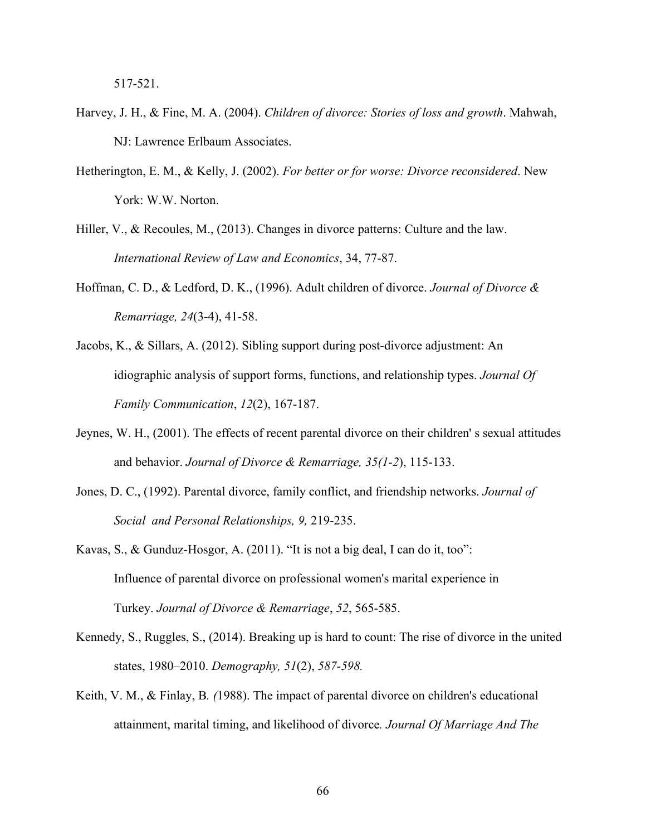517-521.

- Harvey, J. H., & Fine, M. A. (2004). *Children of divorce: Stories of loss and growth*. Mahwah, NJ: Lawrence Erlbaum Associates.
- Hetherington, E. M., & Kelly, J. (2002). *For better or for worse: Divorce reconsidered*. New York: W.W. Norton.
- Hiller, V., & Recoules, M., (2013). Changes in divorce patterns: Culture and the law. *International Review of Law and Economics*, 34, 77-87.
- Hoffman, C. D., & Ledford, D. K., (1996). Adult children of divorce. *Journal of Divorce & Remarriage, 24*(3-4), 41-58.
- Jacobs, K., & Sillars, A. (2012). Sibling support during post-divorce adjustment: An idiographic analysis of support forms, functions, and relationship types. *Journal Of Family Communication*, *12*(2), 167-187.
- Jeynes, W. H., (2001). The effects of recent parental divorce on their children' s sexual attitudes and behavior. *Journal of Divorce & Remarriage, 35(1-2*), 115-133.
- Jones, D. C., (1992). Parental divorce, family conflict, and friendship networks. *Journal of Social and Personal Relationships, 9,* 219-235.
- Kavas, S., & Gunduz-Hosgor, A. (2011). "It is not a big deal, I can do it, too": Influence of parental divorce on professional women's marital experience in Turkey. *Journal of Divorce & Remarriage*, *52*, 565-585.
- Kennedy, S., Ruggles, S., (2014). Breaking up is hard to count: The rise of divorce in the united states, 1980–2010. *Demography, 51*(2), *587-598.*
- Keith, V. M., & Finlay, B*. (*1988). The impact of parental divorce on children's educational attainment, marital timing, and likelihood of divorce*. Journal Of Marriage And The*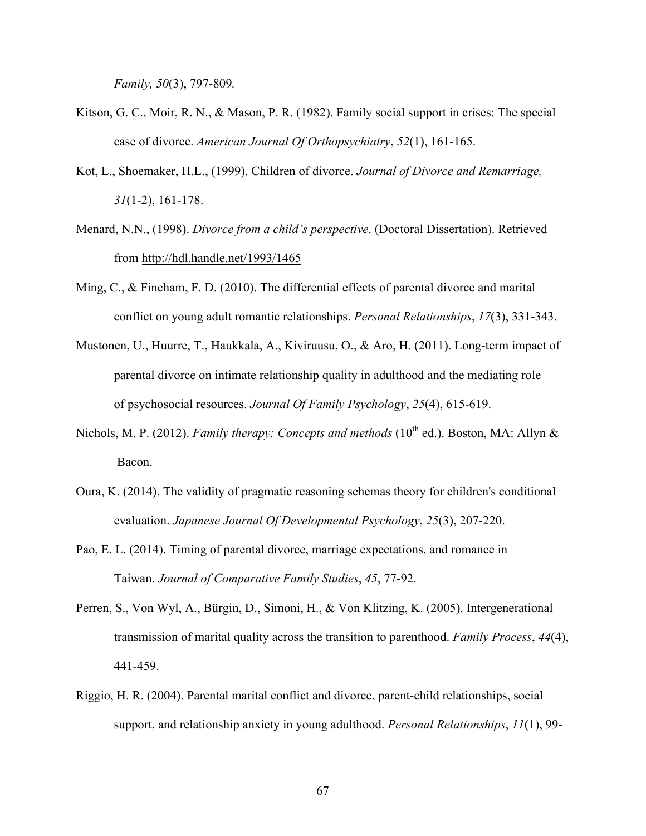*Family, 50*(3), 797-809*.*

- Kitson, G. C., Moir, R. N., & Mason, P. R. (1982). Family social support in crises: The special case of divorce. *American Journal Of Orthopsychiatry*, *52*(1), 161-165.
- Kot, L., Shoemaker, H.L., (1999). Children of divorce. *Journal of Divorce and Remarriage, 31*(1-2), 161-178.
- Menard, N.N., (1998). *Divorce from a child's perspective*. (Doctoral Dissertation). Retrieved from http://hdl.handle.net/1993/1465
- Ming, C., & Fincham, F. D. (2010). The differential effects of parental divorce and marital conflict on young adult romantic relationships. *Personal Relationships*, *17*(3), 331-343.
- Mustonen, U., Huurre, T., Haukkala, A., Kiviruusu, O., & Aro, H. (2011). Long-term impact of parental divorce on intimate relationship quality in adulthood and the mediating role of psychosocial resources. *Journal Of Family Psychology*, *25*(4), 615-619.
- Nichols, M. P. (2012). *Family therapy: Concepts and methods* (10<sup>th</sup> ed.). Boston, MA: Allyn & Bacon.
- Oura, K. (2014). The validity of pragmatic reasoning schemas theory for children's conditional evaluation. *Japanese Journal Of Developmental Psychology*, *25*(3), 207-220.
- Pao, E. L. (2014). Timing of parental divorce, marriage expectations, and romance in Taiwan. *Journal of Comparative Family Studies*, *45*, 77-92.
- Perren, S., Von Wyl, A., Bürgin, D., Simoni, H., & Von Klitzing, K. (2005). Intergenerational transmission of marital quality across the transition to parenthood. *Family Process*, *44*(4), 441-459.
- Riggio, H. R. (2004). Parental marital conflict and divorce, parent-child relationships, social support, and relationship anxiety in young adulthood. *Personal Relationships*, *11*(1), 99-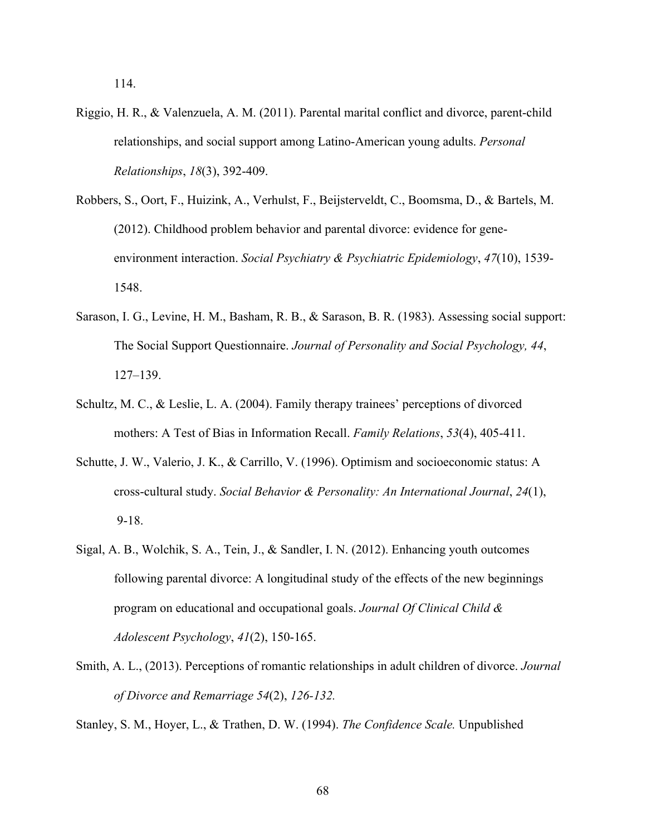114.

- Riggio, H. R., & Valenzuela, A. M. (2011). Parental marital conflict and divorce, parent-child relationships, and social support among Latino-American young adults. *Personal Relationships*, *18*(3), 392-409.
- Robbers, S., Oort, F., Huizink, A., Verhulst, F., Beijsterveldt, C., Boomsma, D., & Bartels, M. (2012). Childhood problem behavior and parental divorce: evidence for geneenvironment interaction. *Social Psychiatry & Psychiatric Epidemiology*, *47*(10), 1539- 1548.
- Sarason, I. G., Levine, H. M., Basham, R. B., & Sarason, B. R. (1983). Assessing social support: The Social Support Questionnaire. *Journal of Personality and Social Psychology, 44*, 127–139.
- Schultz, M. C., & Leslie, L. A. (2004). Family therapy trainees' perceptions of divorced mothers: A Test of Bias in Information Recall. *Family Relations*, *53*(4), 405-411.
- Schutte, J. W., Valerio, J. K., & Carrillo, V. (1996). Optimism and socioeconomic status: A cross-cultural study. *Social Behavior & Personality: An International Journal*, *24*(1), 9-18.
- Sigal, A. B., Wolchik, S. A., Tein, J., & Sandler, I. N. (2012). Enhancing youth outcomes following parental divorce: A longitudinal study of the effects of the new beginnings program on educational and occupational goals. *Journal Of Clinical Child & Adolescent Psychology*, *41*(2), 150-165.
- Smith, A. L., (2013). Perceptions of romantic relationships in adult children of divorce. *Journal of Divorce and Remarriage 54*(2), *126-132.*

Stanley, S. M., Hoyer, L., & Trathen, D. W. (1994). *The Confidence Scale.* Unpublished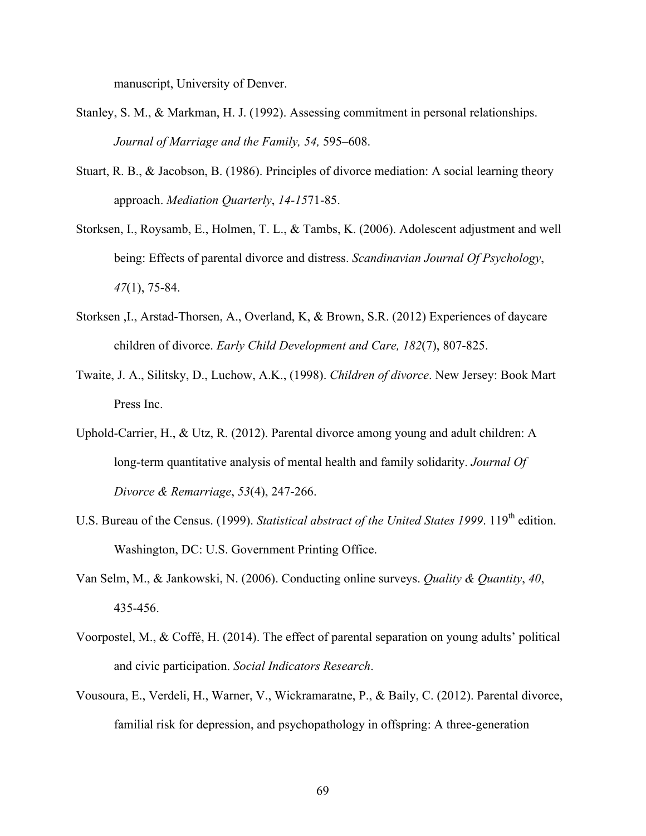manuscript, University of Denver.

- Stanley, S. M., & Markman, H. J. (1992). Assessing commitment in personal relationships. *Journal of Marriage and the Family, 54,* 595–608.
- Stuart, R. B., & Jacobson, B. (1986). Principles of divorce mediation: A social learning theory approach. *Mediation Quarterly*, *14-15*71-85.
- Storksen, I., Roysamb, E., Holmen, T. L., & Tambs, K. (2006). Adolescent adjustment and well being: Effects of parental divorce and distress. *Scandinavian Journal Of Psychology*, *47*(1), 75-84.
- Storksen ,I., Arstad-Thorsen, A., Overland, K, & Brown, S.R. (2012) Experiences of daycare children of divorce. *Early Child Development and Care, 182*(7), 807-825.
- Twaite, J. A., Silitsky, D., Luchow, A.K., (1998). *Children of divorce*. New Jersey: Book Mart Press Inc.
- Uphold-Carrier, H., & Utz, R. (2012). Parental divorce among young and adult children: A long-term quantitative analysis of mental health and family solidarity. *Journal Of Divorce & Remarriage*, *53*(4), 247-266.
- U.S. Bureau of the Census. (1999). *Statistical abstract of the United States 1999*. 119<sup>th</sup> edition. Washington, DC: U.S. Government Printing Office.
- Van Selm, M., & Jankowski, N. (2006). Conducting online surveys. *Quality & Quantity*, *40*, 435-456.
- Voorpostel, M., & Coffé, H. (2014). The effect of parental separation on young adults' political and civic participation. *Social Indicators Research*.
- Vousoura, E., Verdeli, H., Warner, V., Wickramaratne, P., & Baily, C. (2012). Parental divorce, familial risk for depression, and psychopathology in offspring: A three-generation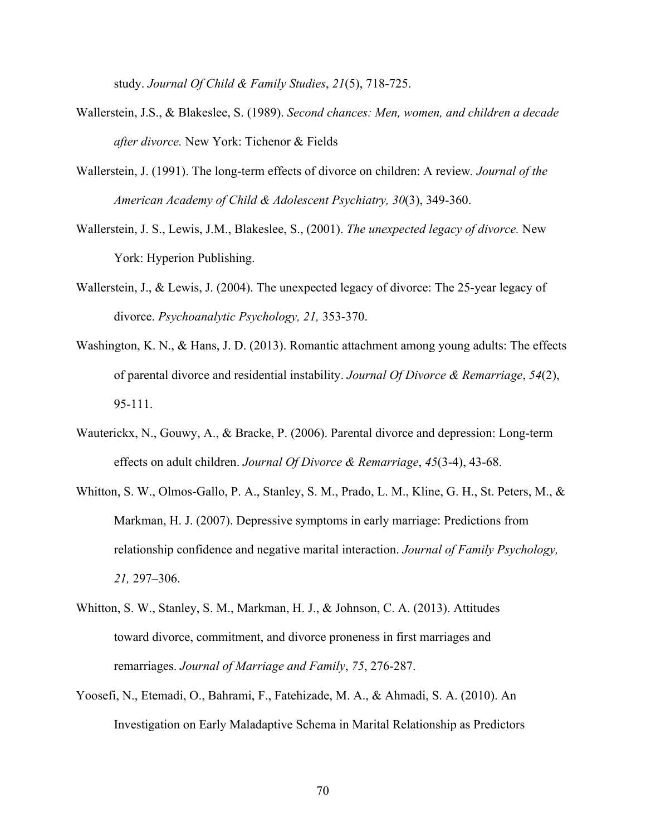study. *Journal Of Child & Family Studies*, *21*(5), 718-725.

- Wallerstein, J.S., & Blakeslee, S. (1989). *Second chances: Men, women, and children a decade after divorce.* New York: Tichenor & Fields
- Wallerstein, J. (1991). The long-term effects of divorce on children: A review*. Journal of the American Academy of Child & Adolescent Psychiatry, 30*(3), 349-360.
- Wallerstein, J. S., Lewis, J.M., Blakeslee, S., (2001). *The unexpected legacy of divorce.* New York: Hyperion Publishing.
- Wallerstein, J., & Lewis, J. (2004). The unexpected legacy of divorce: The 25-year legacy of divorce. *Psychoanalytic Psychology, 21,* 353-370.
- Washington, K. N., & Hans, J. D. (2013). Romantic attachment among young adults: The effects of parental divorce and residential instability. *Journal Of Divorce & Remarriage*, *54*(2), 95-111.
- Wauterickx, N., Gouwy, A., & Bracke, P. (2006). Parental divorce and depression: Long-term effects on adult children. *Journal Of Divorce & Remarriage*, *45*(3-4), 43-68.
- Whitton, S. W., Olmos-Gallo, P. A., Stanley, S. M., Prado, L. M., Kline, G. H., St. Peters, M., & Markman, H. J. (2007). Depressive symptoms in early marriage: Predictions from relationship confidence and negative marital interaction. *Journal of Family Psychology, 21,* 297–306.
- Whitton, S. W., Stanley, S. M., Markman, H. J., & Johnson, C. A. (2013). Attitudes toward divorce, commitment, and divorce proneness in first marriages and remarriages. *Journal of Marriage and Family*, *75*, 276-287.
- Yoosefi, N., Etemadi, O., Bahrami, F., Fatehizade, M. A., & Ahmadi, S. A. (2010). An Investigation on Early Maladaptive Schema in Marital Relationship as Predictors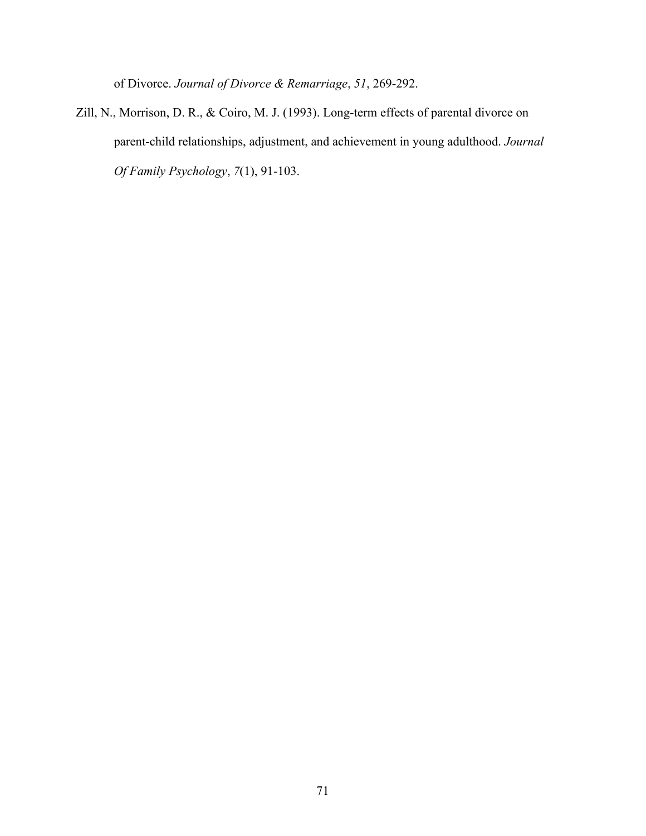of Divorce. *Journal of Divorce & Remarriage*, *51*, 269-292.

Zill, N., Morrison, D. R., & Coiro, M. J. (1993). Long-term effects of parental divorce on parent-child relationships, adjustment, and achievement in young adulthood. *Journal Of Family Psychology*, *7*(1), 91-103.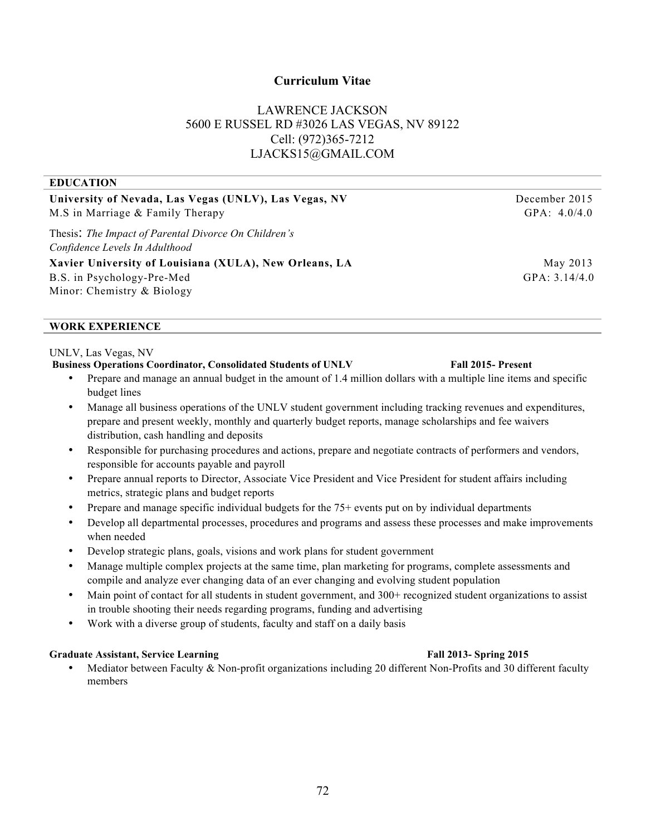# **Curriculum Vitae**

# LAWRENCE JACKSON 5600 E RUSSEL RD #3026 LAS VEGAS, NV 89122 Cell: (972)365-7212 LJACKS15@GMAIL.COM

| University of Nevada, Las Vegas (UNLV), Las Vegas, NV  | December 2015   |
|--------------------------------------------------------|-----------------|
| M.S in Marriage & Family Therapy                       | GPA: $4.0/4.0$  |
| Thesis: The Impact of Parental Divorce On Children's   |                 |
| Confidence Levels In Adulthood                         |                 |
| Xavier University of Louisiana (XULA), New Orleans, LA | May 2013        |
| B.S. in Psychology-Pre-Med                             | GPA: $3.14/4.0$ |
| Minor: Chemistry & Biology                             |                 |
|                                                        |                 |

### **WORK EXPERIENCE**

**EDUCATION**

### UNLV, Las Vegas, NV

# **Business Operations Coordinator, Consolidated Students of UNLV Fall 2015- Present**

- Prepare and manage an annual budget in the amount of 1.4 million dollars with a multiple line items and specific budget lines
- Manage all business operations of the UNLV student government including tracking revenues and expenditures, prepare and present weekly, monthly and quarterly budget reports, manage scholarships and fee waivers distribution, cash handling and deposits
- Responsible for purchasing procedures and actions, prepare and negotiate contracts of performers and vendors, responsible for accounts payable and payroll
- Prepare annual reports to Director, Associate Vice President and Vice President for student affairs including metrics, strategic plans and budget reports
- Prepare and manage specific individual budgets for the 75+ events put on by individual departments
- Develop all departmental processes, procedures and programs and assess these processes and make improvements when needed
- Develop strategic plans, goals, visions and work plans for student government
- Manage multiple complex projects at the same time, plan marketing for programs, complete assessments and compile and analyze ever changing data of an ever changing and evolving student population
- Main point of contact for all students in student government, and 300+ recognized student organizations to assist in trouble shooting their needs regarding programs, funding and advertising
- Work with a diverse group of students, faculty and staff on a daily basis

### **Graduate Assistant, Service Learning Fall 2013- Spring 2015**

Mediator between Faculty & Non-profit organizations including 20 different Non-Profits and 30 different faculty members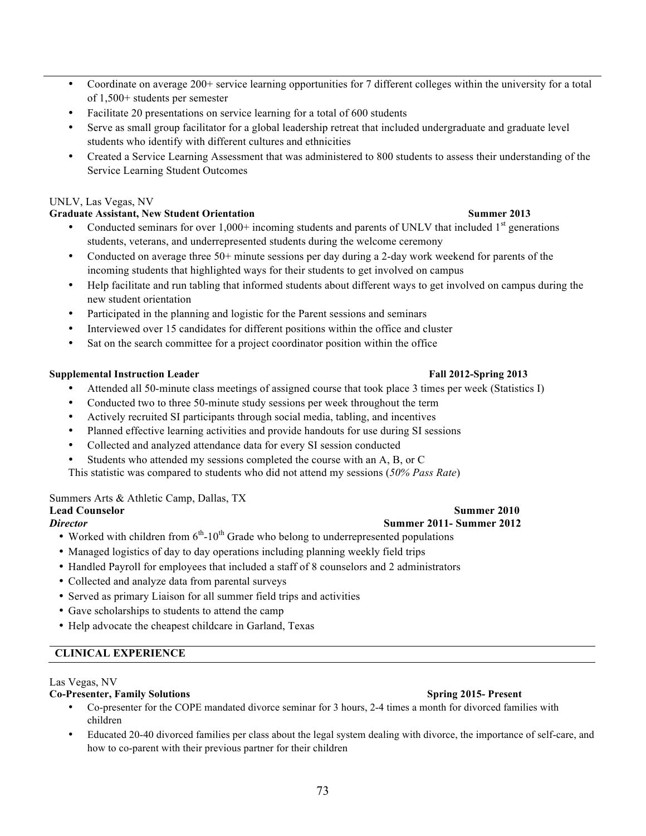- Coordinate on average 200+ service learning opportunities for 7 different colleges within the university for a total of 1,500+ students per semester
- Facilitate 20 presentations on service learning for a total of 600 students
- Serve as small group facilitator for a global leadership retreat that included undergraduate and graduate level students who identify with different cultures and ethnicities
- Created a Service Learning Assessment that was administered to 800 students to assess their understanding of the Service Learning Student Outcomes

## UNLV, Las Vegas, NV

# **Graduate Assistant, New Student Orientation Summer 2013**

- Conducted seminars for over  $1,000+$  incoming students and parents of UNLV that included  $1<sup>st</sup>$  generations students, veterans, and underrepresented students during the welcome ceremony
- Conducted on average three 50+ minute sessions per day during a 2-day work weekend for parents of the incoming students that highlighted ways for their students to get involved on campus
- Help facilitate and run tabling that informed students about different ways to get involved on campus during the new student orientation
- Participated in the planning and logistic for the Parent sessions and seminars
- Interviewed over 15 candidates for different positions within the office and cluster
- Sat on the search committee for a project coordinator position within the office

## **Supplemental Instruction Leader Fall 2012-Spring 2013**

- Attended all 50-minute class meetings of assigned course that took place 3 times per week (Statistics I)
- Conducted two to three 50-minute study sessions per week throughout the term
- Actively recruited SI participants through social media, tabling, and incentives
- Planned effective learning activities and provide handouts for use during SI sessions
- Collected and analyzed attendance data for every SI session conducted
- Students who attended my sessions completed the course with an A, B, or C

This statistic was compared to students who did not attend my sessions (*50% Pass Rate*)

## Summers Arts & Athletic Camp, Dallas, TX

- Worked with children from  $6<sup>th</sup>$ -10<sup>th</sup> Grade who belong to underrepresented populations
- Managed logistics of day to day operations including planning weekly field trips
- Handled Payroll for employees that included a staff of 8 counselors and 2 administrators
- Collected and analyze data from parental surveys
- Served as primary Liaison for all summer field trips and activities
- Gave scholarships to students to attend the camp
- Help advocate the cheapest childcare in Garland, Texas

# **CLINICAL EXPERIENCE**

## Las Vegas, NV

## **Co-Presenter, Family Solutions Spring 2015- Present**

- Co-presenter for the COPE mandated divorce seminar for 3 hours, 2-4 times a month for divorced families with children
- Educated 20-40 divorced families per class about the legal system dealing with divorce, the importance of self-care, and how to co-parent with their previous partner for their children

### **Lead Counselor** Summer 2010 *Director* **Summer 2011- Summer 2012**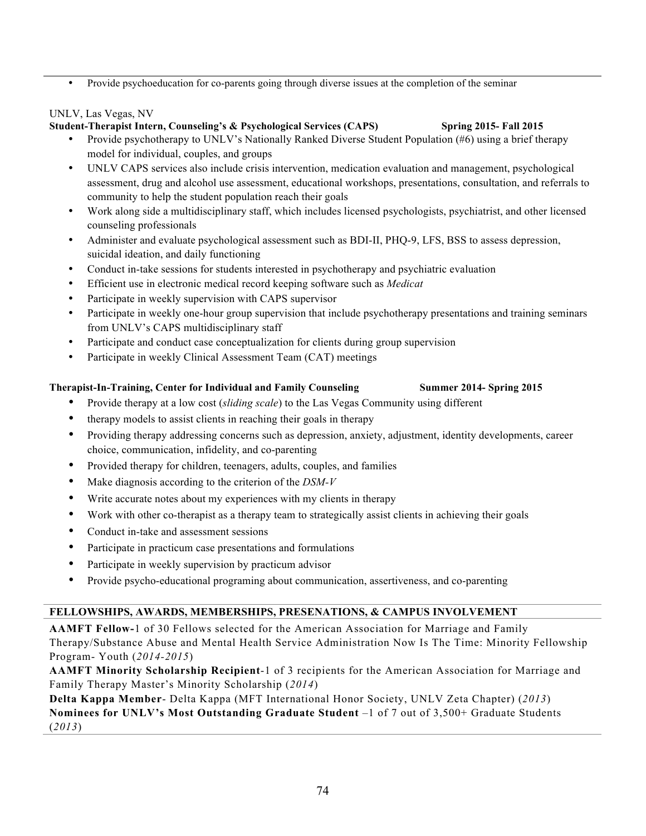• Provide psychoeducation for co-parents going through diverse issues at the completion of the seminar

## UNLV, Las Vegas, NV

## **Student-Therapist Intern, Counseling's & Psychological Services (CAPS) Spring 2015- Fall 2015**

- Provide psychotherapy to UNLV's Nationally Ranked Diverse Student Population (#6) using a brief therapy model for individual, couples, and groups
- UNLV CAPS services also include crisis intervention, medication evaluation and management, psychological assessment, drug and alcohol use assessment, educational workshops, presentations, consultation, and referrals to community to help the student population reach their goals
- Work along side a multidisciplinary staff, which includes licensed psychologists, psychiatrist, and other licensed counseling professionals
- Administer and evaluate psychological assessment such as BDI-II, PHQ-9, LFS, BSS to assess depression, suicidal ideation, and daily functioning
- Conduct in-take sessions for students interested in psychotherapy and psychiatric evaluation
- Efficient use in electronic medical record keeping software such as *Medicat*
- Participate in weekly supervision with CAPS supervisor
- Participate in weekly one-hour group supervision that include psychotherapy presentations and training seminars from UNLV's CAPS multidisciplinary staff
- Participate and conduct case conceptualization for clients during group supervision
- Participate in weekly Clinical Assessment Team (CAT) meetings

# **Therapist-In-Training, Center for Individual and Family Counseling Summer 2014- Spring 2015**

- Provide therapy at a low cost (*sliding scale*) to the Las Vegas Community using different
- therapy models to assist clients in reaching their goals in therapy
- Providing therapy addressing concerns such as depression, anxiety, adjustment, identity developments, career choice, communication, infidelity, and co-parenting
- Provided therapy for children, teenagers, adults, couples, and families
- Make diagnosis according to the criterion of the *DSM-V*
- Write accurate notes about my experiences with my clients in therapy
- Work with other co-therapist as a therapy team to strategically assist clients in achieving their goals
- Conduct in-take and assessment sessions
- Participate in practicum case presentations and formulations
- Participate in weekly supervision by practicum advisor
- Provide psycho-educational programing about communication, assertiveness, and co-parenting

# **FELLOWSHIPS, AWARDS, MEMBERSHIPS, PRESENATIONS, & CAMPUS INVOLVEMENT**

**AAMFT Fellow-**1 of 30 Fellows selected for the American Association for Marriage and Family Therapy/Substance Abuse and Mental Health Service Administration Now Is The Time: Minority Fellowship Program- Youth (*2014-2015*)

**AAMFT Minority Scholarship Recipient**-1 of 3 recipients for the American Association for Marriage and Family Therapy Master's Minority Scholarship (*2014*)

**Delta Kappa Member**- Delta Kappa (MFT International Honor Society, UNLV Zeta Chapter) (*2013*) **Nominees for UNLV's Most Outstanding Graduate Student** –1 of 7 out of 3,500+ Graduate Students (*2013*)